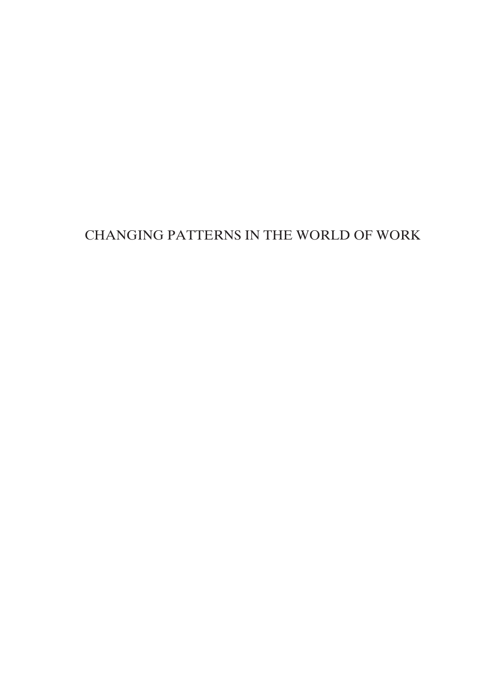### CHANGING PATTERNS IN THE WORLD OF WORK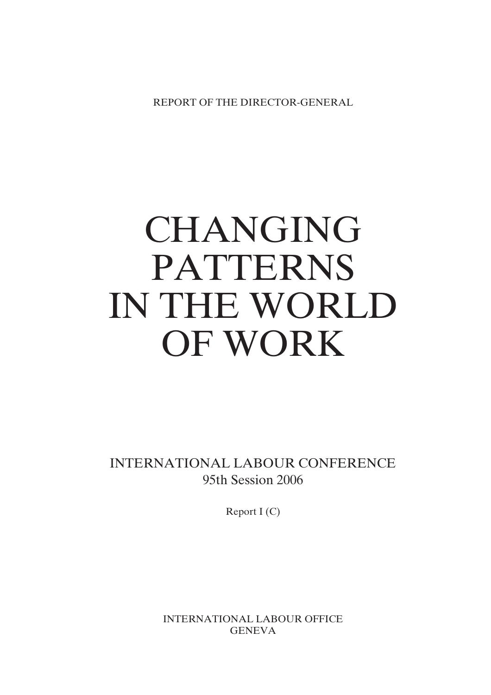REPORT OF THE DIRECTOR-GENERAL

# CHANGING PATTERNS IN THE WORLD OF WORK

INTERNATIONAL LABOUR CONFERENCE 95th Session 2006

Report I (C)

INTERNATIONAL LABOUR OFFICE **GENEVA**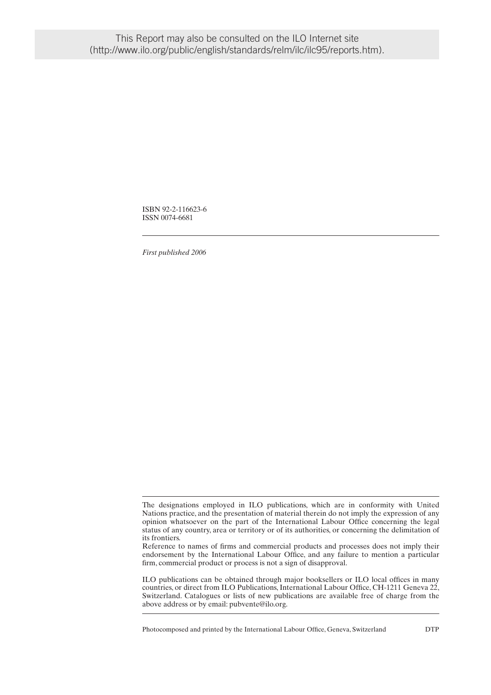ISBN 92-2-116623-6 ISSN 0074-6681

*First published 2006*

Photocomposed and printed by the International Labour Office, Geneva, Switzerland DTP

The designations employed in ILO publications, which are in conformity with United Nations practice, and the presentation of material therein do not imply the expression of any opinion whatsoever on the part of the International Labour Office concerning the legal status of any country, area or territory or of its authorities, or concerning the delimitation of its frontiers.

Reference to names of firms and commercial products and processes does not imply their endorsement by the International Labour Office, and any failure to mention a particular firm, commercial product or process is not a sign of disapproval.

ILO publications can be obtained through major booksellers or ILO local offices in many countries, or direct from ILO Publications, International Labour Office, CH-1211 Geneva 22, Switzerland. Catalogues or lists of new publications are available free of charge from the above address or by email: pubvente@ilo.org.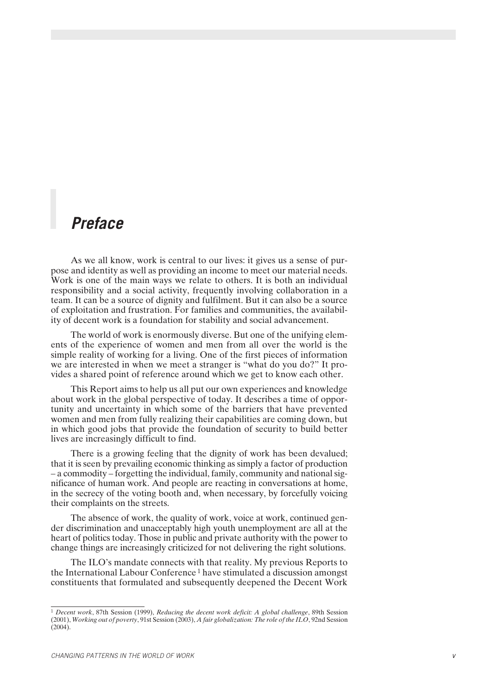### *Preface*

As we all know, work is central to our lives: it gives us a sense of purpose and identity as well as providing an income to meet our material needs. Work is one of the main ways we relate to others. It is both an individual responsibility and a social activity, frequently involving collaboration in a team. It can be a source of dignity and fulfilment. But it can also be a source of exploitation and frustration. For families and communities, the availability of decent work is a foundation for stability and social advancement.

The world of work is enormously diverse. But one of the unifying elements of the experience of women and men from all over the world is the simple reality of working for a living. One of the first pieces of information we are interested in when we meet a stranger is "what do you do?" It provides a shared point of reference around which we get to know each other.

This Report aims to help us all put our own experiences and knowledge about work in the global perspective of today. It describes a time of opportunity and uncertainty in which some of the barriers that have prevented women and men from fully realizing their capabilities are coming down, but in which good jobs that provide the foundation of security to build better lives are increasingly difficult to find.

There is a growing feeling that the dignity of work has been devalued; that it is seen by prevailing economic thinking as simply a factor of production – a commodity – forgetting the individual, family, community and national significance of human work. And people are reacting in conversations at home, in the secrecy of the voting booth and, when necessary, by forcefully voicing their complaints on the streets.

The absence of work, the quality of work, voice at work, continued gender discrimination and unacceptably high youth unemployment are all at the heart of politics today. Those in public and private authority with the power to change things are increasingly criticized for not delivering the right solutions.

The ILO's mandate connects with that reality. My previous Reports to the International Labour Conference 1 have stimulated a discussion amongst constituents that formulated and subsequently deepened the Decent Work

<sup>1</sup> *Decent work*, 87th Session (1999), *Reducing the decent work deficit: A global challenge*, 89th Session (2001), *Working out of poverty*, 91st Session (2003), *A fair globalization: The role of the ILO*, 92nd Session  $(2004).$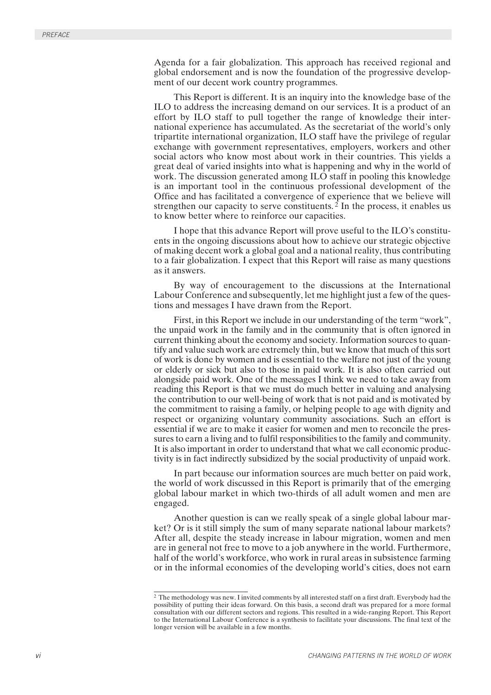Agenda for a fair globalization. This approach has received regional and global endorsement and is now the foundation of the progressive development of our decent work country programmes.

This Report is different. It is an inquiry into the knowledge base of the ILO to address the increasing demand on our services. It is a product of an effort by ILO staff to pull together the range of knowledge their international experience has accumulated. As the secretariat of the world's only tripartite international organization, ILO staff have the privilege of regular exchange with government representatives, employers, workers and other social actors who know most about work in their countries. This yields a great deal of varied insights into what is happening and why in the world of work. The discussion generated among ILO staff in pooling this knowledge is an important tool in the continuous professional development of the Office and has facilitated a convergence of experience that we believe will strengthen our capacity to serve constituents. 2 In the process, it enables us to know better where to reinforce our capacities.

I hope that this advance Report will prove useful to the ILO's constituents in the ongoing discussions about how to achieve our strategic objective of making decent work a global goal and a national reality, thus contributing to a fair globalization. I expect that this Report will raise as many questions as it answers.

By way of encouragement to the discussions at the International Labour Conference and subsequently, let me highlight just a few of the questions and messages I have drawn from the Report.

First, in this Report we include in our understanding of the term "work", the unpaid work in the family and in the community that is often ignored in current thinking about the economy and society. Information sources to quantify and value such work are extremely thin, but we know that much of this sort of work is done by women and is essential to the welfare not just of the young or elderly or sick but also to those in paid work. It is also often carried out alongside paid work. One of the messages I think we need to take away from reading this Report is that we must do much better in valuing and analysing the contribution to our well-being of work that is not paid and is motivated by the commitment to raising a family, or helping people to age with dignity and respect or organizing voluntary community associations. Such an effort is essential if we are to make it easier for women and men to reconcile the pressures to earn a living and to fulfil responsibilities to the family and community. It is also important in order to understand that what we call economic productivity is in fact indirectly subsidized by the social productivity of unpaid work.

In part because our information sources are much better on paid work, the world of work discussed in this Report is primarily that of the emerging global labour market in which two-thirds of all adult women and men are engaged.

Another question is can we really speak of a single global labour market? Or is it still simply the sum of many separate national labour markets? After all, despite the steady increase in labour migration, women and men are in general not free to move to a job anywhere in the world. Furthermore, half of the world's workforce, who work in rural areas in subsistence farming or in the informal economies of the developing world's cities, does not earn

<sup>&</sup>lt;sup>2</sup> The methodology was new. I invited comments by all interested staff on a first draft. Everybody had the possibility of putting their ideas forward. On this basis, a second draft was prepared for a more formal consultation with our different sectors and regions. This resulted in a wide-ranging Report. This Report to the International Labour Conference is a synthesis to facilitate your discussions. The final text of the longer version will be available in a few months.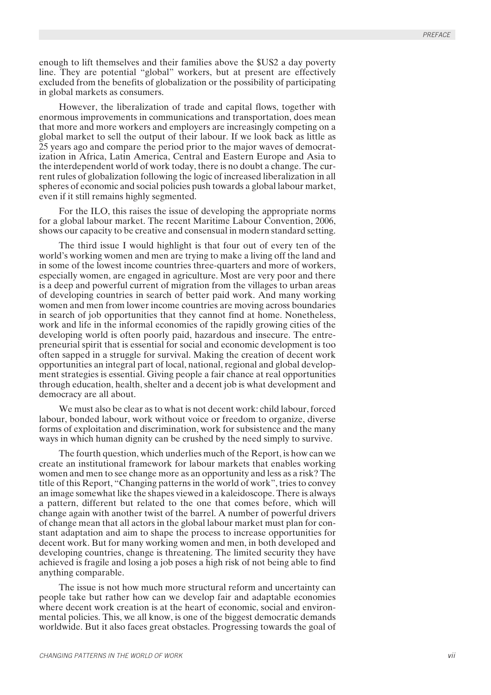enough to lift themselves and their families above the \$US2 a day poverty line. They are potential "global" workers, but at present are effectively excluded from the benefits of globalization or the possibility of participating in global markets as consumers.

However, the liberalization of trade and capital flows, together with enormous improvements in communications and transportation, does mean that more and more workers and employers are increasingly competing on a global market to sell the output of their labour. If we look back as little as 25 years ago and compare the period prior to the major waves of democratization in Africa, Latin America, Central and Eastern Europe and Asia to the interdependent world of work today, there is no doubt a change. The current rules of globalization following the logic of increased liberalization in all spheres of economic and social policies push towards a global labour market, even if it still remains highly segmented.

For the ILO, this raises the issue of developing the appropriate norms for a global labour market. The recent Maritime Labour Convention, 2006, shows our capacity to be creative and consensual in modern standard setting.

The third issue I would highlight is that four out of every ten of the world's working women and men are trying to make a living off the land and in some of the lowest income countries three-quarters and more of workers, especially women, are engaged in agriculture. Most are very poor and there is a deep and powerful current of migration from the villages to urban areas of developing countries in search of better paid work. And many working women and men from lower income countries are moving across boundaries in search of job opportunities that they cannot find at home. Nonetheless, work and life in the informal economies of the rapidly growing cities of the developing world is often poorly paid, hazardous and insecure. The entrepreneurial spirit that is essential for social and economic development is too often sapped in a struggle for survival. Making the creation of decent work opportunities an integral part of local, national, regional and global development strategies is essential. Giving people a fair chance at real opportunities through education, health, shelter and a decent job is what development and democracy are all about.

We must also be clear as to what is not decent work: child labour, forced labour, bonded labour, work without voice or freedom to organize, diverse forms of exploitation and discrimination, work for subsistence and the many ways in which human dignity can be crushed by the need simply to survive.

The fourth question, which underlies much of the Report, is how can we create an institutional framework for labour markets that enables working women and men to see change more as an opportunity and less as a risk? The title of this Report, "Changing patterns in the world of work", tries to convey an image somewhat like the shapes viewed in a kaleidoscope. There is always a pattern, different but related to the one that comes before, which will change again with another twist of the barrel. A number of powerful drivers of change mean that all actors in the global labour market must plan for constant adaptation and aim to shape the process to increase opportunities for decent work. But for many working women and men, in both developed and developing countries, change is threatening. The limited security they have achieved is fragile and losing a job poses a high risk of not being able to find anything comparable.

The issue is not how much more structural reform and uncertainty can people take but rather how can we develop fair and adaptable economies where decent work creation is at the heart of economic, social and environmental policies. This, we all know, is one of the biggest democratic demands worldwide. But it also faces great obstacles. Progressing towards the goal of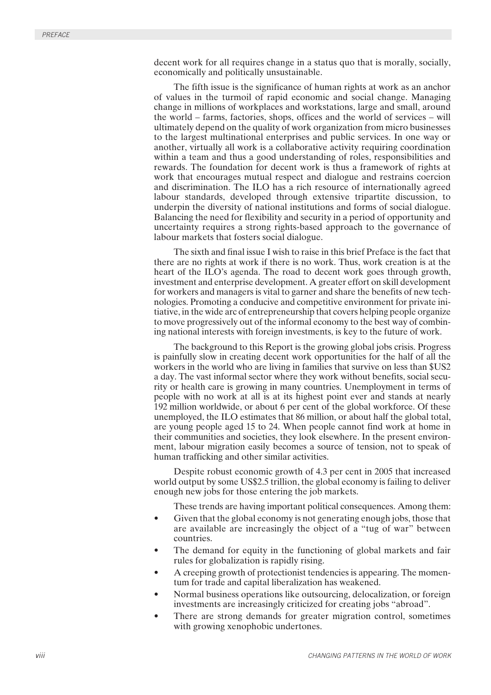decent work for all requires change in a status quo that is morally, socially, economically and politically unsustainable.

The fifth issue is the significance of human rights at work as an anchor of values in the turmoil of rapid economic and social change. Managing change in millions of workplaces and workstations, large and small, around the world – farms, factories, shops, offices and the world of services – will ultimately depend on the quality of work organization from micro businesses to the largest multinational enterprises and public services. In one way or another, virtually all work is a collaborative activity requiring coordination within a team and thus a good understanding of roles, responsibilities and rewards. The foundation for decent work is thus a framework of rights at work that encourages mutual respect and dialogue and restrains coercion and discrimination. The ILO has a rich resource of internationally agreed labour standards, developed through extensive tripartite discussion, to underpin the diversity of national institutions and forms of social dialogue. Balancing the need for flexibility and security in a period of opportunity and uncertainty requires a strong rights-based approach to the governance of labour markets that fosters social dialogue.

The sixth and final issue I wish to raise in this brief Preface is the fact that there are no rights at work if there is no work. Thus, work creation is at the heart of the ILO's agenda. The road to decent work goes through growth, investment and enterprise development. A greater effort on skill development for workers and managers is vital to garner and share the benefits of new technologies. Promoting a conducive and competitive environment for private initiative, in the wide arc of entrepreneurship that covers helping people organize to move progressively out of the informal economy to the best way of combining national interests with foreign investments, is key to the future of work.

The background to this Report is the growing global jobs crisis. Progress is painfully slow in creating decent work opportunities for the half of all the workers in the world who are living in families that survive on less than \$US2 a day. The vast informal sector where they work without benefits, social security or health care is growing in many countries. Unemployment in terms of people with no work at all is at its highest point ever and stands at nearly 192 million worldwide, or about 6 per cent of the global workforce. Of these unemployed, the ILO estimates that 86 million, or about half the global total, are young people aged 15 to 24. When people cannot find work at home in their communities and societies, they look elsewhere. In the present environment, labour migration easily becomes a source of tension, not to speak of human trafficking and other similar activities.

Despite robust economic growth of 4.3 per cent in 2005 that increased world output by some US\$2.5 trillion, the global economy is failing to deliver enough new jobs for those entering the job markets.

These trends are having important political consequences. Among them:

- Given that the global economy is not generating enough jobs, those that are available are increasingly the object of a "tug of war" between countries.
- The demand for equity in the functioning of global markets and fair rules for globalization is rapidly rising.
- A creeping growth of protectionist tendencies is appearing. The momentum for trade and capital liberalization has weakened.
- Normal business operations like outsourcing, delocalization, or foreign investments are increasingly criticized for creating jobs "abroad".
- There are strong demands for greater migration control, sometimes with growing xenophobic undertones.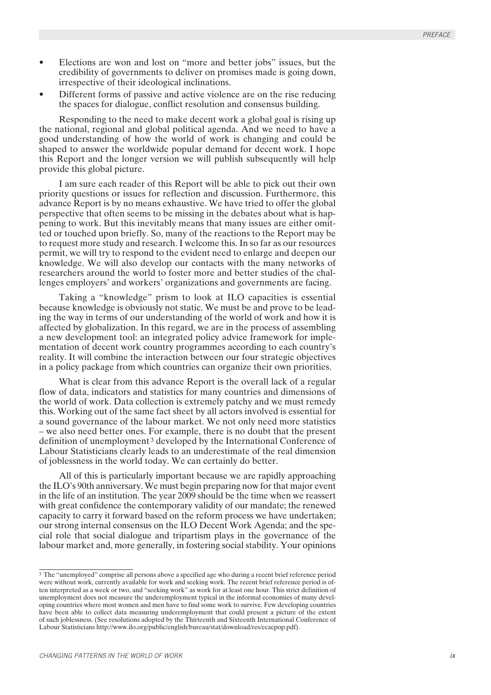- Elections are won and lost on "more and better jobs" issues, but the credibility of governments to deliver on promises made is going down, irrespective of their ideological inclinations.
- Different forms of passive and active violence are on the rise reducing the spaces for dialogue, conflict resolution and consensus building.

Responding to the need to make decent work a global goal is rising up the national, regional and global political agenda. And we need to have a good understanding of how the world of work is changing and could be shaped to answer the worldwide popular demand for decent work. I hope this Report and the longer version we will publish subsequently will help provide this global picture.

I am sure each reader of this Report will be able to pick out their own priority questions or issues for reflection and discussion. Furthermore, this advance Report is by no means exhaustive. We have tried to offer the global perspective that often seems to be missing in the debates about what is happening to work. But this inevitably means that many issues are either omitted or touched upon briefly. So, many of the reactions to the Report may be to request more study and research. I welcome this. In so far as our resources permit, we will try to respond to the evident need to enlarge and deepen our knowledge. We will also develop our contacts with the many networks of researchers around the world to foster more and better studies of the challenges employers' and workers' organizations and governments are facing.

Taking a "knowledge" prism to look at ILO capacities is essential because knowledge is obviously not static. We must be and prove to be leading the way in terms of our understanding of the world of work and how it is affected by globalization. In this regard, we are in the process of assembling a new development tool: an integrated policy advice framework for implementation of decent work country programmes according to each country's reality. It will combine the interaction between our four strategic objectives in a policy package from which countries can organize their own priorities.

What is clear from this advance Report is the overall lack of a regular flow of data, indicators and statistics for many countries and dimensions of the world of work. Data collection is extremely patchy and we must remedy this. Working out of the same fact sheet by all actors involved is essential for a sound governance of the labour market. We not only need more statistics – we also need better ones. For example, there is no doubt that the present definition of unemployment 3 developed by the International Conference of Labour Statisticians clearly leads to an underestimate of the real dimension of joblessness in the world today. We can certainly do better.

All of this is particularly important because we are rapidly approaching the ILO's 90th anniversary. We must begin preparing now for that major event in the life of an institution. The year 2009 should be the time when we reassert with great confidence the contemporary validity of our mandate; the renewed capacity to carry it forward based on the reform process we have undertaken; our strong internal consensus on the ILO Decent Work Agenda; and the special role that social dialogue and tripartism plays in the governance of the labour market and, more generally, in fostering social stability. Your opinions

<sup>&</sup>lt;sup>3</sup> The "unemployed" comprise all persons above a specified age who during a recent brief reference period were without work, currently available for work and seeking work. The recent brief reference period is often interpreted as a week or two, and "seeking work" as work for at least one hour. This strict definition of unemployment does not measure the underemployment typical in the informal economies of many developing countries where most women and men have to find some work to survive. Few developing countries have been able to collect data measuring underemployment that could present a picture of the extent of such joblessness. (See resolutions adopted by the Thirteenth and Sixteenth International Conference of Labour Statisticians http://www.ilo.org/public/english/bureau/stat/download/res/ecacpop.pdf).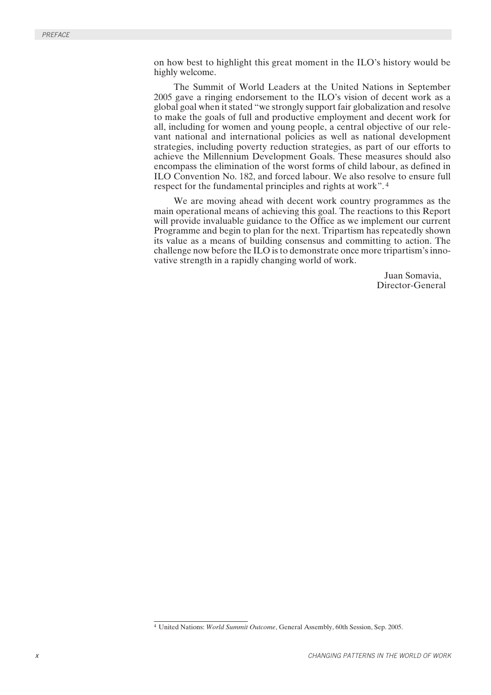on how best to highlight this great moment in the ILO's history would be highly welcome.

The Summit of World Leaders at the United Nations in September 2005 gave a ringing endorsement to the ILO's vision of decent work as a global goal when it stated "we strongly support fair globalization and resolve to make the goals of full and productive employment and decent work for all, including for women and young people, a central objective of our relevant national and international policies as well as national development strategies, including poverty reduction strategies, as part of our efforts to achieve the Millennium Development Goals. These measures should also encompass the elimination of the worst forms of child labour, as defined in ILO Convention No. 182, and forced labour. We also resolve to ensure full respect for the fundamental principles and rights at work". <sup>4</sup>

We are moving ahead with decent work country programmes as the main operational means of achieving this goal. The reactions to this Report will provide invaluable guidance to the Office as we implement our current Programme and begin to plan for the next. Tripartism has repeatedly shown its value as a means of building consensus and committing to action. The challenge now before the ILO is to demonstrate once more tripartism's innovative strength in a rapidly changing world of work.

> Juan Somavia, Director-General

<sup>4</sup> United Nations: *World Summit Outcome*, General Assembly, 60th Session, Sep. 2005.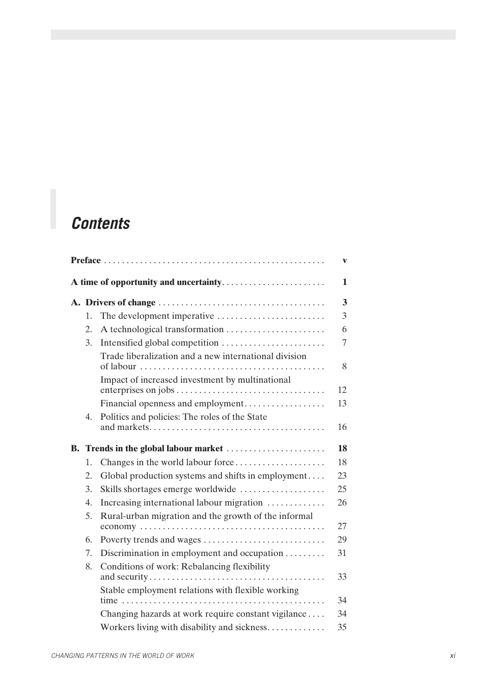## *Contents*

| $\mathbf{v}$ |    |                                                       |    |  |  |
|--------------|----|-------------------------------------------------------|----|--|--|
|              |    | A time of opportunity and uncertainty                 | 1  |  |  |
|              |    |                                                       |    |  |  |
|              | 1. | The development imperative                            | 3  |  |  |
|              | 2. | A technological transformation                        | 6  |  |  |
|              | 3. |                                                       | 7  |  |  |
|              |    | Trade liberalization and a new international division | 8  |  |  |
|              |    | Impact of increased investment by multinational       |    |  |  |
|              |    |                                                       | 12 |  |  |
|              |    | Financial openness and employment                     | 13 |  |  |
|              | 4. | Politics and policies: The roles of the State         | 16 |  |  |
|              |    | B. Trends in the global labour market                 | 18 |  |  |
|              | 1. | Changes in the world labour force                     | 18 |  |  |
|              | 2. | Global production systems and shifts in employment    | 23 |  |  |
|              | 3. | Skills shortages emerge worldwide                     | 25 |  |  |
|              | 4. | Increasing international labour migration             | 26 |  |  |
|              | 5. | Rural-urban migration and the growth of the informal  | 27 |  |  |
|              | 6. | Poverty trends and wages                              | 29 |  |  |
|              | 7. | Discrimination in employment and occupation           | 31 |  |  |
|              | 8. | Conditions of work: Rebalancing flexibility           | 33 |  |  |
|              |    | Stable employment relations with flexible working     | 34 |  |  |
|              |    | Changing hazards at work require constant vigilance   | 34 |  |  |
|              |    | Workers living with disability and sickness           | 35 |  |  |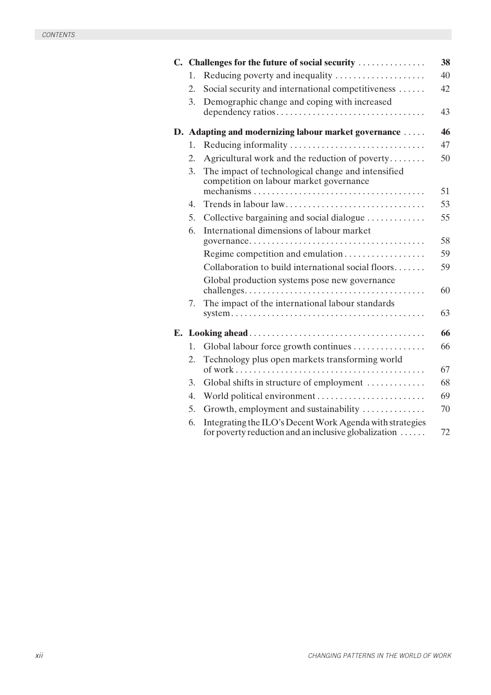|                  | C. Challenges for the future of social security                                                                            | 38 |
|------------------|----------------------------------------------------------------------------------------------------------------------------|----|
| 1.               | Reducing poverty and inequality                                                                                            | 40 |
| 2.               | Social security and international competitiveness                                                                          | 42 |
| 3.               | Demographic change and coping with increased<br>dependency ratios                                                          | 43 |
|                  | D. Adapting and modernizing labour market governance                                                                       | 46 |
| 1.               |                                                                                                                            | 47 |
| 2.               | Agricultural work and the reduction of poverty                                                                             | 50 |
| 3.               | The impact of technological change and intensified<br>competition on labour market governance                              | 51 |
| $\overline{4}$ . | Trends in labour law                                                                                                       | 53 |
| 5.               | Collective bargaining and social dialogue                                                                                  | 55 |
| 6.               | International dimensions of labour market                                                                                  | 58 |
|                  |                                                                                                                            | 59 |
|                  | Collaboration to build international social floors                                                                         | 59 |
|                  | Global production systems pose new governance                                                                              | 60 |
| 7.               | The impact of the international labour standards                                                                           |    |
|                  |                                                                                                                            | 63 |
|                  |                                                                                                                            | 66 |
| 1.               | Global labour force growth continues                                                                                       | 66 |
| 2.               | Technology plus open markets transforming world                                                                            | 67 |
| 3.               | Global shifts in structure of employment                                                                                   | 68 |
| 4.               | World political environment                                                                                                | 69 |
| 5.               | Growth, employment and sustainability                                                                                      | 70 |
| 6.               | Integrating the ILO's Decent Work Agenda with strategies<br>for poverty reduction and an inclusive globalization $\dots$ . | 72 |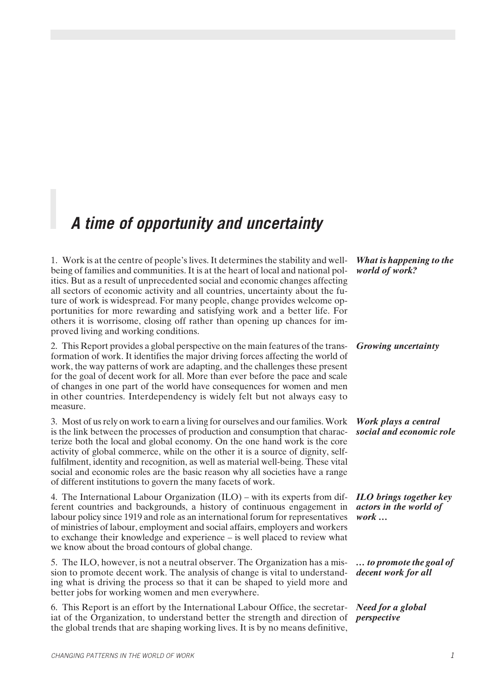### *A time of opportunity and uncertainty*

1. Work is at the centre of people's lives. It determines the stability and wellbeing of families and communities. It is at the heart of local and national politics. But as a result of unprecedented social and economic changes affecting all sectors of economic activity and all countries, uncertainty about the future of work is widespread. For many people, change provides welcome opportunities for more rewarding and satisfying work and a better life. For others it is worrisome, closing off rather than opening up chances for improved living and working conditions.

2. This Report provides a global perspective on the main features of the trans- *Growing uncertainty* formation of work. It identifies the major driving forces affecting the world of work, the way patterns of work are adapting, and the challenges these present for the goal of decent work for all. More than ever before the pace and scale of changes in one part of the world have consequences for women and men in other countries. Interdependency is widely felt but not always easy to measure.

3. Most of us rely on work to earn a living for ourselves and our families. Work is the link between the processes of production and consumption that characterize both the local and global economy. On the one hand work is the core activity of global commerce, while on the other it is a source of dignity, selffulfilment, identity and recognition, as well as material well-being. These vital social and economic roles are the basic reason why all societies have a range of different institutions to govern the many facets of work.

4. The International Labour Organization (ILO) – with its experts from different countries and backgrounds, a history of continuous engagement in labour policy since 1919 and role as an international forum for representatives of ministries of labour, employment and social affairs, employers and workers to exchange their knowledge and experience – is well placed to review what we know about the broad contours of global change.

5. The ILO, however, is not a neutral observer. The Organization has a mission to promote decent work. The analysis of change is vital to understanding what is driving the process so that it can be shaped to yield more and better jobs for working women and men everywhere.

6. This Report is an effort by the International Labour Office, the secretariat of the Organization, to understand better the strength and direction of the global trends that are shaping working lives. It is by no means definitive,

*What is happening to the world of work?*

*Work plays a central social and economic role*

*ILO brings together key actors in the world of work …*

*… to promote the goal of decent work for all*

*Need for a global perspective*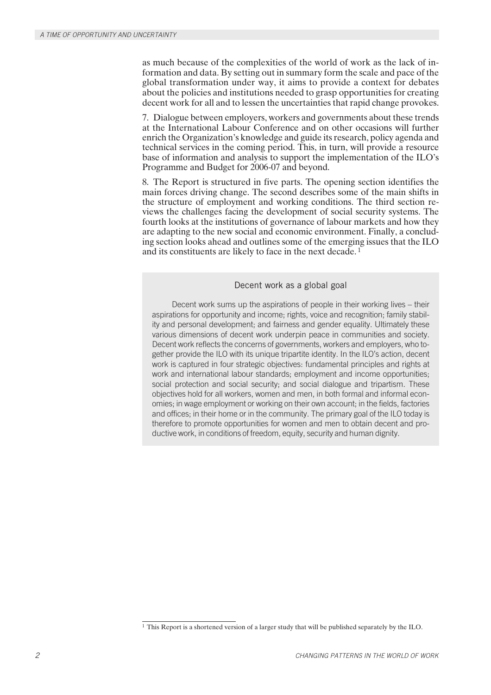as much because of the complexities of the world of work as the lack of information and data. By setting out in summary form the scale and pace of the global transformation under way, it aims to provide a context for debates about the policies and institutions needed to grasp opportunities for creating decent work for all and to lessen the uncertainties that rapid change provokes.

7. Dialogue between employers, workers and governments about these trends at the International Labour Conference and on other occasions will further enrich the Organization's knowledge and guide its research, policy agenda and technical services in the coming period. This, in turn, will provide a resource base of information and analysis to support the implementation of the ILO's Programme and Budget for 2006-07 and beyond.

8. The Report is structured in five parts. The opening section identifies the main forces driving change. The second describes some of the main shifts in the structure of employment and working conditions. The third section reviews the challenges facing the development of social security systems. The fourth looks at the institutions of governance of labour markets and how they are adapting to the new social and economic environment. Finally, a concluding section looks ahead and outlines some of the emerging issues that the ILO and its constituents are likely to face in the next decade. <sup>1</sup>

#### Decent work as a global goal

Decent work sums up the aspirations of people in their working lives – their aspirations for opportunity and income; rights, voice and recognition; family stability and personal development; and fairness and gender equality. Ultimately these various dimensions of decent work underpin peace in communities and society. Decent work reflects the concerns of governments, workers and employers, who together provide the ILO with its unique tripartite identity. In the ILO's action, decent work is captured in four strategic objectives: fundamental principles and rights at work and international labour standards; employment and income opportunities; social protection and social security; and social dialogue and tripartism. These objectives hold for all workers, women and men, in both formal and informal economies; in wage employment or working on their own account; in the fields, factories and offices; in their home or in the community. The primary goal of the ILO today is therefore to promote opportunities for women and men to obtain decent and productive work, in conditions of freedom, equity, security and human dignity.

<sup>1</sup> This Report is a shortened version of a larger study that will be published separately by the ILO.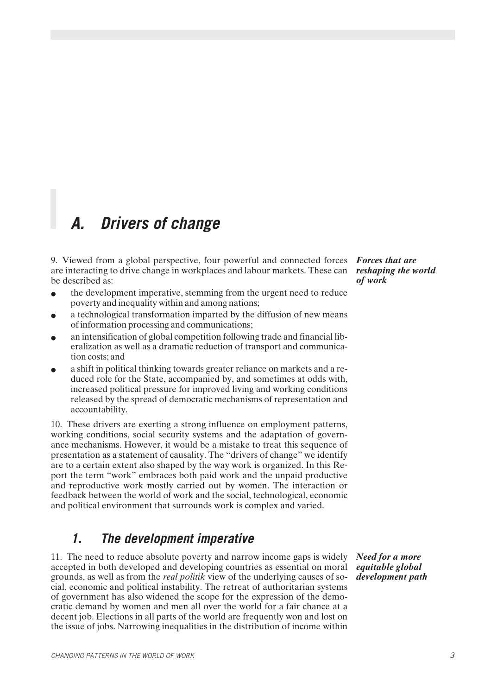### **Drivers of change**

9. Viewed from a global perspective, four powerful and connected forces are interacting to drive change in workplaces and labour markets. These can be described as:

- the development imperative, stemming from the urgent need to reduce poverty and inequality within and among nations;
- a technological transformation imparted by the diffusion of new means of information processing and communications;
- an intensification of global competition following trade and financial liberalization as well as a dramatic reduction of transport and communication costs; and
- a shift in political thinking towards greater reliance on markets and a reduced role for the State, accompanied by, and sometimes at odds with, increased political pressure for improved living and working conditions released by the spread of democratic mechanisms of representation and accountability.

10. These drivers are exerting a strong influence on employment patterns, working conditions, social security systems and the adaptation of governance mechanisms. However, it would be a mistake to treat this sequence of presentation as a statement of causality. The "drivers of change" we identify are to a certain extent also shaped by the way work is organized. In this Report the term "work" embraces both paid work and the unpaid productive and reproductive work mostly carried out by women. The interaction or feedback between the world of work and the social, technological, economic and political environment that surrounds work is complex and varied.

### *1. The development imperative*

11. The need to reduce absolute poverty and narrow income gaps is widely accepted in both developed and developing countries as essential on moral grounds, as well as from the *real politik* view of the underlying causes of social, economic and political instability. The retreat of authoritarian systems of government has also widened the scope for the expression of the democratic demand by women and men all over the world for a fair chance at a decent job. Elections in all parts of the world are frequently won and lost on the issue of jobs. Narrowing inequalities in the distribution of income within

*Need for a more equitable global development path*

*Forces that are reshaping the world of work*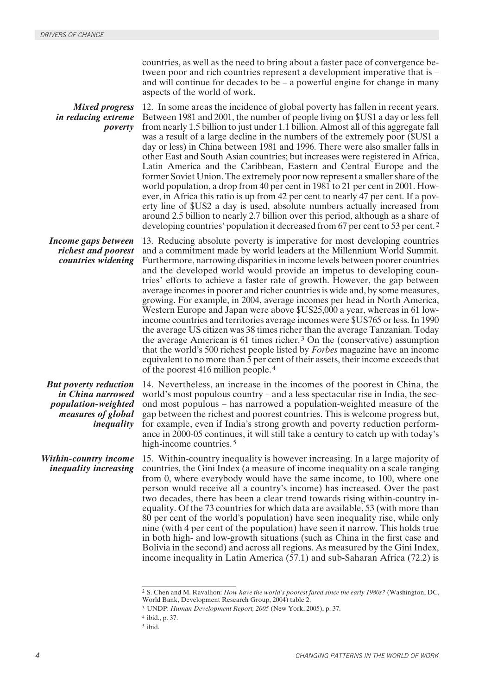countries, as well as the need to bring about a faster pace of convergence between poor and rich countries represent a development imperative that is – and will continue for decades to be – a powerful engine for change in many aspects of the world of work.

*Mixed progress in reducing extreme poverty* 12. In some areas the incidence of global poverty has fallen in recent years. Between 1981 and 2001, the number of people living on \$US1 a day or less fell from nearly 1.5 billion to just under 1.1 billion. Almost all of this aggregate fall was a result of a large decline in the numbers of the extremely poor (\$US1 a day or less) in China between 1981 and 1996. There were also smaller falls in other East and South Asian countries; but increases were registered in Africa, Latin America and the Caribbean, Eastern and Central Europe and the former Soviet Union. The extremely poor now represent a smaller share of the world population, a drop from 40 per cent in 1981 to 21 per cent in 2001. However, in Africa this ratio is up from 42 per cent to nearly 47 per cent. If a poverty line of \$US2 a day is used, absolute numbers actually increased from around 2.5 billion to nearly 2.7 billion over this period, although as a share of developing countries' population it decreased from 67 per cent to 53 per cent. <sup>2</sup>

*Income gaps between richest and poorest countries widening* 13. Reducing absolute poverty is imperative for most developing countries and a commitment made by world leaders at the Millennium World Summit. Furthermore, narrowing disparities in income levels between poorer countries and the developed world would provide an impetus to developing countries' efforts to achieve a faster rate of growth. However, the gap between average incomes in poorer and richer countries is wide and, by some measures, growing. For example, in 2004, average incomes per head in North America, Western Europe and Japan were above \$US25,000 a year, whereas in 61 lowincome countries and territories average incomes were \$US765 or less. In 1990 the average US citizen was 38 times richer than the average Tanzanian. Today the average American is 61 times richer. 3 On the (conservative) assumption that the world's 500 richest people listed by *Forbes* magazine have an income equivalent to no more than 5 per cent of their assets, their income exceeds that of the poorest 416 million people. <sup>4</sup>

*But poverty reduction in China narrowed population-weighted measures of global inequality*

14. Nevertheless, an increase in the incomes of the poorest in China, the world's most populous country – and a less spectacular rise in India, the second most populous – has narrowed a population-weighted measure of the gap between the richest and poorest countries. This is welcome progress but, for example, even if India's strong growth and poverty reduction performance in 2000-05 continues, it will still take a century to catch up with today's high-income countries.<sup>5</sup>

*Within-country income inequality increasing* 15. Within-country inequality is however increasing. In a large majority of countries, the Gini Index (a measure of income inequality on a scale ranging from 0, where everybody would have the same income, to 100, where one person would receive all a country's income) has increased. Over the past two decades, there has been a clear trend towards rising within-country inequality. Of the 73 countries for which data are available, 53 (with more than 80 per cent of the world's population) have seen inequality rise, while only nine (with 4 per cent of the population) have seen it narrow. This holds true in both high- and low-growth situations (such as China in the first case and Bolivia in the second) and across all regions. As measured by the Gini Index, income inequality in Latin America (57.1) and sub-Saharan Africa (72.2) is

<sup>2</sup> S. Chen and M. Ravallion: *How have the world's poorest fared since the early 1980s?* (Washington, DC, World Bank, Development Research Group, 2004) table 2.

<sup>3</sup> UNDP: *Human Development Report, 2005* (New York, 2005), p. 37.

<sup>4</sup> ibid., p. 37.

<sup>5</sup> ibid.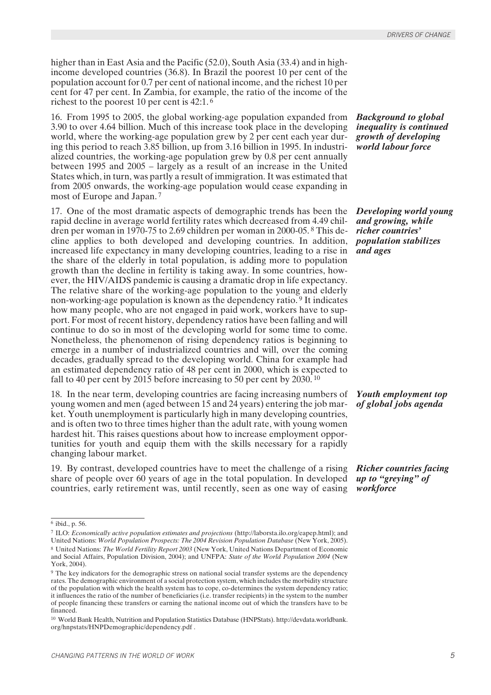higher than in East Asia and the Pacific (52.0), South Asia (33.4) and in highincome developed countries (36.8). In Brazil the poorest 10 per cent of the population account for 0.7 per cent of national income, and the richest 10 per cent for 47 per cent. In Zambia, for example, the ratio of the income of the richest to the poorest 10 per cent is 42:1. <sup>6</sup>

16. From 1995 to 2005, the global working-age population expanded from 3.90 to over 4.64 billion. Much of this increase took place in the developing world, where the working-age population grew by 2 per cent each year during this period to reach 3.85 billion, up from 3.16 billion in 1995. In industrialized countries, the working-age population grew by 0.8 per cent annually between 1995 and 2005 – largely as a result of an increase in the United States which, in turn, was partly a result of immigration. It was estimated that from 2005 onwards, the working-age population would cease expanding in most of Europe and Japan. <sup>7</sup>

17. One of the most dramatic aspects of demographic trends has been the rapid decline in average world fertility rates which decreased from 4.49 children per woman in 1970-75 to 2.69 children per woman in 2000-05. 8 This decline applies to both developed and developing countries. In addition, increased life expectancy in many developing countries, leading to a rise in the share of the elderly in total population, is adding more to population growth than the decline in fertility is taking away. In some countries, however, the HIV/AIDS pandemic is causing a dramatic drop in life expectancy. The relative share of the working-age population to the young and elderly non-working-age population is known as the dependency ratio. 9 It indicates how many people, who are not engaged in paid work, workers have to support. For most of recent history, dependency ratios have been falling and will continue to do so in most of the developing world for some time to come. Nonetheless, the phenomenon of rising dependency ratios is beginning to emerge in a number of industrialized countries and will, over the coming decades, gradually spread to the developing world. China for example had an estimated dependency ratio of 48 per cent in 2000, which is expected to fall to 40 per cent by 2015 before increasing to 50 per cent by 2030. <sup>10</sup>

18. In the near term, developing countries are facing increasing numbers of young women and men (aged between 15 and 24 years) entering the job market. Youth unemployment is particularly high in many developing countries, and is often two to three times higher than the adult rate, with young women hardest hit. This raises questions about how to increase employment opportunities for youth and equip them with the skills necessary for a rapidly changing labour market.

19. By contrast, developed countries have to meet the challenge of a rising share of people over 60 years of age in the total population. In developed countries, early retirement was, until recently, seen as one way of easing

*Developing world young and growing, while richer countries' population stabilizes and ages*

*Youth employment top of global jobs agenda*

*Richer countries facing up to "greying" of workforce*

*Background to global inequality is continued growth of developing world labour force*

<sup>6</sup> ibid., p. 56.

<sup>7</sup> ILO: *Economically active population estimates and projections* (http://laborsta.ilo.org/eapep.html); and United Nations: *World Population Prospects: The 2004 Revision Population Database* (New York, 2005). <sup>8</sup> United Nations: *The World Fertility Report 2003* (New York, United Nations Department of Economic and Social Affairs, Population Division, 2004); and UNFPA: *State of the World Population 2004* (New York, 2004).

<sup>&</sup>lt;sup>9</sup> The key indicators for the demographic stress on national social transfer systems are the dependency rates. The demographic environment of a social protection system, which includes the morbidity structure of the population with which the health system has to cope, co-determines the system dependency ratio; it influences the ratio of the number of beneficiaries (i.e. transfer recipients) in the system to the number of people financing these transfers or earning the national income out of which the transfers have to be financed.

<sup>10</sup> World Bank Health, Nutrition and Population Statistics Database (HNPStats). http://devdata.worldbank. org/hnpstats/HNPDemographic/dependency.pdf .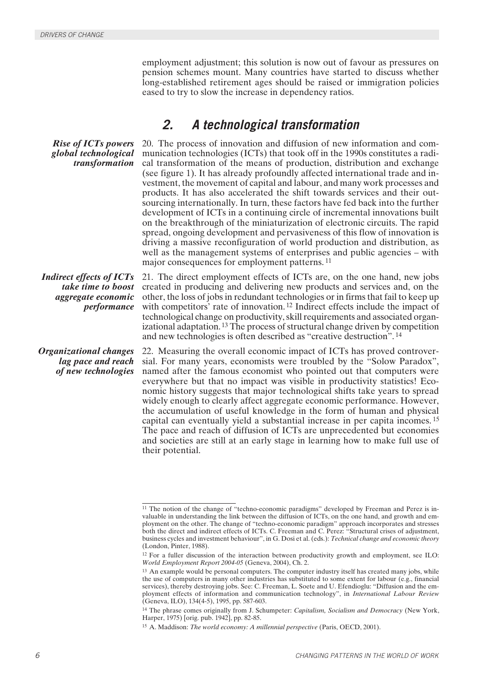employment adjustment; this solution is now out of favour as pressures on pension schemes mount. Many countries have started to discuss whether long-established retirement ages should be raised or immigration policies eased to try to slow the increase in dependency ratios.

#### *2. A technological transformation*

*Rise of ICTs powers global technological transformation* 20. The process of innovation and diffusion of new information and communication technologies (ICTs) that took off in the 1990s constitutes a radical transformation of the means of production, distribution and exchange (see figure 1). It has already profoundly affected international trade and investment, the movement of capital and labour, and many work processes and products. It has also accelerated the shift towards services and their outsourcing internationally. In turn, these factors have fed back into the further development of ICTs in a continuing circle of incremental innovations built on the breakthrough of the miniaturization of electronic circuits. The rapid spread, ongoing development and pervasiveness of this flow of innovation is driving a massive reconfiguration of world production and distribution, as well as the management systems of enterprises and public agencies – with major consequences for employment patterns. <sup>11</sup>

*Indirect effects of ICTs take time to boost aggregate economic performance*

other, the loss of jobs in redundant technologies or in firms that fail to keep up with competitors' rate of innovation.<sup>12</sup> Indirect effects include the impact of technological change on productivity, skill requirements and associated organizational adaptation. 13 The process of structural change driven by competition and new technologies is often described as "creative destruction". <sup>14</sup> 22. Measuring the overall economic impact of ICTs has proved controver-

21. The direct employment effects of ICTs are, on the one hand, new jobs created in producing and delivering new products and services and, on the

*Organizational changes lag pace and reach of new technologies* sial. For many years, economists were troubled by the "Solow Paradox", named after the famous economist who pointed out that computers were everywhere but that no impact was visible in productivity statistics! Economic history suggests that major technological shifts take years to spread widely enough to clearly affect aggregate economic performance. However, the accumulation of useful knowledge in the form of human and physical capital can eventually yield a substantial increase in per capita incomes. <sup>15</sup> The pace and reach of diffusion of ICTs are unprecedented but economies and societies are still at an early stage in learning how to make full use of their potential.

<sup>&</sup>lt;sup>11</sup> The notion of the change of "techno-economic paradigms" developed by Freeman and Perez is invaluable in understanding the link between the diffusion of ICTs, on the one hand, and growth and employment on the other. The change of "techno-economic paradigm" approach incorporates and stresses both the direct and indirect effects of ICTs. C. Freeman and C. Perez: "Structural crises of adjustment, business cycles and investment behaviour", in G. Dosi et al. (eds.): *Technical change and economic theory* (London, Pinter, 1988).

<sup>&</sup>lt;sup>12</sup> For a fuller discussion of the interaction between productivity growth and employment, see ILO: *World Employment Report 2004-05* (Geneva, 2004), Ch. 2.

<sup>&</sup>lt;sup>13</sup> An example would be personal computers. The computer industry itself has created many jobs, while the use of computers in many other industries has substituted to some extent for labour (e.g., financial services), thereby destroying jobs. See: C. Freeman, L. Soete and U. Efendioglu: "Diffusion and the employment effects of information and communication technology", in *International Labour Review* (Geneva, ILO), 134(4-5), 1995, pp. 587-603.

<sup>14</sup> The phrase comes originally from J. Schumpeter: *Capitalism, Socialism and Democracy* (New York, Harper, 1975) [orig. pub. 1942], pp. 82-85.

<sup>15</sup> A. Maddison: *The world economy: A millennial perspective* (Paris, OECD, 2001).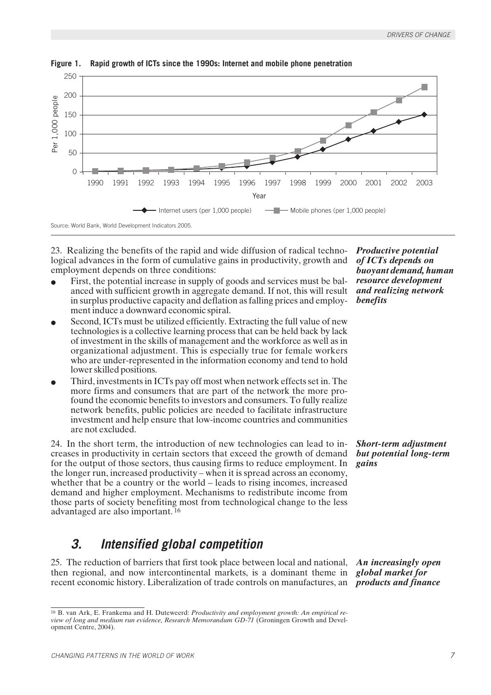

**Figure 1. Rapid growth of ICTs since the 1990s: Internet and mobile phone penetration** 

23. Realizing the benefits of the rapid and wide diffusion of radical technological advances in the form of cumulative gains in productivity, growth and employment depends on three conditions:

- First, the potential increase in supply of goods and services must be balanced with sufficient growth in aggregate demand. If not, this will result in surplus productive capacity and deflation as falling prices and employment induce a downward economic spiral.
- Second, ICTs must be utilized efficiently. Extracting the full value of new technologies is a collective learning process that can be held back by lack of investment in the skills of management and the workforce as well as in organizational adjustment. This is especially true for female workers who are under-represented in the information economy and tend to hold lower skilled positions.
- Third, investments in ICTs pay off most when network effects set in. The more firms and consumers that are part of the network the more profound the economic benefits to investors and consumers. To fully realize network benefits, public policies are needed to facilitate infrastructure investment and help ensure that low-income countries and communities are not excluded.

24. In the short term, the introduction of new technologies can lead to increases in productivity in certain sectors that exceed the growth of demand for the output of those sectors, thus causing firms to reduce employment. In the longer run, increased productivity – when it is spread across an economy, whether that be a country or the world – leads to rising incomes, increased demand and higher employment. Mechanisms to redistribute income from those parts of society benefiting most from technological change to the less advantaged are also important. <sup>16</sup>

### *3. Intensified global competition*

*products and finance* recent economic history. Liberalization of trade controls on manufactures, an 25. The reduction of barriers that first took place between local and national, then regional, and now intercontinental markets, is a dominant theme in

*An increasingly open global market for* 

*Productive potential of ICTs depends on buoyant demand, human resource development and realizing network benefits*

*Short-term adjustment but potential long-term gains*

<sup>16</sup> B. van Ark, E. Frankema and H. Duteweerd: *Productivity and employment growth: An empirical review of long and medium run evidence, Research Memorandum GD-71* (Groningen Growth and Development Centre, 2004).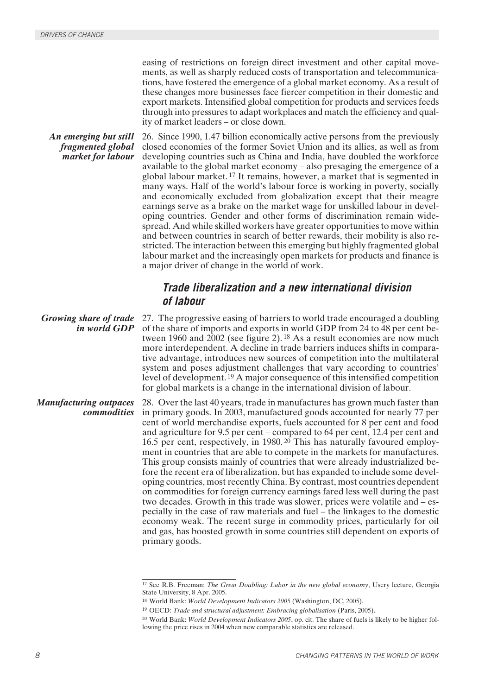easing of restrictions on foreign direct investment and other capital movements, as well as sharply reduced costs of transportation and telecommunications, have fostered the emergence of a global market economy. As a result of these changes more businesses face fiercer competition in their domestic and export markets. Intensified global competition for products and services feeds through into pressures to adapt workplaces and match the efficiency and quality of market leaders – or close down.

*An emerging but still fragmented global market for labour* 26. Since 1990, 1.47 billion economically active persons from the previously closed economies of the former Soviet Union and its allies, as well as from developing countries such as China and India, have doubled the workforce available to the global market economy – also presaging the emergence of a global labour market. 17 It remains, however, a market that is segmented in many ways. Half of the world's labour force is working in poverty, socially and economically excluded from globalization except that their meagre earnings serve as a brake on the market wage for unskilled labour in developing countries. Gender and other forms of discrimination remain widespread. And while skilled workers have greater opportunities to move within and between countries in search of better rewards, their mobility is also restricted. The interaction between this emerging but highly fragmented global labour market and the increasingly open markets for products and finance is a major driver of change in the world of work.

#### *Trade liberalization and a new international division of labour*

*Growing share of trade in world GDP* 27. The progressive easing of barriers to world trade encouraged a doubling of the share of imports and exports in world GDP from 24 to 48 per cent between 1960 and 2002 (see figure 2).<sup>18</sup> As a result economies are now much more interdependent. A decline in trade barriers induces shifts in comparative advantage, introduces new sources of competition into the multilateral system and poses adjustment challenges that vary according to countries' level of development. 19 A major consequence of this intensified competition for global markets is a change in the international division of labour.

*Manufacturing outpaces commodities* 28. Over the last 40 years, trade in manufactures has grown much faster than in primary goods. In 2003, manufactured goods accounted for nearly 77 per cent of world merchandise exports, fuels accounted for 8 per cent and food and agriculture for 9.5 per cent – compared to 64 per cent, 12.4 per cent and 16.5 per cent, respectively, in 1980. 20 This has naturally favoured employment in countries that are able to compete in the markets for manufactures. This group consists mainly of countries that were already industrialized before the recent era of liberalization, but has expanded to include some developing countries, most recently China. By contrast, most countries dependent on commodities for foreign currency earnings fared less well during the past two decades. Growth in this trade was slower, prices were volatile and – especially in the case of raw materials and fuel – the linkages to the domestic economy weak. The recent surge in commodity prices, particularly for oil and gas, has boosted growth in some countries still dependent on exports of primary goods.

<sup>&</sup>lt;sup>17</sup> See R.B. Freeman: *The Great Doubling: Labor in the new global economy*, Usery lecture, Georgia State University, 8 Apr. 2005.

<sup>18</sup> World Bank: *World Development Indicators 2005* (Washington, DC, 2005).

<sup>&</sup>lt;sup>19</sup> OECD: *Trade and structural adjustment: Embracing globalisation* (Paris, 2005).

<sup>20</sup> World Bank: *World Development Indicators 2005*, op. cit. The share of fuels is likely to be higher following the price rises in 2004 when new comparable statistics are released.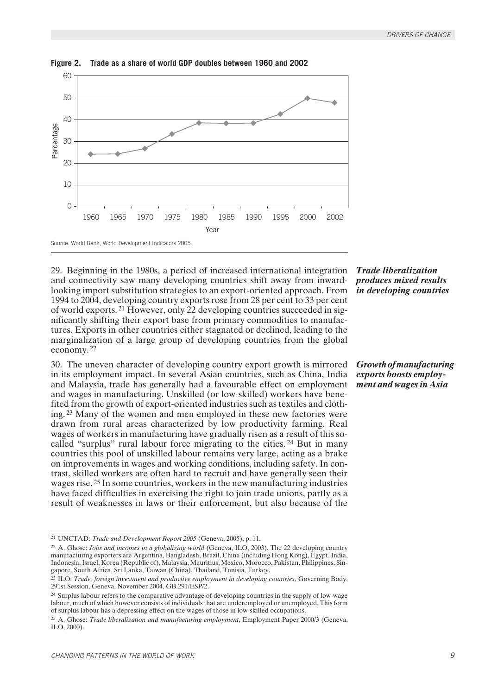

**Figure 2. Trade as a share of world GDP doubles between 1960 and 2002** 

29. Beginning in the 1980s, a period of increased international integration and connectivity saw many developing countries shift away from inwardlooking import substitution strategies to an export-oriented approach. From 1994 to 2004, developing country exports rose from 28 per cent to 33 per cent of world exports. 21 However, only 22 developing countries succeeded in significantly shifting their export base from primary commodities to manufactures. Exports in other countries either stagnated or declined, leading to the marginalization of a large group of developing countries from the global economy. <sup>22</sup>

30. The uneven character of developing country export growth is mirrored in its employment impact. In several Asian countries, such as China, India and Malaysia, trade has generally had a favourable effect on employment and wages in manufacturing. Unskilled (or low-skilled) workers have benefited from the growth of export-oriented industries such as textiles and clothing. 23 Many of the women and men employed in these new factories were drawn from rural areas characterized by low productivity farming. Real wages of workers in manufacturing have gradually risen as a result of this socalled "surplus" rural labour force migrating to the cities. 24 But in many countries this pool of unskilled labour remains very large, acting as a brake on improvements in wages and working conditions, including safety. In contrast, skilled workers are often hard to recruit and have generally seen their wages rise. 25 In some countries, workers in the new manufacturing industries have faced difficulties in exercising the right to join trade unions, partly as a result of weaknesses in laws or their enforcement, but also because of the

*Trade liberalization produces mixed results in developing countries*

*Growth of manufacturing exports boosts employment and wages in Asia*

<sup>21</sup> UNCTAD: *Trade and Development Report 2005* (Geneva, 2005), p. 11.

<sup>22</sup> A. Ghose: *Jobs and incomes in a globalizing world* (Geneva, ILO, 2003). The 22 developing country manufacturing exporters are Argentina, Bangladesh, Brazil, China (including Hong Kong), Egypt, India, Indonesia, Israel, Korea (Republic of), Malaysia, Mauritius, Mexico, Morocco, Pakistan, Philippines, Singapore, South Africa, Sri Lanka, Taiwan (China), Thailand, Tunisia, Turkey.

<sup>23</sup> ILO: *Trade, foreign investment and productive employment in developing countries*, Governing Body, 291st Session, Geneva, November 2004, GB.291/ESP/2.

<sup>24</sup> Surplus labour refers to the comparative advantage of developing countries in the supply of low-wage labour, much of which however consists of individuals that are underemployed or unemployed. This form of surplus labour has a depressing effect on the wages of those in low-skilled occupations.

<sup>25</sup> A. Ghose: *Trade liberalization and manufacturing employment*, Employment Paper 2000/3 (Geneva, ILO, 2000).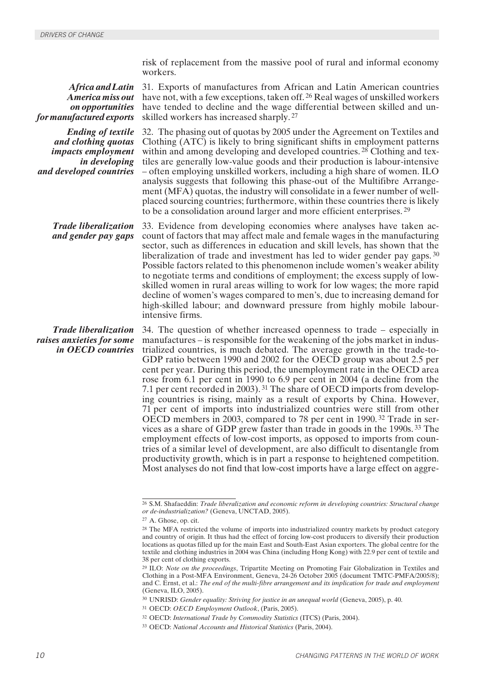risk of replacement from the massive pool of rural and informal economy workers.

31. Exports of manufactures from African and Latin American countries have not, with a few exceptions, taken off. 26 Real wages of unskilled workers have tended to decline and the wage differential between skilled and un-

32. The phasing out of quotas by 2005 under the Agreement on Textiles and Clothing (ATC) is likely to bring significant shifts in employment patterns

*Africa and Latin America miss out on opportunities for manufactured exports*

*Ending of textile and clothing quotas impacts employment in developing and developed countries*

within and among developing and developed countries.<sup>28</sup> Clothing and textiles are generally low-value goods and their production is labour-intensive – often employing unskilled workers, including a high share of women. ILO analysis suggests that following this phase-out of the Multifibre Arrangement (MFA) quotas, the industry will consolidate in a fewer number of wellplaced sourcing countries; furthermore, within these countries there is likely to be a consolidation around larger and more efficient enterprises. <sup>29</sup>

*Trade liberalization and gender pay gaps* 33. Evidence from developing economies where analyses have taken account of factors that may affect male and female wages in the manufacturing sector, such as differences in education and skill levels, has shown that the liberalization of trade and investment has led to wider gender pay gaps. 30 Possible factors related to this phenomenon include women's weaker ability to negotiate terms and conditions of employment; the excess supply of lowskilled women in rural areas willing to work for low wages; the more rapid decline of women's wages compared to men's, due to increasing demand for high-skilled labour; and downward pressure from highly mobile labourintensive firms.

skilled workers has increased sharply. <sup>27</sup>

*Trade liberalization raises anxieties for some in OECD countries*

34. The question of whether increased openness to trade – especially in manufactures – is responsible for the weakening of the jobs market in industrialized countries, is much debated. The average growth in the trade-to-GDP ratio between 1990 and 2002 for the OECD group was about 2.5 per cent per year. During this period, the unemployment rate in the OECD area rose from 6.1 per cent in 1990 to 6.9 per cent in 2004 (a decline from the 7.1 per cent recorded in 2003). 31 The share of OECD imports from developing countries is rising, mainly as a result of exports by China. However, 71 per cent of imports into industrialized countries were still from other OECD members in 2003, compared to 78 per cent in 1990. 32 Trade in services as a share of GDP grew faster than trade in goods in the 1990s. 33 The employment effects of low-cost imports, as opposed to imports from countries of a similar level of development, are also difficult to disentangle from productivity growth, which is in part a response to heightened competition. Most analyses do not find that low-cost imports have a large effect on aggre-

<sup>30</sup> UNRISD: *Gender equality: Striving for justice in an unequal world* (Geneva, 2005), p. 40.

<sup>26</sup> S.M. Shafaeddin: *Trade liberalization and economic reform in developing countries: Structural change or de-industrialization?* (Geneva, UNCTAD, 2005).

<sup>27</sup> A. Ghose, op. cit.

<sup>28</sup> The MFA restricted the volume of imports into industrialized country markets by product category and country of origin. It thus had the effect of forcing low-cost producers to diversify their production locations as quotas filled up for the main East and South-East Asian exporters. The global centre for the textile and clothing industries in 2004 was China (including Hong Kong) with 22.9 per cent of textile and 38 per cent of clothing exports.

<sup>29</sup> ILO: *Note on the proceedings*, Tripartite Meeting on Promoting Fair Globalization in Textiles and Clothing in a Post-MFA Environment, Geneva, 24-26 October 2005 (document TMTC-PMFA/2005/8); and C. Ernst, et al.: *The end of the multi-fibre arrangement and its implication for trade and employment* (Geneva, ILO, 2005).

<sup>31</sup> OECD: *OECD Employment Outlook*, (Paris, 2005).

<sup>32</sup> OECD: *International Trade by Commodity Statistics* (ITCS) (Paris, 2004).

<sup>33</sup> OECD: *National Accounts and Historical Statistics* (Paris, 2004).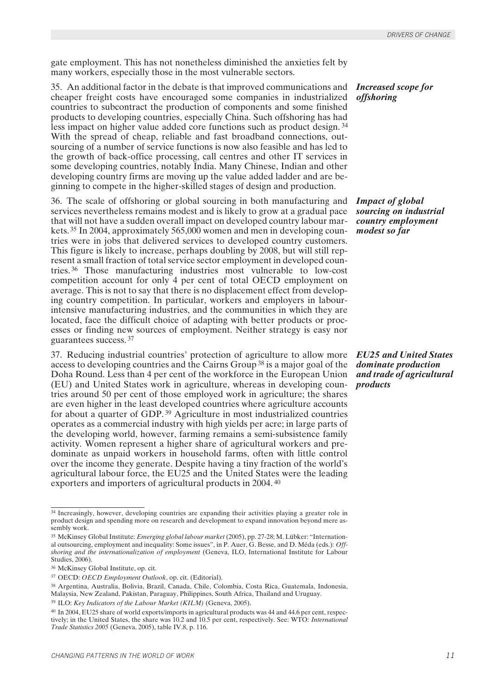gate employment. This has not nonetheless diminished the anxieties felt by many workers, especially those in the most vulnerable sectors.

35. An additional factor in the debate is that improved communications and cheaper freight costs have encouraged some companies in industrialized countries to subcontract the production of components and some finished products to developing countries, especially China. Such offshoring has had less impact on higher value added core functions such as product design. <sup>34</sup> With the spread of cheap, reliable and fast broadband connections, outsourcing of a number of service functions is now also feasible and has led to the growth of back-office processing, call centres and other IT services in some developing countries, notably India. Many Chinese, Indian and other developing country firms are moving up the value added ladder and are beginning to compete in the higher-skilled stages of design and production.

36. The scale of offshoring or global sourcing in both manufacturing and services nevertheless remains modest and is likely to grow at a gradual pace that will not have a sudden overall impact on developed country labour markets. 35 In 2004, approximately 565,000 women and men in developing countries were in jobs that delivered services to developed country customers. This figure is likely to increase, perhaps doubling by 2008, but will still represent a small fraction of total service sector employment in developed countries. 36 Those manufacturing industries most vulnerable to low-cost competition account for only 4 per cent of total OECD employment on average. This is not to say that there is no displacement effect from developing country competition. In particular, workers and employers in labourintensive manufacturing industries, and the communities in which they are located, face the difficult choice of adapting with better products or processes or finding new sources of employment. Neither strategy is easy nor guarantees success. <sup>37</sup>

37. Reducing industrial countries' protection of agriculture to allow more access to developing countries and the Cairns Group 38 is a major goal of the Doha Round. Less than 4 per cent of the workforce in the European Union (EU) and United States work in agriculture, whereas in developing countries around 50 per cent of those employed work in agriculture; the shares are even higher in the least developed countries where agriculture accounts for about a quarter of GDP. 39 Agriculture in most industrialized countries operates as a commercial industry with high yields per acre; in large parts of the developing world, however, farming remains a semi-subsistence family activity. Women represent a higher share of agricultural workers and predominate as unpaid workers in household farms, often with little control over the income they generate. Despite having a tiny fraction of the world's agricultural labour force, the EU25 and the United States were the leading exporters and importers of agricultural products in 2004. <sup>40</sup>

*Increased scope for offshoring*

*Impact of global sourcing on industrial country employment modest so far*

*EU25 and United States dominate production and trade of agricultural products*

<sup>&</sup>lt;sup>34</sup> Increasingly, however, developing countries are expanding their activities playing a greater role in product design and spending more on research and development to expand innovation beyond mere assembly work.

<sup>35</sup> McKinsey Global Institute: *Emerging global labour market* (2005), pp. 27-28; M. Lübker: "International outsourcing, employment and inequality: Some issues", in P. Auer, G. Besse, and D. Méda (eds.): *Offshoring and the internationalization of employment* (Geneva, ILO, International Institute for Labour Studies, 2006).

<sup>36</sup> McKinsey Global Institute, op. cit.

<sup>37</sup> OECD: *OECD Employment Outlook*, op. cit. (Editorial).

<sup>38</sup> Argentina, Australia, Bolivia, Brazil, Canada, Chile, Colombia, Costa Rica, Guatemala, Indonesia, Malaysia, New Zealand, Pakistan, Paraguay, Philippines, South Africa, Thailand and Uruguay.

<sup>39</sup> ILO: *Key Indicators of the Labour Market (KILM)* (Geneva, 2005).

<sup>40</sup> In 2004, EU25 share of world exports/imports in agricultural products was 44 and 44.6 per cent, respectively; in the United States, the share was 10.2 and 10.5 per cent, respectively. See: WTO: *International Trade Statistics 2005* (Geneva, 2005), table IV.8, p. 116.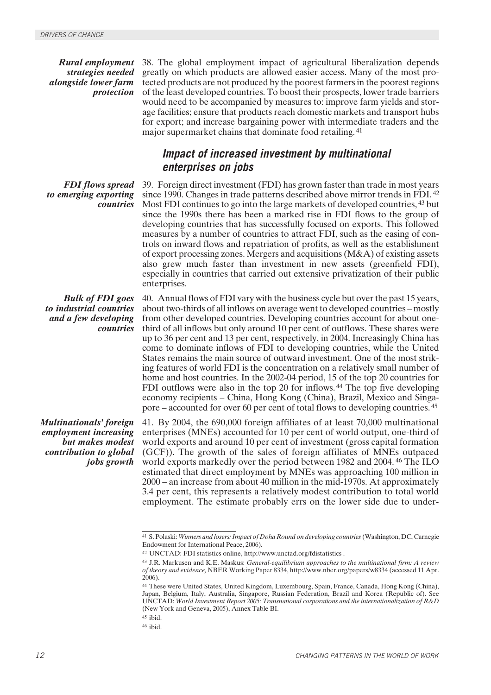*Rural employment strategies needed alongside lower farm protection* 38. The global employment impact of agricultural liberalization depends greatly on which products are allowed easier access. Many of the most protected products are not produced by the poorest farmers in the poorest regions of the least developed countries. To boost their prospects, lower trade barriers would need to be accompanied by measures to: improve farm yields and storage facilities; ensure that products reach domestic markets and transport hubs for export; and increase bargaining power with intermediate traders and the major supermarket chains that dominate food retailing. <sup>41</sup>

#### *Impact of increased investment by multinational enterprises on jobs*

*FDI flows spread to emerging exporting countries*

39. Foreign direct investment (FDI) has grown faster than trade in most years since 1990. Changes in trade patterns described above mirror trends in FDI. <sup>42</sup> Most FDI continues to go into the large markets of developed countries, 43 but since the 1990s there has been a marked rise in FDI flows to the group of developing countries that has successfully focused on exports. This followed measures by a number of countries to attract FDI, such as the easing of controls on inward flows and repatriation of profits, as well as the establishment of export processing zones. Mergers and acquisitions  $(M&A)$  of existing assets also grew much faster than investment in new assets (greenfield FDI), especially in countries that carried out extensive privatization of their public enterprises.

*Bulk of FDI goes to industrial countries and a few developing countries*

40. Annual flows of FDI vary with the business cycle but over the past 15 years, about two-thirds of all inflows on average went to developed countries – mostly from other developed countries. Developing countries account for about onethird of all inflows but only around 10 per cent of outflows. These shares were up to 36 per cent and 13 per cent, respectively, in 2004. Increasingly China has come to dominate inflows of FDI to developing countries, while the United States remains the main source of outward investment. One of the most striking features of world FDI is the concentration on a relatively small number of home and host countries. In the 2002-04 period, 15 of the top 20 countries for FDI outflows were also in the top 20 for inflows.<sup>44</sup> The top five developing economy recipients – China, Hong Kong (China), Brazil, Mexico and Singapore – accounted for over 60 per cent of total flows to developing countries. <sup>45</sup>

*Multinationals' foreign employment increasing but makes modest contribution to global jobs growth* 41. By 2004, the 690,000 foreign affiliates of at least 70,000 multinational enterprises (MNEs) accounted for 10 per cent of world output, one-third of world exports and around 10 per cent of investment (gross capital formation (GCF)). The growth of the sales of foreign affiliates of MNEs outpaced world exports markedly over the period between 1982 and 2004. 46 The ILO estimated that direct employment by MNEs was approaching 100 million in 2000 – an increase from about 40 million in the mid-1970s. At approximately 3.4 per cent, this represents a relatively modest contribution to total world employment. The estimate probably errs on the lower side due to under-

<sup>41</sup> S. Polaski: *Winners and losers: Impact of Doha Round on developing countries* (Washington, DC, Carnegie Endowment for International Peace, 2006).

<sup>42</sup> UNCTAD: FDI statistics online, http://www.unctad.org/fdistatistics .

<sup>43</sup> J.R. Markusen and K.E. Maskus: *General-equilibrium approaches to the multinational firm: A review of theory and evidence,* NBER Working Paper 8334, http://www.nber.org/papers/w8334 (accessed 11 Apr. 2006).

<sup>44</sup> These were United States, United Kingdom, Luxembourg, Spain, France, Canada, Hong Kong (China), Japan, Belgium, Italy, Australia, Singapore, Russian Federation, Brazil and Korea (Republic of). See UNCTAD: *World Investment Report 2005: Transnational corporations and the internationalization of R&D* (New York and Geneva, 2005), Annex Table BI.

<sup>45</sup> ibid.

<sup>46</sup> ibid.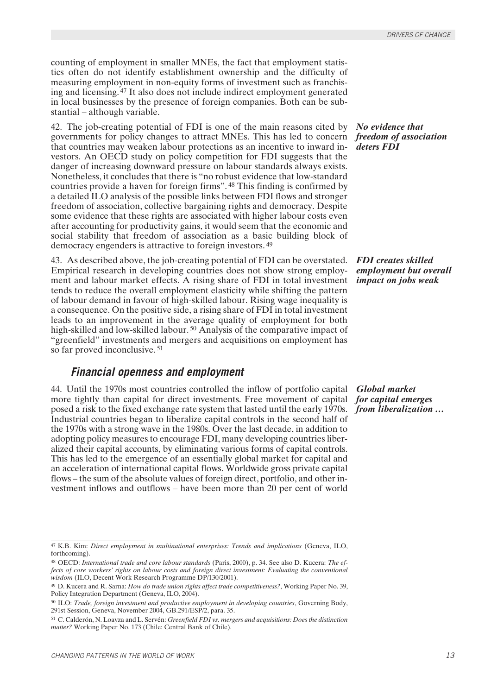counting of employment in smaller MNEs, the fact that employment statistics often do not identify establishment ownership and the difficulty of measuring employment in non-equity forms of investment such as franchising and licensing. 47 It also does not include indirect employment generated in local businesses by the presence of foreign companies. Both can be substantial – although variable.

governments for policy changes to attract MNEs. This has led to concern *freedom of association* 42. The job-creating potential of FDI is one of the main reasons cited by that countries may weaken labour protections as an incentive to inward investors. An OECD study on policy competition for FDI suggests that the danger of increasing downward pressure on labour standards always exists. Nonetheless, it concludes that there is "no robust evidence that low-standard countries provide a haven for foreign firms". 48 This finding is confirmed by a detailed ILO analysis of the possible links between FDI flows and stronger freedom of association, collective bargaining rights and democracy. Despite some evidence that these rights are associated with higher labour costs even after accounting for productivity gains, it would seem that the economic and social stability that freedom of association as a basic building block of democracy engenders is attractive to foreign investors. <sup>49</sup>

43. As described above, the job-creating potential of FDI can be overstated. Empirical research in developing countries does not show strong employment and labour market effects. A rising share of FDI in total investment tends to reduce the overall employment elasticity while shifting the pattern of labour demand in favour of high-skilled labour. Rising wage inequality is a consequence. On the positive side, a rising share of FDI in total investment leads to an improvement in the average quality of employment for both high-skilled and low-skilled labour.<sup>50</sup> Analysis of the comparative impact of "greenfield" investments and mergers and acquisitions on employment has so far proved inconclusive. <sup>51</sup>

#### *Financial openness and employment*

44. Until the 1970s most countries controlled the inflow of portfolio capital more tightly than capital for direct investments. Free movement of capital posed a risk to the fixed exchange rate system that lasted until the early 1970s. Industrial countries began to liberalize capital controls in the second half of the 1970s with a strong wave in the 1980s. Over the last decade, in addition to adopting policy measures to encourage FDI, many developing countries liberalized their capital accounts, by eliminating various forms of capital controls. This has led to the emergence of an essentially global market for capital and an acceleration of international capital flows. Worldwide gross private capital flows – the sum of the absolute values of foreign direct, portfolio, and other investment inflows and outflows – have been more than 20 per cent of world

### *No evidence that deters FDI*

*FDI creates skilled employment but overall impact on jobs weak*

*Global market for capital emerges from liberalization …*

<sup>47</sup> K.B. Kim: *Direct employment in multinational enterprises: Trends and implications* (Geneva, ILO, forthcoming).

<sup>48</sup> OECD: *International trade and core labour standards* (Paris, 2000), p. 34. See also D. Kucera: *The effects of core workers' rights on labour costs and foreign direct investment: Evaluating the conventional wisdom* (ILO, Decent Work Research Programme DP/130/2001).

<sup>49</sup> D. Kucera and R. Sarna: *How do trade union rights affect trade competitiveness?*, Working Paper No. 39, Policy Integration Department (Geneva, ILO, 2004).

<sup>50</sup> ILO: *Trade, foreign investment and productive employment in developing countries*, Governing Body, 291st Session, Geneva, November 2004, GB.291/ESP/2, para. 35.

<sup>51</sup> C. Calderón, N. Loayza and L. Servén: *Greenfield FDI vs. mergers and acquisitions: Does the distinction matter?* Working Paper No. 173 (Chile: Central Bank of Chile).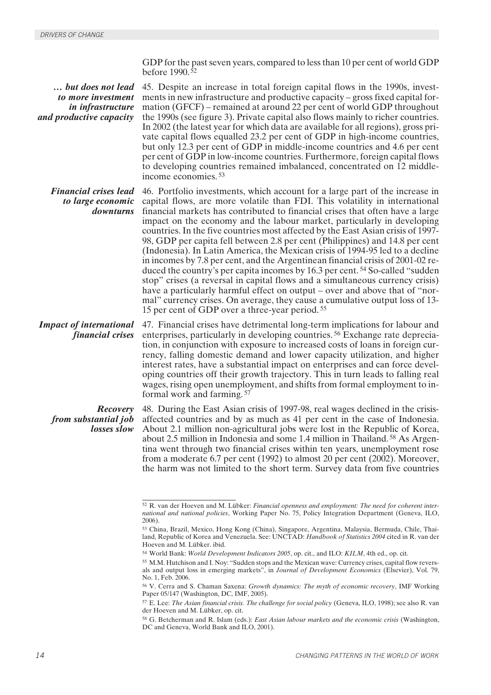GDP for the past seven years, compared to less than 10 per cent of world GDP before  $1990.\overline{52}$ 

*… but does not lead to more investment in infrastructure and productive capacity*

45. Despite an increase in total foreign capital flows in the 1990s, investments in new infrastructure and productive capacity – gross fixed capital formation (GFCF) – remained at around 22 per cent of world GDP throughout the 1990s (see figure 3). Private capital also flows mainly to richer countries. In 2002 (the latest year for which data are available for all regions), gross private capital flows equalled 23.2 per cent of GDP in high-income countries, but only 12.3 per cent of GDP in middle-income countries and 4.6 per cent per cent of GDP in low-income countries. Furthermore, foreign capital flows to developing countries remained imbalanced, concentrated on 12 middleincome economies. <sup>53</sup>

*Financial crises lead to large economic downturns* 46. Portfolio investments, which account for a large part of the increase in capital flows, are more volatile than FDI. This volatility in international financial markets has contributed to financial crises that often have a large impact on the economy and the labour market, particularly in developing countries. In the five countries most affected by the East Asian crisis of 1997- 98, GDP per capita fell between 2.8 per cent (Philippines) and 14.8 per cent (Indonesia). In Latin America, the Mexican crisis of 1994-95 led to a decline in incomes by 7.8 per cent, and the Argentinean financial crisis of 2001-02 reduced the country's per capita incomes by 16.3 per cent. 54 So-called "sudden stop" crises (a reversal in capital flows and a simultaneous currency crisis) have a particularly harmful effect on output – over and above that of "normal" currency crises. On average, they cause a cumulative output loss of 13- 15 per cent of GDP over a three-year period. <sup>55</sup>

*Impact of international financial crises* 47. Financial crises have detrimental long-term implications for labour and enterprises, particularly in developing countries. 56 Exchange rate depreciation, in conjunction with exposure to increased costs of loans in foreign currency, falling domestic demand and lower capacity utilization, and higher interest rates, have a substantial impact on enterprises and can force developing countries off their growth trajectory. This in turn leads to falling real wages, rising open unemployment, and shifts from formal employment to informal work and farming. <sup>57</sup>

*Recovery from substantial job losses slow* 48. During the East Asian crisis of 1997-98, real wages declined in the crisisaffected countries and by as much as 41 per cent in the case of Indonesia. About 2.1 million non-agricultural jobs were lost in the Republic of Korea, about 2.5 million in Indonesia and some 1.4 million in Thailand. 58 As Argentina went through two financial crises within ten years, unemployment rose from a moderate 6.7 per cent (1992) to almost 20 per cent (2002). Moreover, the harm was not limited to the short term. Survey data from five countries

<sup>52</sup> R. van der Hoeven and M. Lübker: *Financial openness and employment: The need for coherent international and national policies*, Working Paper No. 75, Policy Integration Department (Geneva, ILO, 2006).

<sup>53</sup> China, Brazil, Mexico, Hong Kong (China), Singapore, Argentina, Malaysia, Bermuda, Chile, Thailand, Republic of Korea and Venezuela. See: UNCTAD: *Handbook of Statistics 2004* cited in R. van der Hoeven and M. Lübker. ibid.

<sup>54</sup> World Bank: *World Development Indicators 2005*, op. cit., and ILO: *KILM*, 4th ed., op. cit.

<sup>55</sup> M.M. Hutchison and I. Noy: "Sudden stops and the Mexican wave: Currency crises, capital flow reversals and output loss in emerging markets", in *Journal of Development Economics* (Elsevier), Vol. 79, No. 1, Feb. 2006.

<sup>56</sup> V. Cerra and S. Chaman Saxena: *Growth dynamics: The myth of economic recovery*, IMF Working Paper 05/147 (Washington, DC, IMF, 2005).

<sup>57</sup> E. Lee: *The Asian financial crisis. The challenge for social policy* (Geneva, ILO, 1998); see also R. van der Hoeven and M. Lübker, op. cit.

<sup>58</sup> G. Betcherman and R. Islam (eds.): *East Asian labour markets and the economic crisis* (Washington, DC and Geneva, World Bank and ILO, 2001).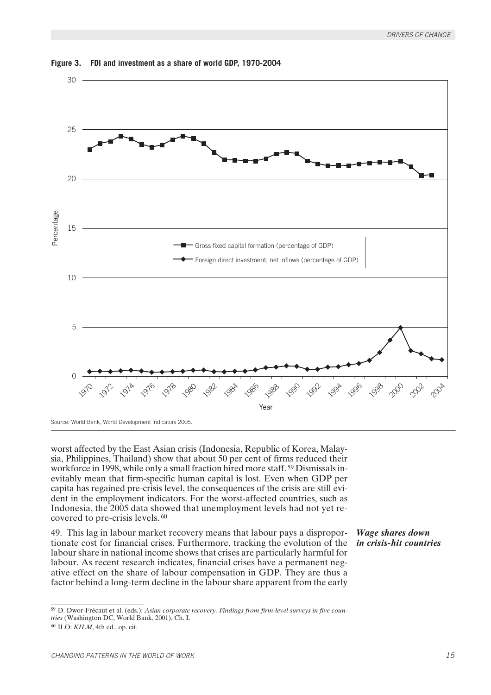

**Figure 3. FDI and investment as a share of world GDP, 1970-2004** 

worst affected by the East Asian crisis (Indonesia, Republic of Korea, Malaysia, Philippines, Thailand) show that about 50 per cent of firms reduced their workforce in 1998, while only a small fraction hired more staff. <sup>59</sup> Dismissals inevitably mean that firm-specific human capital is lost. Even when GDP per capita has regained pre-crisis level, the consequences of the crisis are still evident in the employment indicators. For the worst-affected countries, such as Indonesia, the 2005 data showed that unemployment levels had not yet recovered to pre-crisis levels. <sup>60</sup>

49. This lag in labour market recovery means that labour pays a disproportionate cost for financial crises. Furthermore, tracking the evolution of the labour share in national income shows that crises are particularly harmful for labour. As recent research indicates, financial crises have a permanent negative effect on the share of labour compensation in GDP. They are thus a factor behind a long-term decline in the labour share apparent from the early

*Wage shares down in crisis-hit countries*

Source: World Bank, World Development Indicators 2005.

<sup>59</sup> D. Dwor-Frécaut et al. (eds.): *Asian corporate recovery. Findings from firm-level surveys in five countries* (Washington DC, World Bank, 2001), Ch. I.

<sup>60</sup> ILO: *KILM*, 4th ed., op. cit.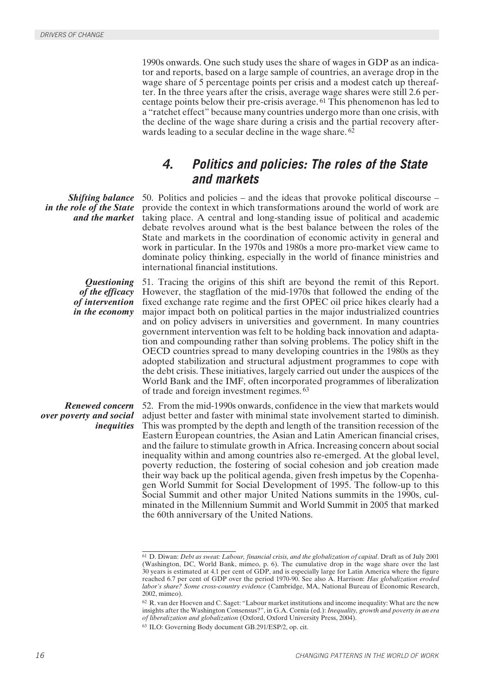1990s onwards. One such study uses the share of wages in GDP as an indicator and reports, based on a large sample of countries, an average drop in the wage share of 5 percentage points per crisis and a modest catch up thereafter. In the three years after the crisis, average wage shares were still 2.6 percentage points below their pre-crisis average. 61 This phenomenon has led to a "ratchet effect" because many countries undergo more than one crisis, with the decline of the wage share during a crisis and the partial recovery afterwards leading to a secular decline in the wage share. <sup>62</sup>

### *4. Politics and policies: The roles of the State and markets*

*Shifting balance in the role of the State and the market* 50. Politics and policies – and the ideas that provoke political discourse – provide the context in which transformations around the world of work are taking place. A central and long-standing issue of political and academic debate revolves around what is the best balance between the roles of the State and markets in the coordination of economic activity in general and work in particular. In the 1970s and 1980s a more pro-market view came to dominate policy thinking, especially in the world of finance ministries and international financial institutions.

*Questioning of the efficacy of intervention in the economy*

51. Tracing the origins of this shift are beyond the remit of this Report. However, the stagflation of the mid-1970s that followed the ending of the fixed exchange rate regime and the first OPEC oil price hikes clearly had a major impact both on political parties in the major industrialized countries and on policy advisers in universities and government. In many countries government intervention was felt to be holding back innovation and adaptation and compounding rather than solving problems. The policy shift in the OECD countries spread to many developing countries in the 1980s as they adopted stabilization and structural adjustment programmes to cope with the debt crisis. These initiatives, largely carried out under the auspices of the World Bank and the IMF, often incorporated programmes of liberalization of trade and foreign investment regimes. <sup>63</sup>

*Renewed concern over poverty and social inequities* 52. From the mid-1990s onwards, confidence in the view that markets would adjust better and faster with minimal state involvement started to diminish. This was prompted by the depth and length of the transition recession of the Eastern European countries, the Asian and Latin American financial crises, and the failure to stimulate growth in Africa. Increasing concern about social inequality within and among countries also re-emerged. At the global level, poverty reduction, the fostering of social cohesion and job creation made their way back up the political agenda, given fresh impetus by the Copenhagen World Summit for Social Development of 1995. The follow-up to this Social Summit and other major United Nations summits in the 1990s, culminated in the Millennium Summit and World Summit in 2005 that marked the 60th anniversary of the United Nations.

<sup>61</sup> D. Diwan: *Debt as sweat: Labour, financial crisis, and the globalization of capital*. Draft as of July 2001 (Washington, DC, World Bank, mimeo, p. 6). The cumulative drop in the wage share over the last 30 years is estimated at 4.1 per cent of GDP, and is especially large for Latin America where the figure reached 6.7 per cent of GDP over the period 1970-90. See also A. Harrison: *Has globalization eroded labor's share? Some cross-country evidence* (Cambridge, MA, National Bureau of Economic Research, 2002, mimeo).

 $62$  R. van der Hoeven and C. Saget: "Labour market institutions and income inequality: What are the new insights after the Washington Consensus?", in G.A. Cornia (ed.): *Inequality, growth and poverty in an era of liberalization and globalization* (Oxford, Oxford University Press, 2004).

<sup>63</sup> ILO: Governing Body document GB.291/ESP/2, op. cit.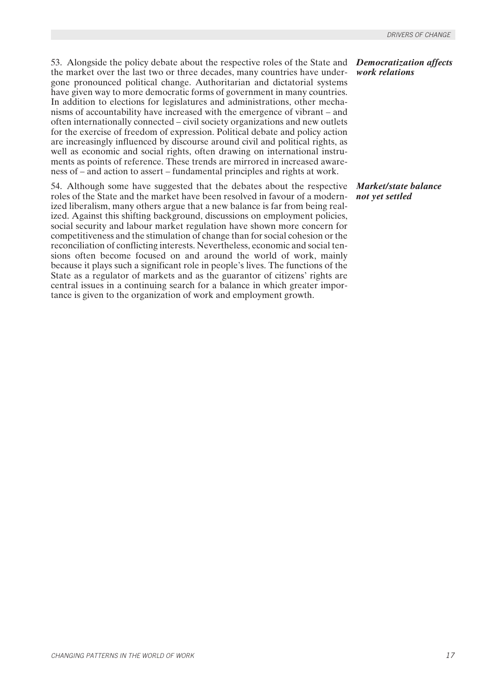53. Alongside the policy debate about the respective roles of the State and the market over the last two or three decades, many countries have undergone pronounced political change. Authoritarian and dictatorial systems have given way to more democratic forms of government in many countries. In addition to elections for legislatures and administrations, other mechanisms of accountability have increased with the emergence of vibrant – and often internationally connected – civil society organizations and new outlets for the exercise of freedom of expression. Political debate and policy action are increasingly influenced by discourse around civil and political rights, as well as economic and social rights, often drawing on international instruments as points of reference. These trends are mirrored in increased awareness of – and action to assert – fundamental principles and rights at work.

54. Although some have suggested that the debates about the respective roles of the State and the market have been resolved in favour of a modernized liberalism, many others argue that a new balance is far from being realized. Against this shifting background, discussions on employment policies, social security and labour market regulation have shown more concern for competitiveness and the stimulation of change than for social cohesion or the reconciliation of conflicting interests. Nevertheless, economic and social tensions often become focused on and around the world of work, mainly because it plays such a significant role in people's lives. The functions of the State as a regulator of markets and as the guarantor of citizens' rights are central issues in a continuing search for a balance in which greater importance is given to the organization of work and employment growth.

#### *Democratization affects work relations*

#### *Market/state balance not yet settled*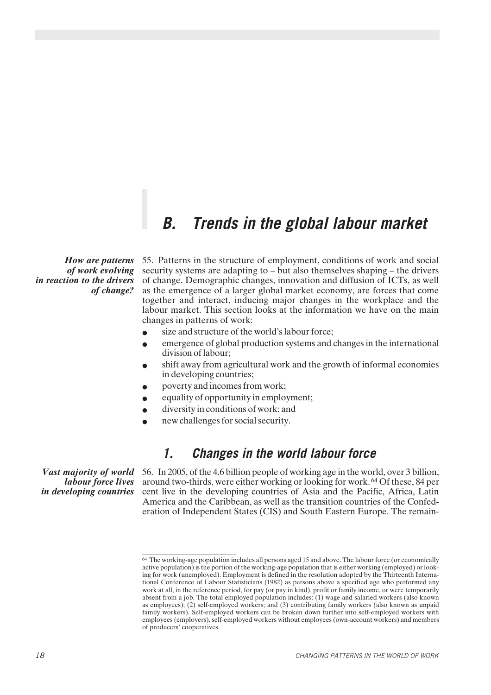### *B. Trends in the global labour market*

*of work evolving in reaction to the drivers of change?*

How are patterns 55. Patterns in the structure of employment, conditions of work and social security systems are adapting to – but also themselves shaping – the drivers of change. Demographic changes, innovation and diffusion of ICTs, as well as the emergence of a larger global market economy, are forces that come together and interact, inducing major changes in the workplace and the labour market. This section looks at the information we have on the main changes in patterns of work:

- size and structure of the world's labour force;
- emergence of global production systems and changes in the international division of labour;
- shift away from agricultural work and the growth of informal economies in developing countries;
- poverty and incomes from work;
- equality of opportunity in employment;
- diversity in conditions of work; and
- new challenges for social security.

#### *1. Changes in the world labour force*

*labour force lives in developing countries*

Vast majority of world 56. In 2005, of the 4.6 billion people of working age in the world, over 3 billion, around two-thirds, were either working or looking for work. 64 Of these, 84 per cent live in the developing countries of Asia and the Pacific, Africa, Latin America and the Caribbean, as well as the transition countries of the Confederation of Independent States (CIS) and South Eastern Europe. The remain-

<sup>64</sup> The working-age population includes all persons aged 15 and above. The labour force (or economically active population) is the portion of the working-age population that is either working (employed) or looking for work (unemployed). Employment is defined in the resolution adopted by the Thirteenth International Conference of Labour Statisticians (1982) as persons above a specified age who performed any work at all, in the reference period, for pay (or pay in kind), profit or family income, or were temporarily absent from a job. The total employed population includes: (1) wage and salaried workers (also known as employees); (2) self-employed workers; and (3) contributing family workers (also known as unpaid family workers). Self-employed workers can be broken down further into self-employed workers with employees (employers), self-employed workers without employees (own-account workers) and members of producers' cooperatives.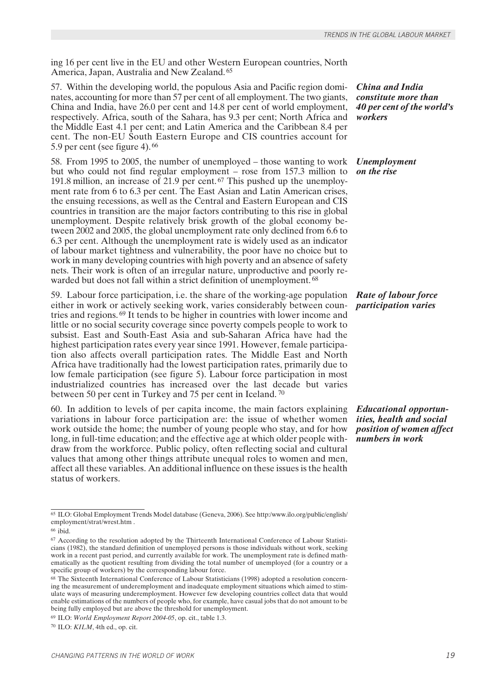ing 16 per cent live in the EU and other Western European countries, North America, Japan, Australia and New Zealand. <sup>65</sup>

57. Within the developing world, the populous Asia and Pacific region dominates, accounting for more than 57 per cent of all employment. The two giants, China and India, have 26.0 per cent and 14.8 per cent of world employment, respectively. Africa, south of the Sahara, has 9.3 per cent; North Africa and the Middle East 4.1 per cent; and Latin America and the Caribbean 8.4 per cent. The non-EU South Eastern Europe and CIS countries account for 5.9 per cent (see figure 4). <sup>66</sup>

58. From 1995 to 2005, the number of unemployed – those wanting to work but who could not find regular employment – rose from 157.3 million to 191.8 million, an increase of 21.9 per cent. 67 This pushed up the unemployment rate from 6 to 6.3 per cent. The East Asian and Latin American crises, the ensuing recessions, as well as the Central and Eastern European and CIS countries in transition are the major factors contributing to this rise in global unemployment. Despite relatively brisk growth of the global economy between 2002 and 2005, the global unemployment rate only declined from 6.6 to 6.3 per cent. Although the unemployment rate is widely used as an indicator of labour market tightness and vulnerability, the poor have no choice but to work in many developing countries with high poverty and an absence of safety nets. Their work is often of an irregular nature, unproductive and poorly rewarded but does not fall within a strict definition of unemployment. <sup>68</sup>

59. Labour force participation, i.e. the share of the working-age population either in work or actively seeking work, varies considerably between countries and regions. 69 It tends to be higher in countries with lower income and little or no social security coverage since poverty compels people to work to subsist. East and South-East Asia and sub-Saharan Africa have had the highest participation rates every year since 1991. However, female participation also affects overall participation rates. The Middle East and North Africa have traditionally had the lowest participation rates, primarily due to low female participation (see figure 5). Labour force participation in most industrialized countries has increased over the last decade but varies between 50 per cent in Turkey and 75 per cent in Iceland. <sup>70</sup>

60. In addition to levels of per capita income, the main factors explaining variations in labour force participation are: the issue of whether women work outside the home; the number of young people who stay, and for how long, in full-time education; and the effective age at which older people withdraw from the workforce. Public policy, often reflecting social and cultural values that among other things attribute unequal roles to women and men, affect all these variables. An additional influence on these issues is the health status of workers.

#### *Unemployment on the rise*

#### *Rate of labour force participation varies*

*Educational opportunities, health and social position of women affect numbers in work*

<sup>65</sup> ILO: Global Employment Trends Model database (Geneva, 2006). See http:/www.ilo.org/public/english/ employment/strat/wrest.htm .

<sup>66</sup> ibid.

<sup>67</sup> According to the resolution adopted by the Thirteenth International Conference of Labour Statisticians (1982), the standard definition of unemployed persons is those individuals without work, seeking work in a recent past period, and currently available for work. The unemployment rate is defined mathematically as the quotient resulting from dividing the total number of unemployed (for a country or a specific group of workers) by the corresponding labour force.

<sup>68</sup> The Sixteenth International Conference of Labour Statisticians (1998) adopted a resolution concerning the measurement of underemployment and inadequate employment situations which aimed to stimulate ways of measuring underemployment. However few developing countries collect data that would enable estimations of the numbers of people who, for example, have casual jobs that do not amount to be being fully employed but are above the threshold for unemployment.

<sup>69</sup> ILO: *World Employment Report 2004-05*, op. cit., table 1.3.

<sup>70</sup> ILO: *KILM*, 4th ed., op. cit.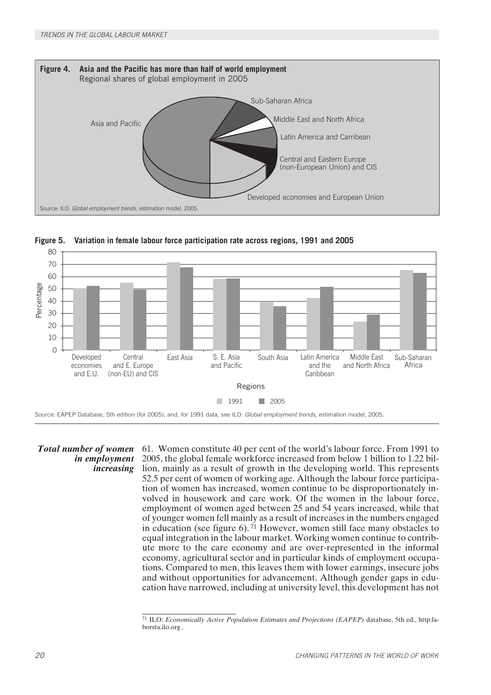





#### *Total number of women in employment increasing*

61. Women constitute 40 per cent of the world's labour force. From 1991 to 2005, the global female workforce increased from below 1 billion to 1.22 billion, mainly as a result of growth in the developing world. This represents 52.5 per cent of women of working age. Although the labour force participation of women has increased, women continue to be disproportionately involved in housework and care work. Of the women in the labour force, employment of women aged between 25 and 54 years increased, while that of younger women fell mainly as a result of increases in the numbers engaged in education (see figure 6).<sup> $71$ </sup> However, women still face many obstacles to equal integration in the labour market. Working women continue to contribute more to the care economy and are over-represented in the informal economy, agricultural sector and in particular kinds of employment occupations. Compared to men, this leaves them with lower earnings, insecure jobs and without opportunities for advancement. Although gender gaps in education have narrowed, including at university level, this development has not

<sup>71</sup> ILO: *Economically Active Population Estimates and Projections (EAPEP)* database, 5th ed., http:laborsta.ilo.org .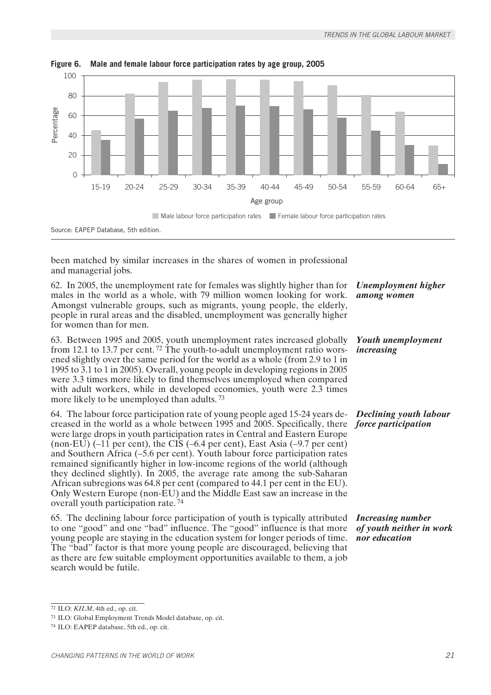

**Figure 6. Male and female labour force participation rates by age group, 2005**

been matched by similar increases in the shares of women in professional and managerial jobs.

62. In 2005, the unemployment rate for females was slightly higher than for males in the world as a whole, with 79 million women looking for work. Amongst vulnerable groups, such as migrants, young people, the elderly, people in rural areas and the disabled, unemployment was generally higher for women than for men.

63. Between 1995 and 2005, youth unemployment rates increased globally from 12.1 to 13.7 per cent. 72 The youth-to-adult unemployment ratio worsened slightly over the same period for the world as a whole (from 2.9 to 1 in 1995 to 3.1 to 1 in 2005). Overall, young people in developing regions in 2005 were 3.3 times more likely to find themselves unemployed when compared with adult workers, while in developed economies, youth were 2.3 times more likely to be unemployed than adults.<sup>73</sup>

64. The labour force participation rate of young people aged 15-24 years decreased in the world as a whole between 1995 and 2005. Specifically, there were large drops in youth participation rates in Central and Eastern Europe (non-EU) (–11 per cent), the CIS (–6.4 per cent), East Asia (–9.7 per cent) and Southern Africa (–5.6 per cent). Youth labour force participation rates remained significantly higher in low-income regions of the world (although they declined slightly). In 2005, the average rate among the sub-Saharan African subregions was 64.8 per cent (compared to 44.1 per cent in the EU). Only Western Europe (non-EU) and the Middle East saw an increase in the overall youth participation rate. <sup>74</sup>

65. The declining labour force participation of youth is typically attributed to one "good" and one "bad" influence. The "good" influence is that more young people are staying in the education system for longer periods of time. The "bad" factor is that more young people are discouraged, believing that as there are few suitable employment opportunities available to them, a job search would be futile.

*Unemployment higher among women*

#### *Youth unemployment increasing*

*Declining youth labour force participation*

*Increasing number of youth neither in work nor education*

<sup>72</sup> ILO: *KILM*, 4th ed., op. cit.

<sup>73</sup> ILO: Global Employment Trends Model database, op. cit.

<sup>74</sup> ILO: EAPEP database, 5th ed., op. cit.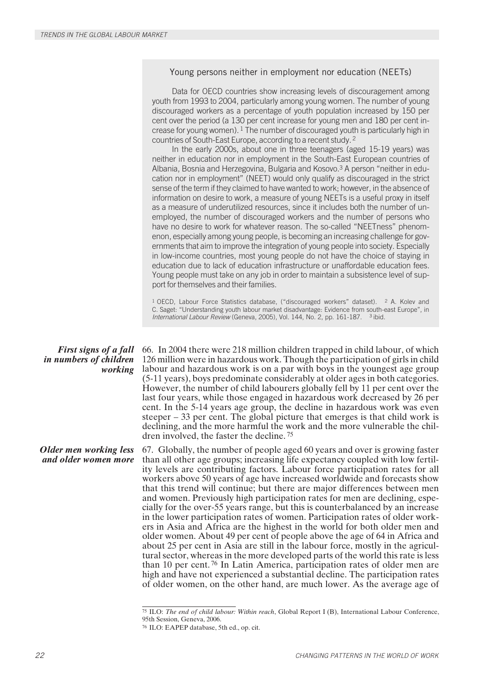Young persons neither in employment nor education (NEETs)

Data for OECD countries show increasing levels of discouragement among youth from 1993 to 2004, particularly among young women. The number of young discouraged workers as a percentage of youth population increased by 150 per cent over the period (a 130 per cent increase for young men and 180 per cent increase for young women). 1 The number of discouraged youth is particularly high in countries of South-East Europe, according to a recent study. <sup>2</sup>

In the early 2000s, about one in three teenagers (aged 15-19 years) was neither in education nor in employment in the South-East European countries of Albania, Bosnia and Herzegovina, Bulgaria and Kosovo.3 A person "neither in education nor in employment" (NEET) would only qualify as discouraged in the strict sense of the term if they claimed to have wanted to work; however, in the absence of information on desire to work, a measure of young NEETs is a useful proxy in itself as a measure of underutilized resources, since it includes both the number of unemployed, the number of discouraged workers and the number of persons who have no desire to work for whatever reason. The so-called "NEETness" phenomenon, especially among young people, is becoming an increasing challenge for governments that aim to improve the integration of young people into society. Especially in low-income countries, most young people do not have the choice of staying in education due to lack of education infrastructure or unaffordable education fees. Young people must take on any job in order to maintain a subsistence level of support for themselves and their families.

<sup>1</sup> OECD, Labour Force Statistics database, ("discouraged workers" dataset). <sup>2</sup> A. Kolev and C. Saget: "Understanding youth labour market disadvantage: Evidence from south-east Europe", in *International Labour Review* (Geneva, 2005), Vol. 144, No. 2, pp. 161-187. <sup>3</sup> ibid.

*First signs of a fall in numbers of children working* 66. In 2004 there were 218 million children trapped in child labour, of which 126 million were in hazardous work. Though the participation of girls in child labour and hazardous work is on a par with boys in the youngest age group (5-11 years), boys predominate considerably at older ages in both categories. However, the number of child labourers globally fell by 11 per cent over the last four years, while those engaged in hazardous work decreased by 26 per cent. In the 5-14 years age group, the decline in hazardous work was even steeper – 33 per cent. The global picture that emerges is that child work is declining, and the more harmful the work and the more vulnerable the children involved, the faster the decline. <sup>75</sup>

*Older men working less and older women more* 67. Globally, the number of people aged 60 years and over is growing faster than all other age groups; increasing life expectancy coupled with low fertility levels are contributing factors. Labour force participation rates for all workers above 50 years of age have increased worldwide and forecasts show that this trend will continue; but there are major differences between men and women. Previously high participation rates for men are declining, especially for the over-55 years range, but this is counterbalanced by an increase in the lower participation rates of women. Participation rates of older workers in Asia and Africa are the highest in the world for both older men and older women. About 49 per cent of people above the age of 64 in Africa and about 25 per cent in Asia are still in the labour force, mostly in the agricultural sector, whereas in the more developed parts of the world this rate is less than 10 per cent. 76 In Latin America, participation rates of older men are high and have not experienced a substantial decline. The participation rates of older women, on the other hand, are much lower. As the average age of

<sup>75</sup> ILO: *The end of child labour: Within reach*, Global Report I (B), International Labour Conference, 95th Session, Geneva, 2006.

<sup>76</sup> ILO: EAPEP database, 5th ed., op. cit.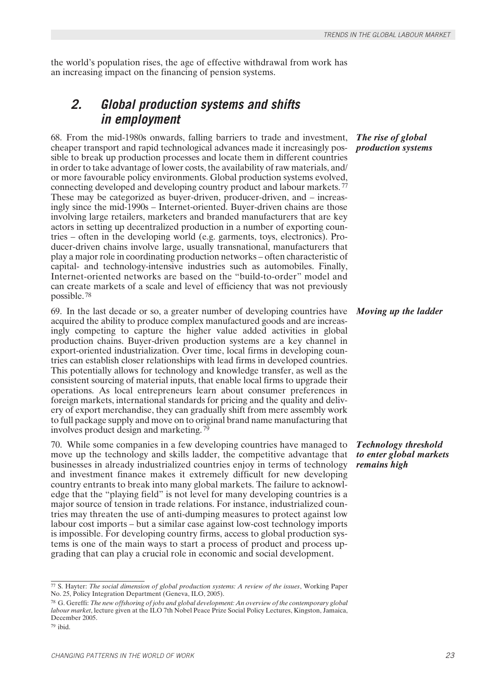the world's population rises, the age of effective withdrawal from work has an increasing impact on the financing of pension systems.

### *2. Global production systems and shifts in employment*

68. From the mid-1980s onwards, falling barriers to trade and investment, cheaper transport and rapid technological advances made it increasingly possible to break up production processes and locate them in different countries in order to take advantage of lower costs, the availability of raw materials, and/ or more favourable policy environments. Global production systems evolved, connecting developed and developing country product and labour markets.<sup>77</sup> These may be categorized as buyer-driven, producer-driven, and – increasingly since the mid-1990s – Internet-oriented. Buyer-driven chains are those involving large retailers, marketers and branded manufacturers that are key actors in setting up decentralized production in a number of exporting countries – often in the developing world (e.g. garments, toys, electronics). Producer-driven chains involve large, usually transnational, manufacturers that play a major role in coordinating production networks – often characteristic of capital- and technology-intensive industries such as automobiles. Finally, Internet-oriented networks are based on the "build-to-order" model and can create markets of a scale and level of efficiency that was not previously possible. <sup>78</sup>

69. In the last decade or so, a greater number of developing countries have *Moving up the ladder* acquired the ability to produce complex manufactured goods and are increasingly competing to capture the higher value added activities in global production chains. Buyer-driven production systems are a key channel in export-oriented industrialization. Over time, local firms in developing countries can establish closer relationships with lead firms in developed countries. This potentially allows for technology and knowledge transfer, as well as the consistent sourcing of material inputs, that enable local firms to upgrade their operations. As local entrepreneurs learn about consumer preferences in foreign markets, international standards for pricing and the quality and delivery of export merchandise, they can gradually shift from mere assembly work to full package supply and move on to original brand name manufacturing that involves product design and marketing. <sup>79</sup>

70. While some companies in a few developing countries have managed to move up the technology and skills ladder, the competitive advantage that businesses in already industrialized countries enjoy in terms of technology and investment finance makes it extremely difficult for new developing country entrants to break into many global markets. The failure to acknowledge that the "playing field" is not level for many developing countries is a major source of tension in trade relations. For instance, industrialized countries may threaten the use of anti-dumping measures to protect against low labour cost imports – but a similar case against low-cost technology imports is impossible. For developing country firms, access to global production systems is one of the main ways to start a process of product and process upgrading that can play a crucial role in economic and social development.

*The rise of global production systems*

*Technology threshold to enter global markets remains high*

<sup>77</sup> S. Hayter: *The social dimension of global production systems: A review of the issues*, Working Paper No. 25, Policy Integration Department (Geneva, ILO, 2005).

<sup>78</sup> G. Gereffi: *The new offshoring of jobs and global development: An overview of the contemporary global labour market*, lecture given at the ILO 7th Nobel Peace Prize Social Policy Lectures, Kingston, Jamaica, December 2005.

<sup>79</sup> ibid.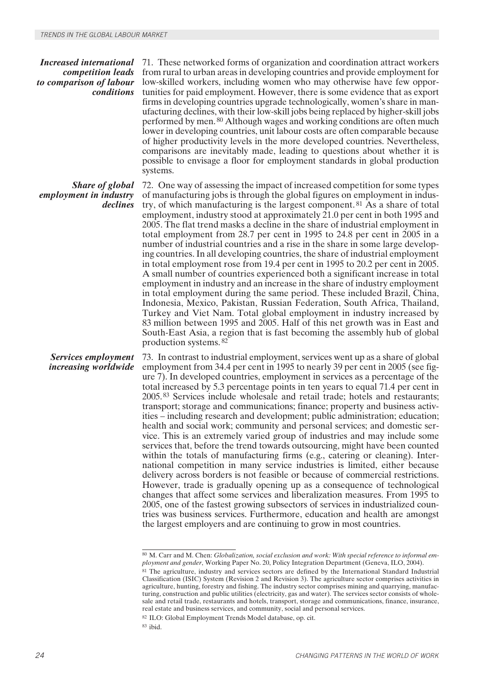#### *Increased international competition leads to comparison of labour conditions*

71. These networked forms of organization and coordination attract workers from rural to urban areas in developing countries and provide employment for low-skilled workers, including women who may otherwise have few opportunities for paid employment. However, there is some evidence that as export firms in developing countries upgrade technologically, women's share in manufacturing declines, with their low-skill jobs being replaced by higher-skill jobs performed by men. 80 Although wages and working conditions are often much lower in developing countries, unit labour costs are often comparable because of higher productivity levels in the more developed countries. Nevertheless, comparisons are inevitably made, leading to questions about whether it is possible to envisage a floor for employment standards in global production systems.

#### *Share of global employment in industry declines*

72. One way of assessing the impact of increased competition for some types of manufacturing jobs is through the global figures on employment in industry, of which manufacturing is the largest component. 81 As a share of total employment, industry stood at approximately 21.0 per cent in both 1995 and 2005. The flat trend masks a decline in the share of industrial employment in total employment from 28.7 per cent in 1995 to 24.8 per cent in 2005 in a number of industrial countries and a rise in the share in some large developing countries. In all developing countries, the share of industrial employment in total employment rose from 19.4 per cent in 1995 to 20.2 per cent in 2005. A small number of countries experienced both a significant increase in total employment in industry and an increase in the share of industry employment in total employment during the same period. These included Brazil, China, Indonesia, Mexico, Pakistan, Russian Federation, South Africa, Thailand, Turkey and Viet Nam. Total global employment in industry increased by 83 million between 1995 and 2005. Half of this net growth was in East and South-East Asia, a region that is fast becoming the assembly hub of global production systems. <sup>82</sup>

*Services employment increasing worldwide* 73. In contrast to industrial employment, services went up as a share of global employment from 34.4 per cent in 1995 to nearly 39 per cent in 2005 (see figure 7). In developed countries, employment in services as a percentage of the total increased by 5.3 percentage points in ten years to equal 71.4 per cent in 2005. 83 Services include wholesale and retail trade; hotels and restaurants; transport; storage and communications; finance; property and business activities – including research and development; public administration; education; health and social work; community and personal services; and domestic service. This is an extremely varied group of industries and may include some services that, before the trend towards outsourcing, might have been counted within the totals of manufacturing firms (e.g., catering or cleaning). International competition in many service industries is limited, either because delivery across borders is not feasible or because of commercial restrictions. However, trade is gradually opening up as a consequence of technological changes that affect some services and liberalization measures. From 1995 to 2005, one of the fastest growing subsectors of services in industrialized countries was business services. Furthermore, education and health are amongst the largest employers and are continuing to grow in most countries.

sale and retail trade, restaurants and hotels, transport, storage and communications, finance, insurance, real estate and business services, and community, social and personal services.

<sup>82</sup> ILO: Global Employment Trends Model database, op. cit.

<sup>80</sup> M. Carr and M. Chen: *Globalization, social exclusion and work: With special reference to informal employment and gender*, Working Paper No. 20, Policy Integration Department (Geneva, ILO, 2004). <sup>81</sup> The agriculture, industry and services sectors are defined by the International Standard Industrial Classification (ISIC) System (Revision 2 and Revision 3). The agriculture sector comprises activities in agriculture, hunting, forestry and fishing. The industry sector comprises mining and quarrying, manufacturing, construction and public utilities (electricity, gas and water). The services sector consists of whole-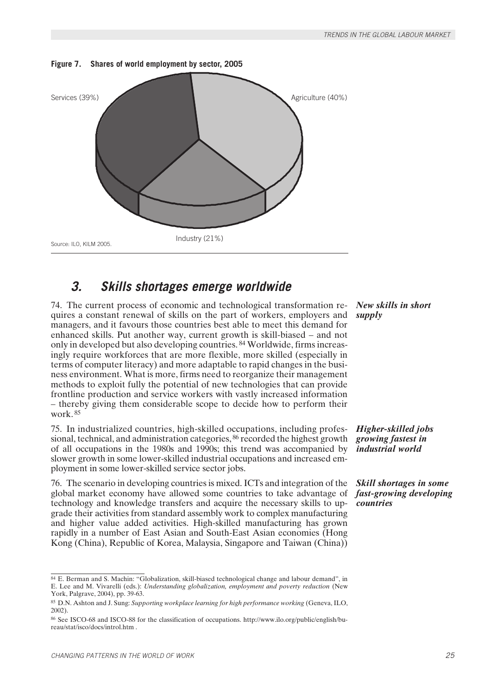

**Figure 7. Shares of world employment by sector, 2005**

### *3. Skills shortages emerge worldwide*

74. The current process of economic and technological transformation requires a constant renewal of skills on the part of workers, employers and managers, and it favours those countries best able to meet this demand for enhanced skills. Put another way, current growth is skill-biased – and not only in developed but also developing countries. 84 Worldwide, firms increasingly require workforces that are more flexible, more skilled (especially in terms of computer literacy) and more adaptable to rapid changes in the business environment. What is more, firms need to reorganize their management methods to exploit fully the potential of new technologies that can provide frontline production and service workers with vastly increased information – thereby giving them considerable scope to decide how to perform their work. <sup>85</sup>

75. In industrialized countries, high-skilled occupations, including professional, technical, and administration categories, 86 recorded the highest growth of all occupations in the 1980s and 1990s; this trend was accompanied by slower growth in some lower-skilled industrial occupations and increased employment in some lower-skilled service sector jobs.

76. The scenario in developing countries is mixed. ICTs and integration of the global market economy have allowed some countries to take advantage of technology and knowledge transfers and acquire the necessary skills to upgrade their activities from standard assembly work to complex manufacturing and higher value added activities. High-skilled manufacturing has grown rapidly in a number of East Asian and South-East Asian economies (Hong Kong (China), Republic of Korea, Malaysia, Singapore and Taiwan (China))

*New skills in short supply*

*Higher-skilled jobs growing fastest in industrial world*

*Skill shortages in some fast-growing developing countries*

<sup>84</sup> E. Berman and S. Machin: "Globalization, skill-biased technological change and labour demand", in E. Lee and M. Vivarelli (eds.): *Understanding globalization, employment and poverty reduction* (New York, Palgrave, 2004), pp. 39-63.

<sup>85</sup> D.N. Ashton and J. Sung: *Supporting workplace learning for high performance working* (Geneva, ILO, 2002).

<sup>86</sup> See ISCO-68 and ISCO-88 for the classification of occupations. http://www.ilo.org/public/english/bureau/stat/isco/docs/introl.htm .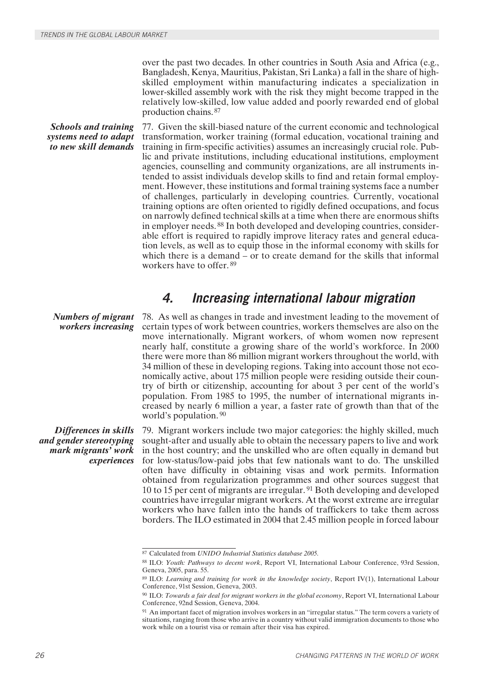over the past two decades. In other countries in South Asia and Africa (e.g., Bangladesh, Kenya, Mauritius, Pakistan, Sri Lanka) a fall in the share of highskilled employment within manufacturing indicates a specialization in lower-skilled assembly work with the risk they might become trapped in the relatively low-skilled, low value added and poorly rewarded end of global production chains. <sup>87</sup>

*Schools and training systems need to adapt to new skill demands* 77. Given the skill-biased nature of the current economic and technological transformation, worker training (formal education, vocational training and training in firm-specific activities) assumes an increasingly crucial role. Public and private institutions, including educational institutions, employment agencies, counselling and community organizations, are all instruments intended to assist individuals develop skills to find and retain formal employment. However, these institutions and formal training systems face a number of challenges, particularly in developing countries. Currently, vocational training options are often oriented to rigidly defined occupations, and focus on narrowly defined technical skills at a time when there are enormous shifts in employer needs. 88 In both developed and developing countries, considerable effort is required to rapidly improve literacy rates and general education levels, as well as to equip those in the informal economy with skills for which there is a demand – or to create demand for the skills that informal workers have to offer. <sup>89</sup>

#### *4. Increasing international labour migration*

*Numbers of migrant workers increasing*

78. As well as changes in trade and investment leading to the movement of certain types of work between countries, workers themselves are also on the move internationally. Migrant workers, of whom women now represent nearly half, constitute a growing share of the world's workforce. In 2000 there were more than 86 million migrant workers throughout the world, with 34 million of these in developing regions. Taking into account those not economically active, about 175 million people were residing outside their country of birth or citizenship, accounting for about 3 per cent of the world's population. From 1985 to 1995, the number of international migrants increased by nearly 6 million a year, a faster rate of growth than that of the world's population. <sup>90</sup>

*Differences in skills and gender stereotyping mark migrants' work experiences*

79. Migrant workers include two major categories: the highly skilled, much sought-after and usually able to obtain the necessary papers to live and work in the host country; and the unskilled who are often equally in demand but for low-status/low-paid jobs that few nationals want to do. The unskilled often have difficulty in obtaining visas and work permits. Information obtained from regularization programmes and other sources suggest that 10 to 15 per cent of migrants are irregular. 91 Both developing and developed countries have irregular migrant workers. At the worst extreme are irregular workers who have fallen into the hands of traffickers to take them across borders. The ILO estimated in 2004 that 2.45 million people in forced labour

<sup>87</sup> Calculated from *UNIDO Industrial Statistics database 2005.*

<sup>88</sup> ILO: *Youth: Pathways to decent work*, Report VI, International Labour Conference, 93rd Session, Geneva, 2005, para. 55.

<sup>89</sup> ILO: *Learning and training for work in the knowledge society*, Report IV(1), International Labour Conference, 91st Session, Geneva, 2003.

<sup>90</sup> ILO: *Towards a fair deal for migrant workers in the global economy*, Report VI, International Labour Conference, 92nd Session, Geneva, 2004.

<sup>&</sup>lt;sup>91</sup> An important facet of migration involves workers in an "irregular status." The term covers a variety of situations, ranging from those who arrive in a country without valid immigration documents to those who work while on a tourist visa or remain after their visa has expired.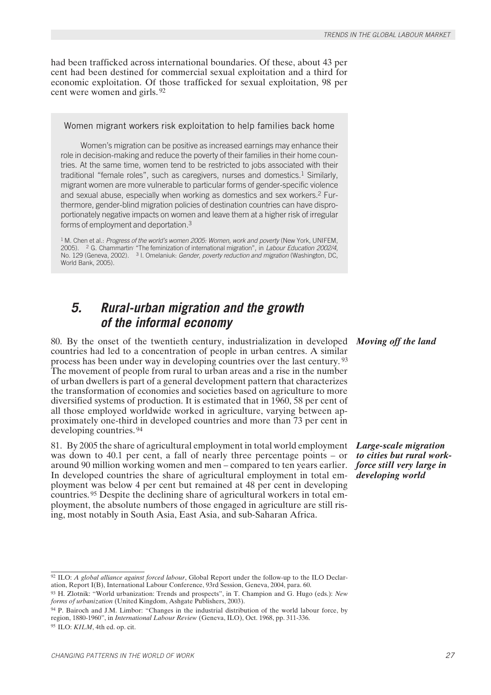had been trafficked across international boundaries. Of these, about 43 per cent had been destined for commercial sexual exploitation and a third for economic exploitation. Of those trafficked for sexual exploitation, 98 per cent were women and girls. 92

Women migrant workers risk exploitation to help families back home

Women's migration can be positive as increased earnings may enhance their role in decision-making and reduce the poverty of their families in their home countries. At the same time, women tend to be restricted to jobs associated with their traditional "female roles", such as caregivers, nurses and domestics.<sup>1</sup> Similarly, migrant women are more vulnerable to particular forms of gender-specific violence and sexual abuse, especially when working as domestics and sex workers.2 Furthermore, gender-blind migration policies of destination countries can have disproportionately negative impacts on women and leave them at a higher risk of irregular forms of employment and deportation.3

1 M. Chen et al.: *Progress of the world's women 2005: Women, work and poverty* (New York, UNIFEM, 2005). 2 G. Chammartin: "The feminization of international migration", in *Labour Education 2002/4*, No. 129 (Geneva, 2002). 3 I. Omelaniuk: *Gender, poverty reduction and migration* (Washington, DC, World Bank, 2005).

## *5. Rural-urban migration and the growth of the informal economy*

80. By the onset of the twentieth century, industrialization in developed *Moving off the land* countries had led to a concentration of people in urban centres. A similar process has been under way in developing countries over the last century. <sup>93</sup> The movement of people from rural to urban areas and a rise in the number of urban dwellers is part of a general development pattern that characterizes the transformation of economies and societies based on agriculture to more diversified systems of production. It is estimated that in 1960, 58 per cent of all those employed worldwide worked in agriculture, varying between approximately one-third in developed countries and more than 73 per cent in developing countries. <sup>94</sup>

*force still very large in*  around 90 million working women and men – compared to ten years earlier. 81. By 2005 the share of agricultural employment in total world employment was down to 40.1 per cent, a fall of nearly three percentage points – or In developed countries the share of agricultural employment in total employment was below 4 per cent but remained at 48 per cent in developing countries. 95 Despite the declining share of agricultural workers in total employment, the absolute numbers of those engaged in agriculture are still rising, most notably in South Asia, East Asia, and sub-Saharan Africa.

*Large-scale migration to cities but rural workdeveloping world*

<sup>92</sup> ILO: *A global alliance against forced labour*, Global Report under the follow-up to the ILO Declaration, Report I(B), International Labour Conference, 93rd Session, Geneva, 2004, para. 60.

<sup>93</sup> H. Zlotnik: "World urbanization: Trends and prospects", in T. Champion and G. Hugo (eds.): *New forms of urbanization* (United Kingdom, Ashgate Publishers, 2003).

<sup>94</sup> P. Bairoch and J.M. Limbor: "Changes in the industrial distribution of the world labour force, by region, 1880-1960", in *International Labour Review* (Geneva, ILO), Oct. 1968, pp. 311-336.

<sup>95</sup> ILO: *KILM*, 4th ed. op. cit.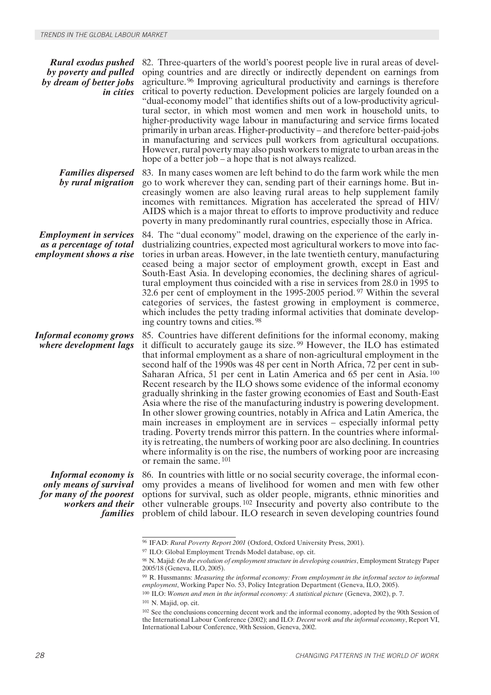*Rural exodus pushed by poverty and pulled by dream of better jobs in cities* 82. Three-quarters of the world's poorest people live in rural areas of developing countries and are directly or indirectly dependent on earnings from agriculture. 96 Improving agricultural productivity and earnings is therefore critical to poverty reduction. Development policies are largely founded on a "dual-economy model" that identifies shifts out of a low-productivity agricultural sector, in which most women and men work in household units, to higher-productivity wage labour in manufacturing and service firms located primarily in urban areas. Higher-productivity – and therefore better-paid-jobs in manufacturing and services pull workers from agricultural occupations. However, rural poverty may also push workers to migrate to urban areas in the hope of a better job – a hope that is not always realized. *Families dispersed by rural migration* 83. In many cases women are left behind to do the farm work while the men go to work wherever they can, sending part of their earnings home. But increasingly women are also leaving rural areas to help supplement family incomes with remittances. Migration has accelerated the spread of HIV/ AIDS which is a major threat to efforts to improve productivity and reduce poverty in many predominantly rural countries, especially those in Africa. *Employment in services as a percentage of total employment shows a rise* 84. The "dual economy" model, drawing on the experience of the early industrializing countries, expected most agricultural workers to move into factories in urban areas. However, in the late twentieth century, manufacturing ceased being a major sector of employment growth, except in East and South-East Asia. In developing economies, the declining shares of agricultural employment thus coincided with a rise in services from 28.0 in 1995 to 32.6 per cent of employment in the 1995-2005 period. 97 Within the several categories of services, the fastest growing in employment is commerce, which includes the petty trading informal activities that dominate developing country towns and cities. <sup>98</sup> *Informal economy grows where development lags* 85. Countries have different definitions for the informal economy, making it difficult to accurately gauge its size. 99 However, the ILO has estimated that informal employment as a share of non-agricultural employment in the second half of the 1990s was 48 per cent in North Africa, 72 per cent in sub-Saharan Africa, 51 per cent in Latin America and 65 per cent in Asia.<sup>100</sup> Recent research by the ILO shows some evidence of the informal economy gradually shrinking in the faster growing economies of East and South-East Asia where the rise of the manufacturing industry is powering development. In other slower growing countries, notably in Africa and Latin America, the main increases in employment are in services – especially informal petty trading. Poverty trends mirror this pattern. In the countries where informality is retreating, the numbers of working poor are also declining. In countries where informality is on the rise, the numbers of working poor are increasing or remain the same. <sup>101</sup> *Informal economy is only means of survival* 86. In countries with little or no social security coverage, the informal economy provides a means of livelihood for women and men with few other

*for many of the poorest workers and their families*

options for survival, such as older people, migrants, ethnic minorities and other vulnerable groups. 102 Insecurity and poverty also contribute to the problem of child labour. ILO research in seven developing countries found

<sup>101</sup> N. Majid, op. cit.

<sup>96</sup> IFAD: *Rural Poverty Report 2001* (Oxford, Oxford University Press, 2001).

<sup>97</sup> ILO: Global Employment Trends Model database, op. cit.

<sup>98</sup> N. Majid: *On the evolution of employment structure in developing countries*, Employment Strategy Paper 2005/18 (Geneva, ILO, 2005).

<sup>99</sup> R. Hussmanns: *Measuring the informal economy: From employment in the informal sector to informal employment*, Working Paper No. 53, Policy Integration Department (Geneva, ILO, 2005).

<sup>100</sup> ILO: *Women and men in the informal economy: A statistical picture* (Geneva, 2002), p. 7.

<sup>&</sup>lt;sup>102</sup> See the conclusions concerning decent work and the informal economy, adopted by the 90th Session of the International Labour Conference (2002); and ILO: *Decent work and the informal economy*, Report VI, International Labour Conference, 90th Session, Geneva, 2002.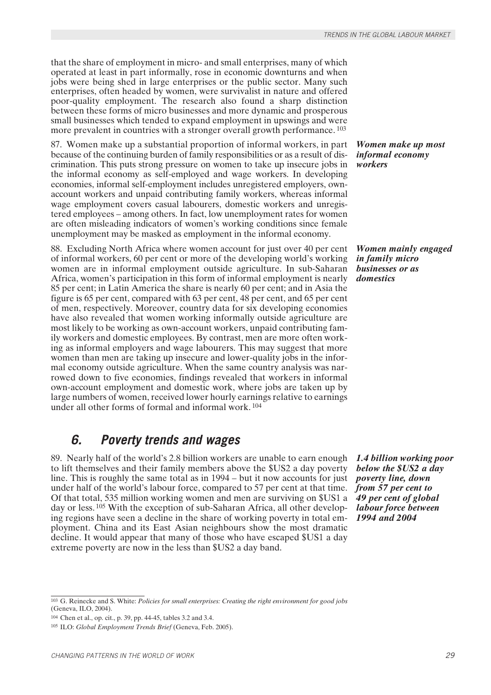that the share of employment in micro- and small enterprises, many of which operated at least in part informally, rose in economic downturns and when jobs were being shed in large enterprises or the public sector. Many such enterprises, often headed by women, were survivalist in nature and offered poor-quality employment. The research also found a sharp distinction between these forms of micro businesses and more dynamic and prosperous small businesses which tended to expand employment in upswings and were more prevalent in countries with a stronger overall growth performance. <sup>103</sup>

87. Women make up a substantial proportion of informal workers, in part because of the continuing burden of family responsibilities or as a result of discrimination. This puts strong pressure on women to take up insecure jobs in the informal economy as self-employed and wage workers. In developing economies, informal self-employment includes unregistered employers, ownaccount workers and unpaid contributing family workers, whereas informal wage employment covers casual labourers, domestic workers and unregistered employees – among others. In fact, low unemployment rates for women are often misleading indicators of women's working conditions since female unemployment may be masked as employment in the informal economy.

88. Excluding North Africa where women account for just over 40 per cent of informal workers, 60 per cent or more of the developing world's working women are in informal employment outside agriculture. In sub-Saharan Africa, women's participation in this form of informal employment is nearly 85 per cent; in Latin America the share is nearly 60 per cent; and in Asia the figure is 65 per cent, compared with 63 per cent, 48 per cent, and 65 per cent of men, respectively. Moreover, country data for six developing economies have also revealed that women working informally outside agriculture are most likely to be working as own-account workers, unpaid contributing family workers and domestic employees. By contrast, men are more often working as informal employers and wage labourers. This may suggest that more women than men are taking up insecure and lower-quality jobs in the informal economy outside agriculture. When the same country analysis was narrowed down to five economies, findings revealed that workers in informal own-account employment and domestic work, where jobs are taken up by large numbers of women, received lower hourly earnings relative to earnings under all other forms of formal and informal work. <sup>104</sup>

#### *6. Poverty trends and wages*

89. Nearly half of the world's 2.8 billion workers are unable to earn enough to lift themselves and their family members above the \$US2 a day poverty line. This is roughly the same total as in 1994 – but it now accounts for just under half of the world's labour force, compared to 57 per cent at that time. Of that total, 535 million working women and men are surviving on \$US1 a day or less. 105 With the exception of sub-Saharan Africa, all other developing regions have seen a decline in the share of working poverty in total employment. China and its East Asian neighbours show the most dramatic decline. It would appear that many of those who have escaped \$US1 a day extreme poverty are now in the less than \$US2 a day band.

*Women make up most informal economy workers*

*Women mainly engaged in family micro businesses or as domestics*

*1.4 billion working poor below the \$US2 a day poverty line, down from 57 per cent to 49 per cent of global labour force between 1994 and 2004*

<sup>103</sup> G. Reinecke and S. White: *Policies for small enterprises: Creating the right environment for good jobs* (Geneva, ILO, 2004).

<sup>104</sup> Chen et al., op. cit., p. 39, pp. 44-45, tables 3.2 and 3.4.

<sup>105</sup> ILO: *Global Employment Trends Brief* (Geneva, Feb. 2005).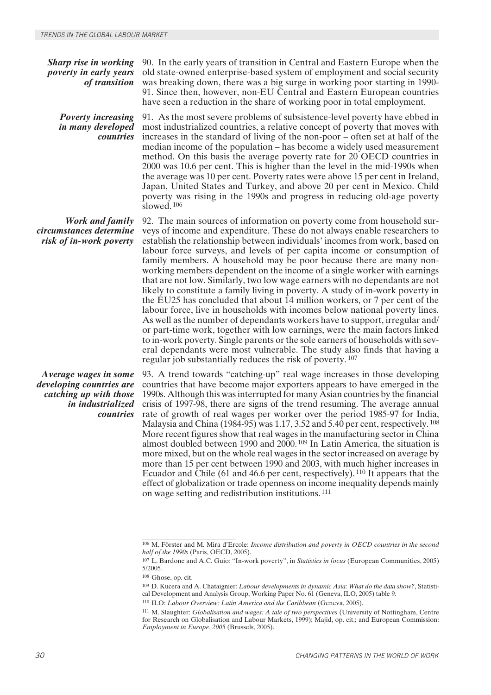*Sharp rise in working poverty in early years of transition*

> *Poverty increasing in many developed countries*

*Work and family*

*circumstances determine risk of in-work poverty*

90. In the early years of transition in Central and Eastern Europe when the old state-owned enterprise-based system of employment and social security was breaking down, there was a big surge in working poor starting in 1990- 91. Since then, however, non-EU Central and Eastern European countries have seen a reduction in the share of working poor in total employment.

91. As the most severe problems of subsistence-level poverty have ebbed in most industrialized countries, a relative concept of poverty that moves with increases in the standard of living of the non-poor – often set at half of the median income of the population – has become a widely used measurement method. On this basis the average poverty rate for 20 OECD countries in 2000 was 10.6 per cent. This is higher than the level in the mid-1990s when the average was 10 per cent. Poverty rates were above 15 per cent in Ireland, Japan, United States and Turkey, and above 20 per cent in Mexico. Child poverty was rising in the 1990s and progress in reducing old-age poverty slowed. <sup>106</sup>

92. The main sources of information on poverty come from household surveys of income and expenditure. These do not always enable researchers to establish the relationship between individuals' incomes from work, based on labour force surveys, and levels of per capita income or consumption of family members. A household may be poor because there are many nonworking members dependent on the income of a single worker with earnings that are not low. Similarly, two low wage earners with no dependants are not likely to constitute a family living in poverty. A study of in-work poverty in the EU25 has concluded that about 14 million workers, or 7 per cent of the labour force, live in households with incomes below national poverty lines. As well as the number of dependants workers have to support, irregular and/ or part-time work, together with low earnings, were the main factors linked to in-work poverty. Single parents or the sole earners of households with several dependants were most vulnerable. The study also finds that having a regular job substantially reduces the risk of poverty. <sup>107</sup>

*Average wages in some developing countries are catching up with those in industrialized countries*

93. A trend towards "catching-up" real wage increases in those developing countries that have become major exporters appears to have emerged in the 1990s. Although this was interrupted for many Asian countries by the financial crisis of 1997-98, there are signs of the trend resuming. The average annual rate of growth of real wages per worker over the period 1985-97 for India, Malaysia and China (1984-95) was 1.17, 3.52 and 5.40 per cent, respectively. <sup>108</sup> More recent figures show that real wages in the manufacturing sector in China almost doubled between 1990 and 2000. 109 In Latin America, the situation is more mixed, but on the whole real wages in the sector increased on average by more than 15 per cent between 1990 and 2003, with much higher increases in Ecuador and Chile (61 and 46.6 per cent, respectively). 110 It appears that the effect of globalization or trade openness on income inequality depends mainly on wage setting and redistribution institutions. <sup>111</sup>

<sup>106</sup> M. Förster and M. Mira d'Ercole: *Income distribution and poverty in OECD countries in the second half of the 1990s* (Paris, OECD, 2005).

<sup>107</sup> L. Bardone and A.C. Guio: "In-work poverty", in *Statistics in focus* (European Communities, 2005) 5/2005.

<sup>108</sup> Ghose, op. cit.

<sup>109</sup> D. Kucera and A. Chataignier: *Labour developments in dynamic Asia: What do the data show?*, Statistical Development and Analysis Group, Working Paper No. 61 (Geneva, ILO, 2005) table 9.

<sup>110</sup> ILO: *Labour Overview: Latin America and the Caribbean* (Geneva, 2005).

<sup>111</sup> M. Slaughter: *Globalisation and wages: A tale of two perspectives* (University of Nottingham, Centre for Research on Globalisation and Labour Markets, 1999); Majid, op. cit.; and European Commission: *Employment in Europe*, *2005* (Brussels, 2005).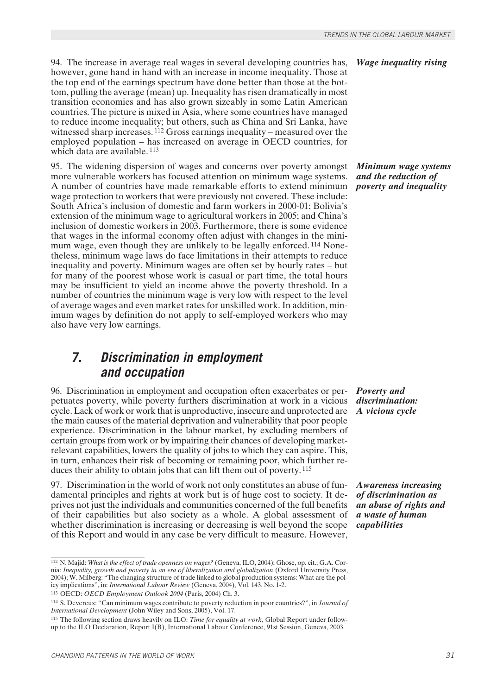#### 94. The increase in average real wages in several developing countries has, *Wage inequality rising* however, gone hand in hand with an increase in income inequality. Those at the top end of the earnings spectrum have done better than those at the bottom, pulling the average (mean) up. Inequality has risen dramatically in most transition economies and has also grown sizeably in some Latin American countries. The picture is mixed in Asia, where some countries have managed to reduce income inequality; but others, such as China and Sri Lanka, have witnessed sharp increases.  $112$  Gross earnings inequality – measured over the employed population – has increased on average in OECD countries, for which data are available.<sup>113</sup>

95. The widening dispersion of wages and concerns over poverty amongst more vulnerable workers has focused attention on minimum wage systems. A number of countries have made remarkable efforts to extend minimum wage protection to workers that were previously not covered. These include: South Africa's inclusion of domestic and farm workers in 2000-01; Bolivia's extension of the minimum wage to agricultural workers in 2005; and China's inclusion of domestic workers in 2003. Furthermore, there is some evidence that wages in the informal economy often adjust with changes in the minimum wage, even though they are unlikely to be legally enforced.<sup>114</sup> Nonetheless, minimum wage laws do face limitations in their attempts to reduce inequality and poverty. Minimum wages are often set by hourly rates – but for many of the poorest whose work is casual or part time, the total hours may be insufficient to yield an income above the poverty threshold. In a number of countries the minimum wage is very low with respect to the level of average wages and even market rates for unskilled work. In addition, minimum wages by definition do not apply to self-employed workers who may also have very low earnings.

# *7. Discrimination in employment and occupation*

96. Discrimination in employment and occupation often exacerbates or perpetuates poverty, while poverty furthers discrimination at work in a vicious cycle. Lack of work or work that is unproductive, insecure and unprotected are the main causes of the material deprivation and vulnerability that poor people experience. Discrimination in the labour market, by excluding members of certain groups from work or by impairing their chances of developing marketrelevant capabilities, lowers the quality of jobs to which they can aspire. This, in turn, enhances their risk of becoming or remaining poor, which further reduces their ability to obtain jobs that can lift them out of poverty. <sup>115</sup>

97. Discrimination in the world of work not only constitutes an abuse of fundamental principles and rights at work but is of huge cost to society. It deprives not just the individuals and communities concerned of the full benefits of their capabilities but also society as a whole. A global assessment of whether discrimination is increasing or decreasing is well beyond the scope of this Report and would in any case be very difficult to measure. However,

*Minimum wage systems and the reduction of poverty and inequality*

*Poverty and discrimination: A vicious cycle*

*Awareness increasing of discrimination as an abuse of rights and a waste of human capabilities*

<sup>112</sup> N. Majid: *What is the effect of trade openness on wages?* (Geneva, ILO, 2004); Ghose, op. cit.; G.A. Cornia: *Inequality, growth and poverty in an era of liberalization and globalization* (Oxford University Press, 2004); W. Milberg: "The changing structure of trade linked to global production systems: What are the policy implications", in: *International Labour Review* (Geneva, 2004), Vol. 143, No. 1-2.

<sup>113</sup> OECD: *OECD Employment Outlook 2004* (Paris, 2004) Ch. 3.

<sup>114</sup> S. Devereux: "Can minimum wages contribute to poverty reduction in poor countries?", in *Journal of International Development* (John Wiley and Sons, 2005), Vol. 17.

<sup>115</sup> The following section draws heavily on ILO: *Time for equality at work*, Global Report under followup to the ILO Declaration, Report I(B), International Labour Conference, 91st Session, Geneva, 2003.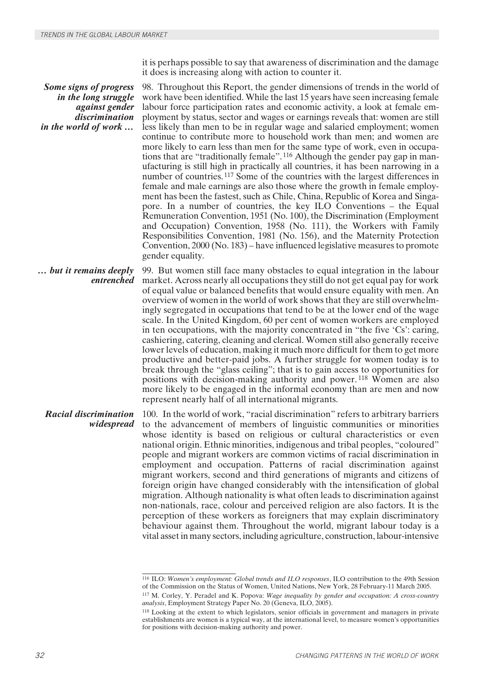it is perhaps possible to say that awareness of discrimination and the damage it does is increasing along with action to counter it.

*Some signs of progress in the long struggle against gender discrimination in the world of work …*

98. Throughout this Report, the gender dimensions of trends in the world of work have been identified. While the last 15 years have seen increasing female labour force participation rates and economic activity, a look at female employment by status, sector and wages or earnings reveals that: women are still less likely than men to be in regular wage and salaried employment; women continue to contribute more to household work than men; and women are more likely to earn less than men for the same type of work, even in occupations that are "traditionally female". 116 Although the gender pay gap in manufacturing is still high in practically all countries, it has been narrowing in a number of countries. 117 Some of the countries with the largest differences in female and male earnings are also those where the growth in female employment has been the fastest, such as Chile, China, Republic of Korea and Singapore. In a number of countries, the key ILO Conventions – the Equal Remuneration Convention, 1951 (No. 100), the Discrimination (Employment and Occupation) Convention, 1958 (No. 111), the Workers with Family Responsibilities Convention, 1981 (No. 156), and the Maternity Protection Convention, 2000 (No. 183) – have influenced legislative measures to promote gender equality.

*… but it remains deeply entrenched* 99. But women still face many obstacles to equal integration in the labour market. Across nearly all occupations they still do not get equal pay for work of equal value or balanced benefits that would ensure equality with men. An overview of women in the world of work shows that they are still overwhelmingly segregated in occupations that tend to be at the lower end of the wage scale. In the United Kingdom, 60 per cent of women workers are employed in ten occupations, with the majority concentrated in "the five 'Cs': caring, cashiering, catering, cleaning and clerical. Women still also generally receive lower levels of education, making it much more difficult for them to get more productive and better-paid jobs. A further struggle for women today is to break through the "glass ceiling"; that is to gain access to opportunities for positions with decision-making authority and power. 118 Women are also more likely to be engaged in the informal economy than are men and now represent nearly half of all international migrants.

*Racial discrimination widespread* 100. In the world of work, "racial discrimination" refers to arbitrary barriers to the advancement of members of linguistic communities or minorities whose identity is based on religious or cultural characteristics or even national origin. Ethnic minorities, indigenous and tribal peoples, "coloured" people and migrant workers are common victims of racial discrimination in employment and occupation. Patterns of racial discrimination against migrant workers, second and third generations of migrants and citizens of foreign origin have changed considerably with the intensification of global migration. Although nationality is what often leads to discrimination against non-nationals, race, colour and perceived religion are also factors. It is the perception of these workers as foreigners that may explain discriminatory behaviour against them. Throughout the world, migrant labour today is a vital asset in many sectors, including agriculture, construction, labour-intensive

<sup>116</sup> ILO: *Women's employment: Global trends and ILO responses*, ILO contribution to the 49th Session of the Commission on the Status of Women, United Nations, New York, 28 February-11 March 2005.

<sup>117</sup> M. Corley, Y. Peradel and K. Popova: *Wage inequality by gender and occupation: A cross-country analysis*, Employment Strategy Paper No. 20 (Geneva, ILO, 2005).

<sup>118</sup> Looking at the extent to which legislators, senior officials in government and managers in private establishments are women is a typical way, at the international level, to measure women's opportunities for positions with decision-making authority and power.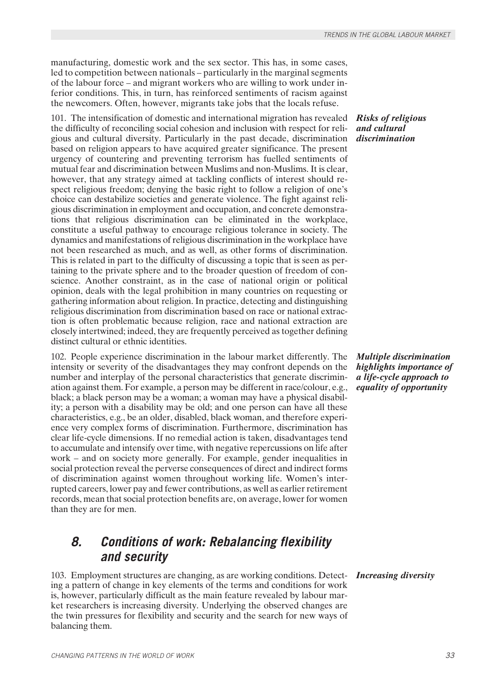manufacturing, domestic work and the sex sector. This has, in some cases, led to competition between nationals – particularly in the marginal segments of the labour force – and migrant workers who are willing to work under inferior conditions. This, in turn, has reinforced sentiments of racism against the newcomers. Often, however, migrants take jobs that the locals refuse.

101. The intensification of domestic and international migration has revealed the difficulty of reconciling social cohesion and inclusion with respect for religious and cultural diversity. Particularly in the past decade, discrimination based on religion appears to have acquired greater significance. The present urgency of countering and preventing terrorism has fuelled sentiments of mutual fear and discrimination between Muslims and non-Muslims. It is clear, however, that any strategy aimed at tackling conflicts of interest should respect religious freedom; denying the basic right to follow a religion of one's choice can destabilize societies and generate violence. The fight against religious discrimination in employment and occupation, and concrete demonstrations that religious discrimination can be eliminated in the workplace, constitute a useful pathway to encourage religious tolerance in society. The dynamics and manifestations of religious discrimination in the workplace have not been researched as much, and as well, as other forms of discrimination. This is related in part to the difficulty of discussing a topic that is seen as pertaining to the private sphere and to the broader question of freedom of conscience. Another constraint, as in the case of national origin or political opinion, deals with the legal prohibition in many countries on requesting or gathering information about religion. In practice, detecting and distinguishing religious discrimination from discrimination based on race or national extraction is often problematic because religion, race and national extraction are closely intertwined; indeed, they are frequently perceived as together defining distinct cultural or ethnic identities.

102. People experience discrimination in the labour market differently. The intensity or severity of the disadvantages they may confront depends on the number and interplay of the personal characteristics that generate discrimination against them. For example, a person may be different in race/colour, e.g., black; a black person may be a woman; a woman may have a physical disability; a person with a disability may be old; and one person can have all these characteristics, e.g., be an older, disabled, black woman, and therefore experience very complex forms of discrimination. Furthermore, discrimination has clear life-cycle dimensions. If no remedial action is taken, disadvantages tend to accumulate and intensify over time, with negative repercussions on life after work – and on society more generally. For example, gender inequalities in social protection reveal the perverse consequences of direct and indirect forms of discrimination against women throughout working life. Women's interrupted careers, lower pay and fewer contributions, as well as earlier retirement records, mean that social protection benefits are, on average, lower for women than they are for men.

## *8. Conditions of work: Rebalancing flexibility and security*

103. Employment structures are changing, as are working conditions. Detect- *Increasing diversity* ing a pattern of change in key elements of the terms and conditions for work is, however, particularly difficult as the main feature revealed by labour market researchers is increasing diversity. Underlying the observed changes are the twin pressures for flexibility and security and the search for new ways of balancing them.

*Risks of religious and cultural discrimination*

*Multiple discrimination highlights importance of a life-cycle approach to equality of opportunity*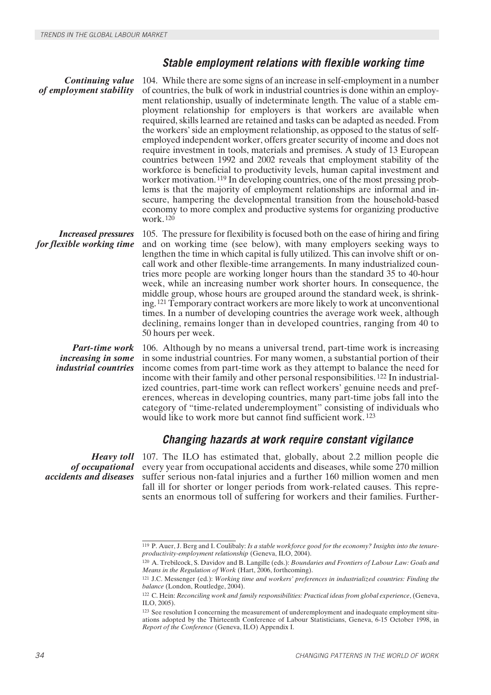#### *Stable employment relations with flexible working time*

*Continuing value of employment stability*

104. While there are some signs of an increase in self-employment in a number of countries, the bulk of work in industrial countries is done within an employment relationship, usually of indeterminate length. The value of a stable employment relationship for employers is that workers are available when required, skills learned are retained and tasks can be adapted as needed. From the workers' side an employment relationship, as opposed to the status of selfemployed independent worker, offers greater security of income and does not require investment in tools, materials and premises. A study of 13 European countries between 1992 and 2002 reveals that employment stability of the workforce is beneficial to productivity levels, human capital investment and worker motivation. 119 In developing countries, one of the most pressing problems is that the majority of employment relationships are informal and insecure, hampering the developmental transition from the household-based economy to more complex and productive systems for organizing productive work. <sup>120</sup>

*Increased pressures for flexible working time* 105. The pressure for flexibility is focused both on the ease of hiring and firing and on working time (see below), with many employers seeking ways to lengthen the time in which capital is fully utilized. This can involve shift or oncall work and other flexible-time arrangements. In many industrialized countries more people are working longer hours than the standard 35 to 40-hour week, while an increasing number work shorter hours. In consequence, the middle group, whose hours are grouped around the standard week, is shrinking. 121 Temporary contract workers are more likely to work at unconventional times. In a number of developing countries the average work week, although declining, remains longer than in developed countries, ranging from 40 to 50 hours per week.

*Part-time work increasing in some industrial countries* 106. Although by no means a universal trend, part-time work is increasing in some industrial countries. For many women, a substantial portion of their income comes from part-time work as they attempt to balance the need for income with their family and other personal responsibilities. 122 In industrialized countries, part-time work can reflect workers' genuine needs and preferences, whereas in developing countries, many part-time jobs fall into the category of "time-related underemployment" consisting of individuals who would like to work more but cannot find sufficient work. <sup>123</sup>

#### *Changing hazards at work require constant vigilance*

*Heavy toll of occupational accidents and diseases*

107. The ILO has estimated that, globally, about 2.2 million people die every year from occupational accidents and diseases, while some 270 million suffer serious non-fatal injuries and a further 160 million women and men fall ill for shorter or longer periods from work-related causes. This represents an enormous toll of suffering for workers and their families. Further-

<sup>119</sup> P. Auer, J. Berg and I. Coulibaly: *Is a stable workforce good for the economy? Insights into the tenureproductivity-employment relationship* (Geneva, ILO, 2004).

<sup>120</sup> A. Trebilcock, S. Davidov and B. Langille (eds.): *Boundaries and Frontiers of Labour Law: Goals and Means in the Regulation of Work* (Hart, 2006, forthcoming).

<sup>121</sup> J.C. Messenger (ed.): *Working time and workers' preferences in industrialized countries: Finding the balance* (London, Routledge, 2004).

<sup>122</sup> C. Hein: *Reconciling work and family responsibilities: Practical ideas from global experience*, (Geneva, ILO, 2005).

<sup>&</sup>lt;sup>123</sup> See resolution I concerning the measurement of underemployment and inadequate employment situations adopted by the Thirteenth Conference of Labour Statisticians, Geneva, 6-15 October 1998, in *Report of the Conference* (Geneva, ILO) Appendix I.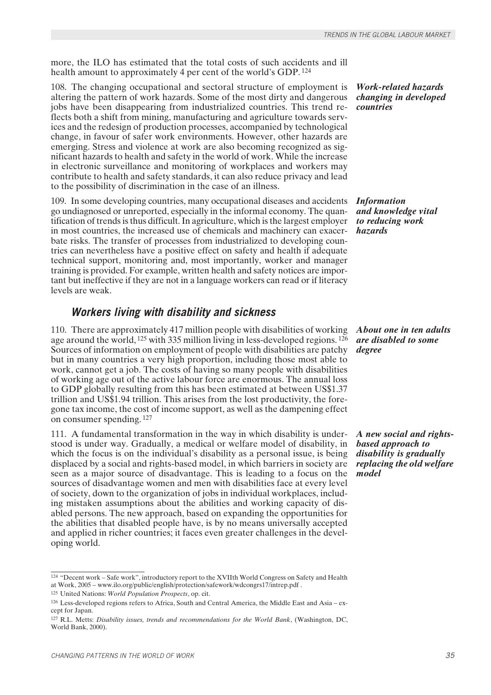more, the ILO has estimated that the total costs of such accidents and ill health amount to approximately 4 per cent of the world's GDP.<sup>124</sup>

108. The changing occupational and sectoral structure of employment is altering the pattern of work hazards. Some of the most dirty and dangerous jobs have been disappearing from industrialized countries. This trend reflects both a shift from mining, manufacturing and agriculture towards services and the redesign of production processes, accompanied by technological change, in favour of safer work environments. However, other hazards are emerging. Stress and violence at work are also becoming recognized as significant hazards to health and safety in the world of work. While the increase in electronic surveillance and monitoring of workplaces and workers may contribute to health and safety standards, it can also reduce privacy and lead to the possibility of discrimination in the case of an illness.

109. In some developing countries, many occupational diseases and accidents go undiagnosed or unreported, especially in the informal economy. The quantification of trends is thus difficult. In agriculture, which is the largest employer in most countries, the increased use of chemicals and machinery can exacerbate risks. The transfer of processes from industrialized to developing countries can nevertheless have a positive effect on safety and health if adequate technical support, monitoring and, most importantly, worker and manager training is provided. For example, written health and safety notices are important but ineffective if they are not in a language workers can read or if literacy levels are weak.

#### *Workers living with disability and sickness*

110. There are approximately 417 million people with disabilities of working age around the world, 125 with 335 million living in less-developed regions. <sup>126</sup> Sources of information on employment of people with disabilities are patchy but in many countries a very high proportion, including those most able to work, cannot get a job. The costs of having so many people with disabilities of working age out of the active labour force are enormous. The annual loss to GDP globally resulting from this has been estimated at between US\$1.37 trillion and US\$1.94 trillion. This arises from the lost productivity, the foregone tax income, the cost of income support, as well as the dampening effect on consumer spending. <sup>127</sup>

111. A fundamental transformation in the way in which disability is understood is under way. Gradually, a medical or welfare model of disability, in which the focus is on the individual's disability as a personal issue, is being displaced by a social and rights-based model, in which barriers in society are seen as a major source of disadvantage. This is leading to a focus on the sources of disadvantage women and men with disabilities face at every level of society, down to the organization of jobs in individual workplaces, including mistaken assumptions about the abilities and working capacity of disabled persons. The new approach, based on expanding the opportunities for the abilities that disabled people have, is by no means universally accepted and applied in richer countries; it faces even greater challenges in the developing world.

*Work-related hazards changing in developed countries*

*Information and knowledge vital to reducing work hazards*

*About one in ten adults are disabled to some degree*

*A new social and rightsbased approach to disability is gradually replacing the old welfare model*

<sup>&</sup>lt;sup>124</sup> "Decent work – Safe work", introductory report to the XVIIth World Congress on Safety and Health at Work, 2005 – www.ilo.org/public/english/protection/safework/wdcongrs17/intrep.pdf .

<sup>125</sup> United Nations: *World Population Prospects*, op. cit.

<sup>126</sup> Less-developed regions refers to Africa, South and Central America, the Middle East and Asia – except for Japan.

<sup>127</sup> R.L. Metts: *Disability issues, trends and recommendations for the World Bank*, (Washington, DC, World Bank, 2000).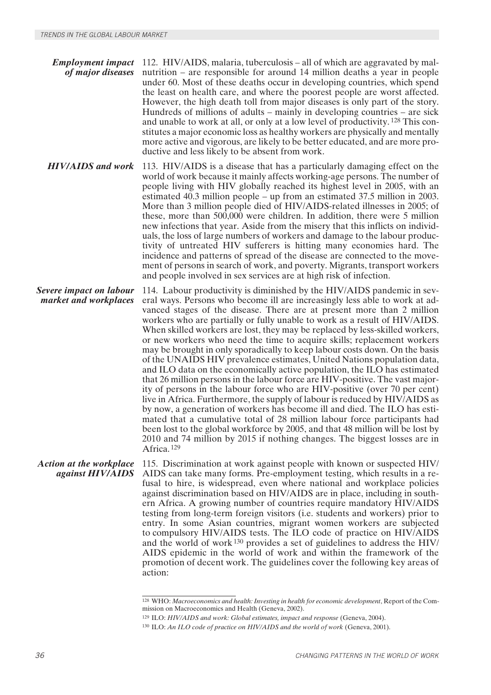| <b>Employment impact</b><br>of major diseases           | 112. HIV/AIDS, malaria, tuberculosis – all of which are aggravated by mal-<br>nutrition – are responsible for around 14 million deaths a year in people<br>under 60. Most of these deaths occur in developing countries, which spend<br>the least on health care, and where the poorest people are worst affected.<br>However, the high death toll from major diseases is only part of the story.<br>Hundreds of millions of adults – mainly in developing countries – are sick<br>and unable to work at all, or only at a low level of productivity. <sup>128</sup> This con-<br>stitutes a major economic loss as healthy workers are physically and mentally<br>more active and vigorous, are likely to be better educated, and are more pro-<br>ductive and less likely to be absent from work.                                                                                                                                                                                                                                                                                                                                                                                                                                                                                                                |
|---------------------------------------------------------|--------------------------------------------------------------------------------------------------------------------------------------------------------------------------------------------------------------------------------------------------------------------------------------------------------------------------------------------------------------------------------------------------------------------------------------------------------------------------------------------------------------------------------------------------------------------------------------------------------------------------------------------------------------------------------------------------------------------------------------------------------------------------------------------------------------------------------------------------------------------------------------------------------------------------------------------------------------------------------------------------------------------------------------------------------------------------------------------------------------------------------------------------------------------------------------------------------------------------------------------------------------------------------------------------------------------|
| <b>HIV/AIDS</b> and work                                | 113. HIV/AIDS is a disease that has a particularly damaging effect on the<br>world of work because it mainly affects working-age persons. The number of<br>people living with HIV globally reached its highest level in 2005, with an<br>estimated 40.3 million people – up from an estimated 37.5 million in 2003.<br>More than 3 million people died of HIV/AIDS-related illnesses in 2005; of<br>these, more than 500,000 were children. In addition, there were 5 million<br>new infections that year. Aside from the misery that this inflicts on individ-<br>uals, the loss of large numbers of workers and damage to the labour produc-<br>tivity of untreated HIV sufferers is hitting many economies hard. The<br>incidence and patterns of spread of the disease are connected to the move-<br>ment of persons in search of work, and poverty. Migrants, transport workers<br>and people involved in sex services are at high risk of infection.                                                                                                                                                                                                                                                                                                                                                         |
| <b>Severe impact on labour</b><br>market and workplaces | 114. Labour productivity is diminished by the HIV/AIDS pandemic in sev-<br>eral ways. Persons who become ill are increasingly less able to work at ad-<br>vanced stages of the disease. There are at present more than 2 million<br>workers who are partially or fully unable to work as a result of HIV/AIDS.<br>When skilled workers are lost, they may be replaced by less-skilled workers,<br>or new workers who need the time to acquire skills; replacement workers<br>may be brought in only sporadically to keep labour costs down. On the basis<br>of the UNAIDS HIV prevalence estimates, United Nations population data,<br>and ILO data on the economically active population, the ILO has estimated<br>that 26 million persons in the labour force are HIV-positive. The vast major-<br>ity of persons in the labour force who are HIV-positive (over 70 per cent)<br>live in Africa. Furthermore, the supply of labour is reduced by HIV/AIDS as<br>by now, a generation of workers has become ill and died. The ILO has esti-<br>mated that a cumulative total of 28 million labour force participants had<br>been lost to the global workforce by 2005, and that 48 million will be lost by<br>2010 and 74 million by 2015 if nothing changes. The biggest losses are in<br>Africa. <sup>129</sup> |
| <b>Action at the workplace</b><br>against HIV/AIDS      | 115. Discrimination at work against people with known or suspected HIV/<br>AIDS can take many forms. Pre-employment testing, which results in a re-<br>fusal to hire, is widespread, even where national and workplace policies<br>against discrimination based on HIV/AIDS are in place, including in south-<br>ern Africa. A growing number of countries require mandatory HIV/AIDS<br>testing from long-term foreign visitors (i.e. students and workers) prior to<br>entry. In some Asian countries, migrant women workers are subjected<br>to compulsory HIV/AIDS tests. The ILO code of practice on HIV/AIDS<br>and the world of work $130$ provides a set of guidelines to address the HIV/<br>AIDS epidemic in the world of work and within the framework of the<br>promotion of decent work. The guidelines cover the following key areas of<br>action:                                                                                                                                                                                                                                                                                                                                                                                                                                                   |

<sup>128</sup> WHO: *Macroeconomics and health: Investing in health for economic development*, Report of the Commission on Macroeconomics and Health (Geneva, 2002).

<sup>129</sup> ILO: *HIV/AIDS and work: Global estimates, impact and response* (Geneva, 2004).

<sup>130</sup> ILO: *An ILO code of practice on HIV/AIDS and the world of work* (Geneva, 2001).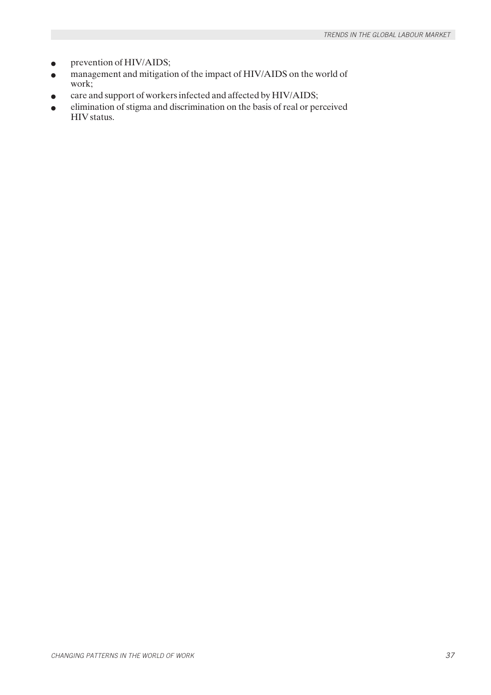- prevention of HIV/AIDS;
- management and mitigation of the impact of HIV/AIDS on the world of work;
- care and support of workers infected and affected by HIV/AIDS;
- elimination of stigma and discrimination on the basis of real or perceived HIV status.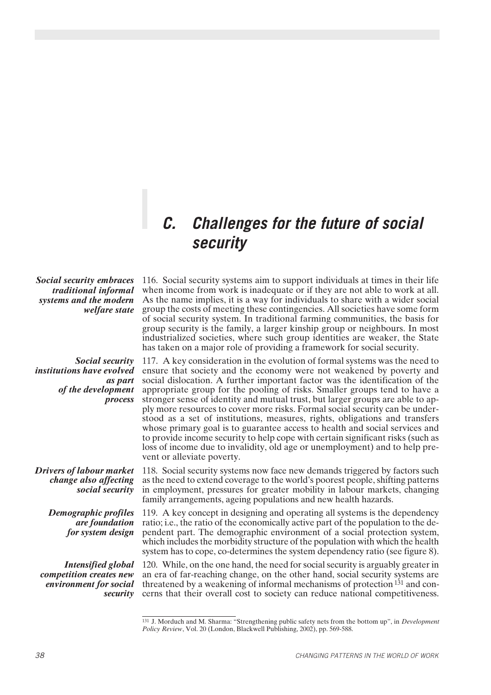# *C. Challenges for the future of social security*

*Social security embraces traditional informal systems and the modern welfare state*

*Social security institutions have evolved as part of the development process*

*Drivers of labour market change also affecting social security*

> *Demographic profiles are foundation for system design*

*Intensified global competition creates new*

116. Social security systems aim to support individuals at times in their life when income from work is inadequate or if they are not able to work at all. As the name implies, it is a way for individuals to share with a wider social group the costs of meeting these contingencies. All societies have some form of social security system. In traditional farming communities, the basis for group security is the family, a larger kinship group or neighbours. In most industrialized societies, where such group identities are weaker, the State has taken on a major role of providing a framework for social security.

117. A key consideration in the evolution of formal systems was the need to ensure that society and the economy were not weakened by poverty and social dislocation. A further important factor was the identification of the appropriate group for the pooling of risks. Smaller groups tend to have a stronger sense of identity and mutual trust, but larger groups are able to apply more resources to cover more risks. Formal social security can be understood as a set of institutions, measures, rights, obligations and transfers whose primary goal is to guarantee access to health and social services and to provide income security to help cope with certain significant risks (such as loss of income due to invalidity, old age or unemployment) and to help prevent or alleviate poverty.

118. Social security systems now face new demands triggered by factors such as the need to extend coverage to the world's poorest people, shifting patterns in employment, pressures for greater mobility in labour markets, changing family arrangements, ageing populations and new health hazards.

119. A key concept in designing and operating all systems is the dependency ratio; i.e., the ratio of the economically active part of the population to the dependent part. The demographic environment of a social protection system, which includes the morbidity structure of the population with which the health system has to cope, co-determines the system dependency ratio (see figure 8).

*environment for social* threatened by a weakening of informal mechanisms of protection<sup>131</sup> and consecurity cerns that their overall cost to society can reduce national competitiveness. 120. While, on the one hand, the need for social security is arguably greater in an era of far-reaching change, on the other hand, social security systems are

<sup>131</sup> J. Morduch and M. Sharma: "Strengthening public safety nets from the bottom up", in *Development Policy Review*, Vol. 20 (London, Blackwell Publishing, 2002), pp. 569-588.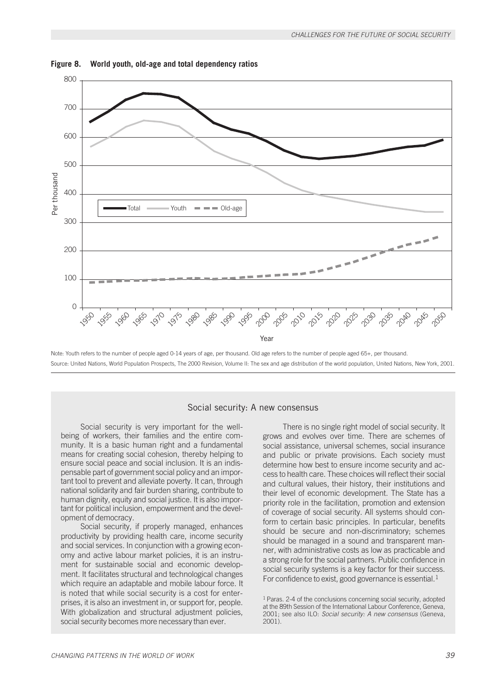

**Figure 8. World youth, old-age and total dependency ratios**

Source: United Nations, World Population Prospects, The 2000 Revision, Volume II: The sex and age distribution of the world population, United Nations, New York, 2001. Note: Youth refers to the number of people aged 0-14 years of age, per thousand. Old age refers to the number of people aged 65+, per thousand.

#### Social security: A new consensus

Social security is very important for the wellbeing of workers, their families and the entire community. It is a basic human right and a fundamental means for creating social cohesion, thereby helping to ensure social peace and social inclusion. It is an indispensable part of government social policy and an important tool to prevent and alleviate poverty. It can, through national solidarity and fair burden sharing, contribute to human dignity, equity and social justice. It is also important for political inclusion, empowerment and the development of democracy.

Social security, if properly managed, enhances productivity by providing health care, income security and social services. In conjunction with a growing economy and active labour market policies, it is an instrument for sustainable social and economic development. It facilitates structural and technological changes which require an adaptable and mobile labour force. It is noted that while social security is a cost for enterprises, it is also an investment in, or support for, people. With globalization and structural adjustment policies, social security becomes more necessary than ever.

There is no single right model of social security. It grows and evolves over time. There are schemes of social assistance, universal schemes, social insurance and public or private provisions. Each society must determine how best to ensure income security and access to health care. These choices will reflect their social and cultural values, their history, their institutions and their level of economic development. The State has a priority role in the facilitation, promotion and extension of coverage of social security. All systems should conform to certain basic principles. In particular, benefits should be secure and non-discriminatory; schemes should be managed in a sound and transparent manner, with administrative costs as low as practicable and a strong role for the social partners. Public confidence in social security systems is a key factor for their success. For confidence to exist, good governance is essential.<sup>1</sup>

<sup>1</sup> Paras. 2-4 of the conclusions concerning social security, adopted at the 89th Session of the International Labour Conference, Geneva, 2001; see also ILO: *Social security: A new consensus* (Geneva, 2001).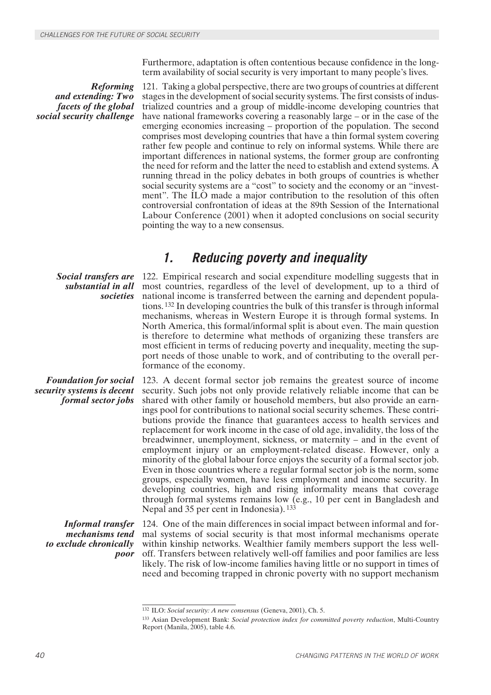Furthermore, adaptation is often contentious because confidence in the longterm availability of social security is very important to many people's lives.

*Reforming and extending: Two facets of the global social security challenge*

121. Taking a global perspective, there are two groups of countries at different stages in the development of social security systems. The first consists of industrialized countries and a group of middle-income developing countries that have national frameworks covering a reasonably large – or in the case of the emerging economies increasing – proportion of the population. The second comprises most developing countries that have a thin formal system covering rather few people and continue to rely on informal systems. While there are important differences in national systems, the former group are confronting the need for reform and the latter the need to establish and extend systems. A running thread in the policy debates in both groups of countries is whether social security systems are a "cost" to society and the economy or an "investment". The ILO made a major contribution to the resolution of this often controversial confrontation of ideas at the 89th Session of the International Labour Conference (2001) when it adopted conclusions on social security pointing the way to a new consensus.

### *1. Reducing poverty and inequality*

*Social transfers are substantial in all societies*

122. Empirical research and social expenditure modelling suggests that in most countries, regardless of the level of development, up to a third of national income is transferred between the earning and dependent populations. 132 In developing countries the bulk of this transfer is through informal mechanisms, whereas in Western Europe it is through formal systems. In North America, this formal/informal split is about even. The main question is therefore to determine what methods of organizing these transfers are most efficient in terms of reducing poverty and inequality, meeting the support needs of those unable to work, and of contributing to the overall performance of the economy.

*Foundation for social security systems is decent formal sector jobs*

> *Informal transfer mechanisms tend to exclude chronically poor*

123. A decent formal sector job remains the greatest source of income security. Such jobs not only provide relatively reliable income that can be shared with other family or household members, but also provide an earnings pool for contributions to national social security schemes. These contributions provide the finance that guarantees access to health services and replacement for work income in the case of old age, invalidity, the loss of the breadwinner, unemployment, sickness, or maternity – and in the event of employment injury or an employment-related disease. However, only a minority of the global labour force enjoys the security of a formal sector job. Even in those countries where a regular formal sector job is the norm, some groups, especially women, have less employment and income security. In developing countries, high and rising informality means that coverage through formal systems remains low (e.g., 10 per cent in Bangladesh and Nepal and 35 per cent in Indonesia).  $133$ 

124. One of the main differences in social impact between informal and formal systems of social security is that most informal mechanisms operate within kinship networks. Wealthier family members support the less welloff. Transfers between relatively well-off families and poor families are less likely. The risk of low-income families having little or no support in times of need and becoming trapped in chronic poverty with no support mechanism

<sup>132</sup> ILO: *Social security: A new consensus* (Geneva, 2001), Ch. 5.

<sup>133</sup> Asian Development Bank: *Social protection index for committed poverty reduction*, Multi-Country Report (Manila, 2005), table 4.6.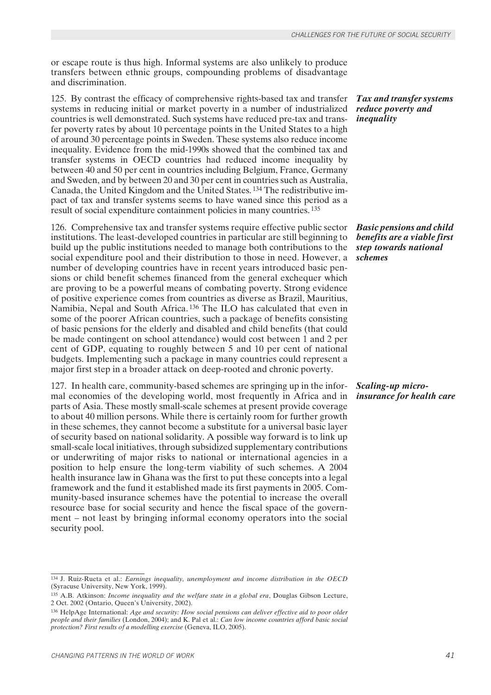or escape route is thus high. Informal systems are also unlikely to produce transfers between ethnic groups, compounding problems of disadvantage and discrimination.

125. By contrast the efficacy of comprehensive rights-based tax and transfer systems in reducing initial or market poverty in a number of industrialized countries is well demonstrated. Such systems have reduced pre-tax and transfer poverty rates by about 10 percentage points in the United States to a high of around 30 percentage points in Sweden. These systems also reduce income inequality. Evidence from the mid-1990s showed that the combined tax and transfer systems in OECD countries had reduced income inequality by between 40 and 50 per cent in countries including Belgium, France, Germany and Sweden, and by between 20 and 30 per cent in countries such as Australia, Canada, the United Kingdom and the United States. 134 The redistributive impact of tax and transfer systems seems to have waned since this period as a result of social expenditure containment policies in many countries. <sup>135</sup>

126. Comprehensive tax and transfer systems require effective public sector institutions. The least-developed countries in particular are still beginning to build up the public institutions needed to manage both contributions to the social expenditure pool and their distribution to those in need. However, a number of developing countries have in recent years introduced basic pensions or child benefit schemes financed from the general exchequer which are proving to be a powerful means of combating poverty. Strong evidence of positive experience comes from countries as diverse as Brazil, Mauritius, Namibia, Nepal and South Africa. 136 The ILO has calculated that even in some of the poorer African countries, such a package of benefits consisting of basic pensions for the elderly and disabled and child benefits (that could be made contingent on school attendance) would cost between 1 and 2 per cent of GDP, equating to roughly between 5 and 10 per cent of national budgets. Implementing such a package in many countries could represent a major first step in a broader attack on deep-rooted and chronic poverty.

127. In health care, community-based schemes are springing up in the informal economies of the developing world, most frequently in Africa and in parts of Asia. These mostly small-scale schemes at present provide coverage to about 40 million persons. While there is certainly room for further growth in these schemes, they cannot become a substitute for a universal basic layer of security based on national solidarity. A possible way forward is to link up small-scale local initiatives, through subsidized supplementary contributions or underwriting of major risks to national or international agencies in a position to help ensure the long-term viability of such schemes. A 2004 health insurance law in Ghana was the first to put these concepts into a legal framework and the fund it established made its first payments in 2005. Community-based insurance schemes have the potential to increase the overall resource base for social security and hence the fiscal space of the government – not least by bringing informal economy operators into the social security pool.

*Tax and transfer systems reduce poverty and inequality*

*Basic pensions and child benefits are a viable first step towards national schemes*

*Scaling-up microinsurance for health care*

<sup>134</sup> J. Ruiz-Rueta et al.: *Earnings inequality, unemployment and income distribution in the OECD* (Syracuse University, New York, 1999).

<sup>135</sup> A.B. Atkinson: *Income inequality and the welfare state in a global era*, Douglas Gibson Lecture, 2 Oct. 2002 (Ontario, Queen's University, 2002).

<sup>136</sup> HelpAge International: *Age and security: How social pensions can deliver effective aid to poor older people and their families* (London, 2004); and K. Pal et al.: *Can low income countries afford basic social protection? First results of a modelling exercise* (Geneva, ILO, 2005).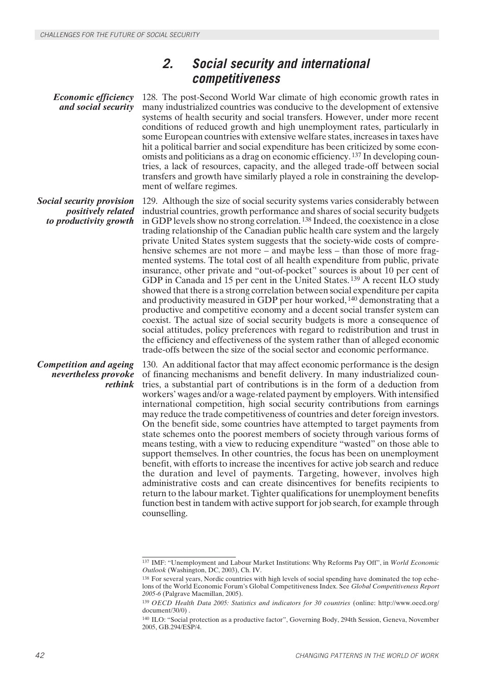#### *2. Social security and international competitiveness*

*Economic efficiency and social security* 128. The post-Second World War climate of high economic growth rates in many industrialized countries was conducive to the development of extensive systems of health security and social transfers. However, under more recent conditions of reduced growth and high unemployment rates, particularly in some European countries with extensive welfare states, increases in taxes have hit a political barrier and social expenditure has been criticized by some economists and politicians as a drag on economic efficiency. 137 In developing countries, a lack of resources, capacity, and the alleged trade-off between social transfers and growth have similarly played a role in constraining the development of welfare regimes.

*Social security provision positively related to productivity growth* 129. Although the size of social security systems varies considerably between industrial countries, growth performance and shares of social security budgets in GDP levels show no strong correlation. 138 Indeed, the coexistence in a close trading relationship of the Canadian public health care system and the largely private United States system suggests that the society-wide costs of comprehensive schemes are not more – and maybe less – than those of more fragmented systems. The total cost of all health expenditure from public, private insurance, other private and "out-of-pocket" sources is about 10 per cent of GDP in Canada and 15 per cent in the United States. 139 A recent ILO study showed that there is a strong correlation between social expenditure per capita and productivity measured in GDP per hour worked, 140 demonstrating that a productive and competitive economy and a decent social transfer system can coexist. The actual size of social security budgets is more a consequence of social attitudes, policy preferences with regard to redistribution and trust in the efficiency and effectiveness of the system rather than of alleged economic trade-offs between the size of the social sector and economic performance.

*Competition and ageing nevertheless provoke rethink*

130. An additional factor that may affect economic performance is the design of financing mechanisms and benefit delivery. In many industrialized countries, a substantial part of contributions is in the form of a deduction from workers' wages and/or a wage-related payment by employers. With intensified international competition, high social security contributions from earnings may reduce the trade competitiveness of countries and deter foreign investors. On the benefit side, some countries have attempted to target payments from state schemes onto the poorest members of society through various forms of means testing, with a view to reducing expenditure "wasted" on those able to support themselves. In other countries, the focus has been on unemployment benefit, with efforts to increase the incentives for active job search and reduce the duration and level of payments. Targeting, however, involves high administrative costs and can create disincentives for benefits recipients to return to the labour market. Tighter qualifications for unemployment benefits function best in tandem with active support for job search, for example through counselling.

<sup>137</sup> IMF: "Unemployment and Labour Market Institutions: Why Reforms Pay Off", in *World Economic Outlook* (Washington, DC, 2003), Ch. IV.

<sup>138</sup> For several years, Nordic countries with high levels of social spending have dominated the top echelons of the World Economic Forum's Global Competitiveness Index. See *Global Competitiveness Report 2005-6* (Palgrave Macmillan, 2005).

<sup>139</sup> *OECD Health Data 2005: Statistics and indicators for 30 countries* (online: http://www.oecd.org/  $document/30/0)$ 

<sup>140</sup> ILO: "Social protection as a productive factor", Governing Body, 294th Session, Geneva, November 2005, GB.294/ESP/4.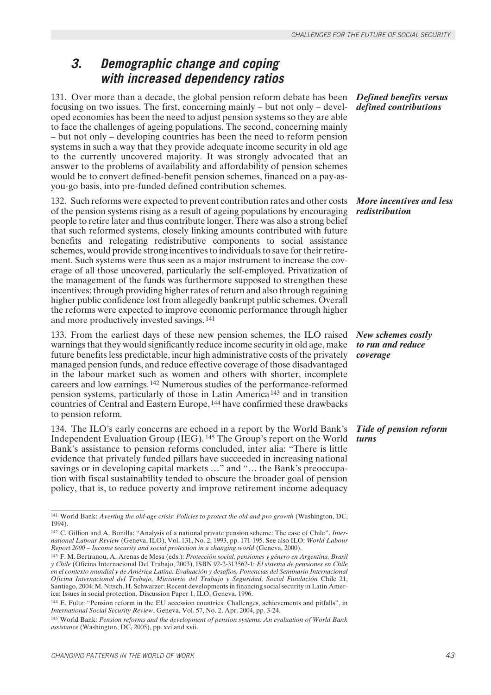# *3. Demographic change and coping with increased dependency ratios*

131. Over more than a decade, the global pension reform debate has been focusing on two issues. The first, concerning mainly – but not only – developed economies has been the need to adjust pension systems so they are able to face the challenges of ageing populations. The second, concerning mainly – but not only – developing countries has been the need to reform pension systems in such a way that they provide adequate income security in old age to the currently uncovered majority. It was strongly advocated that an answer to the problems of availability and affordability of pension schemes would be to convert defined-benefit pension schemes, financed on a pay-asyou-go basis, into pre-funded defined contribution schemes.

132. Such reforms were expected to prevent contribution rates and other costs of the pension systems rising as a result of ageing populations by encouraging people to retire later and thus contribute longer. There was also a strong belief that such reformed systems, closely linking amounts contributed with future benefits and relegating redistributive components to social assistance schemes, would provide strong incentives to individuals to save for their retirement. Such systems were thus seen as a major instrument to increase the coverage of all those uncovered, particularly the self-employed. Privatization of the management of the funds was furthermore supposed to strengthen these incentives: through providing higher rates of return and also through regaining higher public confidence lost from allegedly bankrupt public schemes. Overall the reforms were expected to improve economic performance through higher and more productively invested savings. <sup>141</sup>

133. From the earliest days of these new pension schemes, the ILO raised warnings that they would significantly reduce income security in old age, make future benefits less predictable, incur high administrative costs of the privately managed pension funds, and reduce effective coverage of those disadvantaged in the labour market such as women and others with shorter, incomplete careers and low earnings. 142 Numerous studies of the performance-reformed pension systems, particularly of those in Latin America143 and in transition countries of Central and Eastern Europe, 144 have confirmed these drawbacks to pension reform.

134. The ILO's early concerns are echoed in a report by the World Bank's Independent Evaluation Group (IEG). 145 The Group's report on the World Bank's assistance to pension reforms concluded, inter alia: "There is little evidence that privately funded pillars have succeeded in increasing national savings or in developing capital markets …" and "… the Bank's preoccupation with fiscal sustainability tended to obscure the broader goal of pension policy, that is, to reduce poverty and improve retirement income adequacy

*Defined benefits versus defined contributions*

*More incentives and less redistribution*

*New schemes costly to run and reduce coverage*

*Tide of pension reform turns*

<sup>&</sup>lt;sup>141</sup> World Bank: *Averting the old-age crisis: Policies to protect the old and pro growth* (Washington, DC, 1994).

<sup>142</sup> C. Gillion and A. Bonilla: "Analysis of a national private pension scheme: The case of Chile". *International Labour Review* (Geneva, ILO), Vol. 131, No. 2, 1993, pp. 171-195. See also ILO: *World Labour Report 2000* – *Income security and social protection in a changing world* (Geneva, 2000).

<sup>143</sup> F. M. Bertranou, A. Arenas de Mesa (eds.): *Protección social, pensiones y género en Argentina, Brasil y Chile* (Oficina Internacional Del Trabajo, 2003), ISBN 92-2-313562-1; *El sistema de pensiones en Chile en el contexto mundial y de América Latina: Evaluación y desafíos, Ponencias del Seminario Internacional Oficina Internacional del Trabajo, Ministerio del Trabajo y Seguridad, Social Fundación* Chile 21, Santiago, 2004; M. Nitsch, H. Schwarzer: Recent developments in financing social security in Latin America: Issues in social protection, Discussion Paper 1, ILO, Geneva, 1996.

<sup>144</sup> E. Fultz: "Pension reform in the EU accession countries: Challenges, achievements and pitfalls", in *International Social Security Review*, Geneva, Vol. 57, No. 2, Apr. 2004, pp. 3-24.

<sup>145</sup> World Bank: *Pension reforms and the development of pension systems: An evaluation of World Bank* assistance (Washington, DC, 2005), pp. xvi and xvii.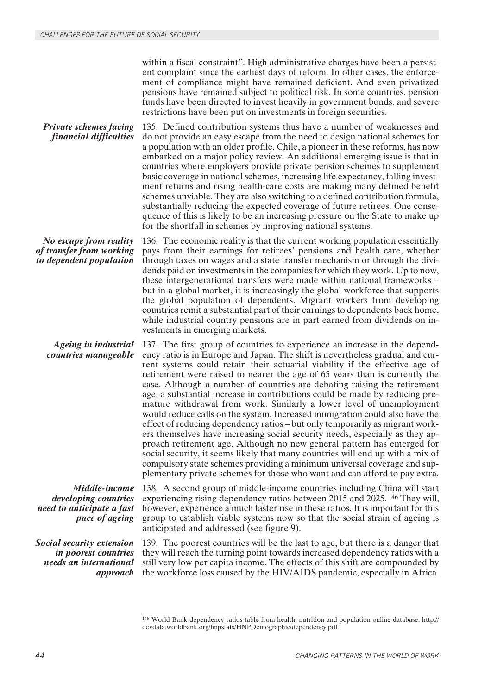within a fiscal constraint". High administrative charges have been a persistent complaint since the earliest days of reform. In other cases, the enforcement of compliance might have remained deficient. And even privatized pensions have remained subject to political risk. In some countries, pension funds have been directed to invest heavily in government bonds, and severe restrictions have been put on investments in foreign securities.

*Private schemes facing financial difficulties* 135. Defined contribution systems thus have a number of weaknesses and do not provide an easy escape from the need to design national schemes for a population with an older profile. Chile, a pioneer in these reforms, has now embarked on a major policy review. An additional emerging issue is that in countries where employers provide private pension schemes to supplement basic coverage in national schemes, increasing life expectancy, falling investment returns and rising health-care costs are making many defined benefit schemes unviable. They are also switching to a defined contribution formula, substantially reducing the expected coverage of future retirees. One consequence of this is likely to be an increasing pressure on the State to make up for the shortfall in schemes by improving national systems.

*No escape from reality of transfer from working to dependent population* 136. The economic reality is that the current working population essentially pays from their earnings for retirees' pensions and health care, whether through taxes on wages and a state transfer mechanism or through the dividends paid on investments in the companies for which they work. Up to now, these intergenerational transfers were made within national frameworks – but in a global market, it is increasingly the global workforce that supports the global population of dependents. Migrant workers from developing countries remit a substantial part of their earnings to dependents back home, while industrial country pensions are in part earned from dividends on investments in emerging markets.

*Ageing in industrial countries manageable* 137. The first group of countries to experience an increase in the dependency ratio is in Europe and Japan. The shift is nevertheless gradual and current systems could retain their actuarial viability if the effective age of retirement were raised to nearer the age of 65 years than is currently the case. Although a number of countries are debating raising the retirement age, a substantial increase in contributions could be made by reducing premature withdrawal from work. Similarly a lower level of unemployment would reduce calls on the system. Increased immigration could also have the effect of reducing dependency ratios – but only temporarily as migrant workers themselves have increasing social security needs, especially as they approach retirement age. Although no new general pattern has emerged for social security, it seems likely that many countries will end up with a mix of compulsory state schemes providing a minimum universal coverage and supplementary private schemes for those who want and can afford to pay extra.

*Middle-income developing countries need to anticipate a fast pace of ageing* 138. A second group of middle-income countries including China will start experiencing rising dependency ratios between 2015 and 2025. 146 They will, however, experience a much faster rise in these ratios. It is important for this group to establish viable systems now so that the social strain of ageing is anticipated and addressed (see figure 9).

*Social security extension in poorest countries needs an international approach*

139. The poorest countries will be the last to age, but there is a danger that they will reach the turning point towards increased dependency ratios with a still very low per capita income. The effects of this shift are compounded by the workforce loss caused by the HIV/AIDS pandemic, especially in Africa.

<sup>146</sup> World Bank dependency ratios table from health, nutrition and population online database. http:// devdata.worldbank.org/hnpstats/HNPDemographic/dependency.pdf .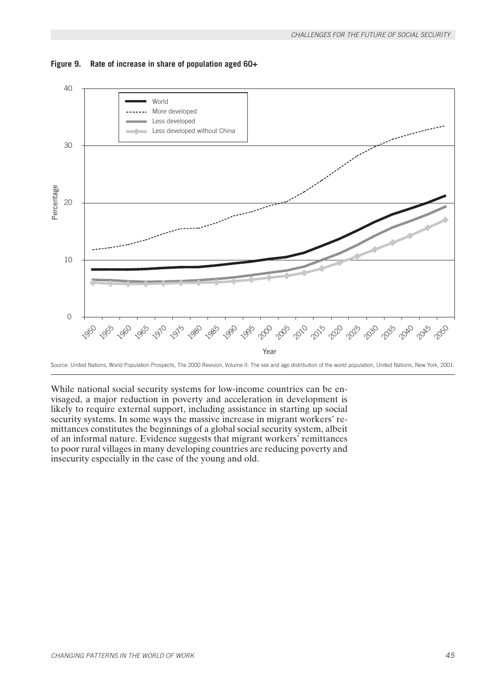

**Figure 9. Rate of increase in share of population aged 60+**

Source: United Nations, World Population Prospects, The 2000 Revision, Volume II: The sex and age distribution of the world population, United Nations, New York, 2001.

While national social security systems for low-income countries can be envisaged, a major reduction in poverty and acceleration in development is likely to require external support, including assistance in starting up social security systems. In some ways the massive increase in migrant workers' remittances constitutes the beginnings of a global social security system, albeit of an informal nature. Evidence suggests that migrant workers' remittances to poor rural villages in many developing countries are reducing poverty and insecurity especially in the case of the young and old.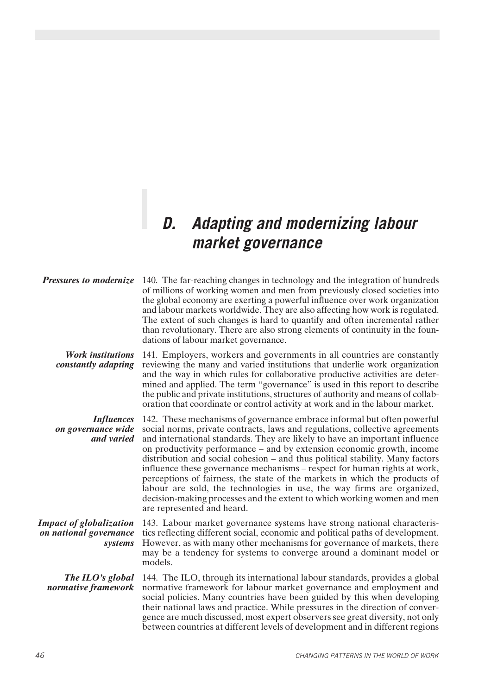# *D. Adapting and modernizing labour market governance*

| <b>Pressures to modernize</b>                                       | 140. The far-reaching changes in technology and the integration of hundreds<br>of millions of working women and men from previously closed societies into<br>the global economy are exerting a powerful influence over work organization<br>and labour markets worldwide. They are also affecting how work is regulated.<br>The extent of such changes is hard to quantify and often incremental rather<br>than revolutionary. There are also strong elements of continuity in the foun-<br>dations of labour market governance.                                                                                                                                                                                                                |
|---------------------------------------------------------------------|-------------------------------------------------------------------------------------------------------------------------------------------------------------------------------------------------------------------------------------------------------------------------------------------------------------------------------------------------------------------------------------------------------------------------------------------------------------------------------------------------------------------------------------------------------------------------------------------------------------------------------------------------------------------------------------------------------------------------------------------------|
| <b>Work institutions</b><br>constantly adapting                     | 141. Employers, workers and governments in all countries are constantly<br>reviewing the many and varied institutions that underlie work organization<br>and the way in which rules for collaborative productive activities are deter-<br>mined and applied. The term "governance" is used in this report to describe<br>the public and private institutions, structures of authority and means of collab-<br>oration that coordinate or control activity at work and in the labour market.                                                                                                                                                                                                                                                     |
| <b>Influences</b><br>on governance wide<br>and varied               | 142. These mechanisms of governance embrace informal but often powerful<br>social norms, private contracts, laws and regulations, collective agreements<br>and international standards. They are likely to have an important influence<br>on productivity performance – and by extension economic growth, income<br>distribution and social cohesion – and thus political stability. Many factors<br>influence these governance mechanisms – respect for human rights at work,<br>perceptions of fairness, the state of the markets in which the products of<br>labour are sold, the technologies in use, the way firms are organized,<br>decision-making processes and the extent to which working women and men<br>are represented and heard. |
| <b>Impact of globalization</b><br>on national governance<br>systems | 143. Labour market governance systems have strong national characteris-<br>tics reflecting different social, economic and political paths of development.<br>However, as with many other mechanisms for governance of markets, there<br>may be a tendency for systems to converge around a dominant model or<br>models.                                                                                                                                                                                                                                                                                                                                                                                                                         |
| The ILO's global<br>normative framework                             | 144. The ILO, through its international labour standards, provides a global<br>normative framework for labour market governance and employment and<br>social policies. Many countries have been guided by this when developing<br>their national laws and practice. While pressures in the direction of conver-<br>gence are much discussed, most expert observers see great diversity, not only<br>between countries at different levels of development and in different regions                                                                                                                                                                                                                                                               |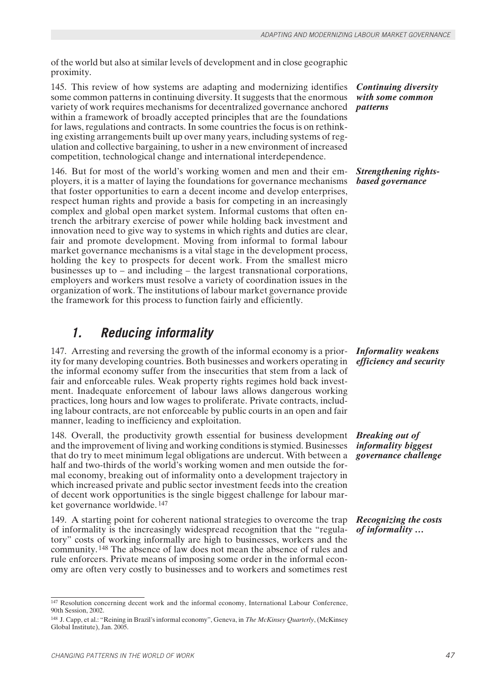of the world but also at similar levels of development and in close geographic proximity.

145. This review of how systems are adapting and modernizing identifies some common patterns in continuing diversity. It suggests that the enormous variety of work requires mechanisms for decentralized governance anchored within a framework of broadly accepted principles that are the foundations for laws, regulations and contracts. In some countries the focus is on rethinking existing arrangements built up over many years, including systems of regulation and collective bargaining, to usher in a new environment of increased competition, technological change and international interdependence.

146. But for most of the world's working women and men and their employers, it is a matter of laying the foundations for governance mechanisms that foster opportunities to earn a decent income and develop enterprises, respect human rights and provide a basis for competing in an increasingly complex and global open market system. Informal customs that often entrench the arbitrary exercise of power while holding back investment and innovation need to give way to systems in which rights and duties are clear, fair and promote development. Moving from informal to formal labour market governance mechanisms is a vital stage in the development process, holding the key to prospects for decent work. From the smallest micro businesses up to – and including – the largest transnational corporations, employers and workers must resolve a variety of coordination issues in the organization of work. The institutions of labour market governance provide the framework for this process to function fairly and efficiently.

# *1. Reducing informality*

147. Arresting and reversing the growth of the informal economy is a priority for many developing countries. Both businesses and workers operating in the informal economy suffer from the insecurities that stem from a lack of fair and enforceable rules. Weak property rights regimes hold back investment. Inadequate enforcement of labour laws allows dangerous working practices, long hours and low wages to proliferate. Private contracts, including labour contracts, are not enforceable by public courts in an open and fair manner, leading to inefficiency and exploitation.

148. Overall, the productivity growth essential for business development and the improvement of living and working conditions is stymied. Businesses that do try to meet minimum legal obligations are undercut. With between a half and two-thirds of the world's working women and men outside the formal economy, breaking out of informality onto a development trajectory in which increased private and public sector investment feeds into the creation of decent work opportunities is the single biggest challenge for labour market governance worldwide. <sup>147</sup>

149. A starting point for coherent national strategies to overcome the trap of informality is the increasingly widespread recognition that the "regulatory" costs of working informally are high to businesses, workers and the community. 148 The absence of law does not mean the absence of rules and rule enforcers. Private means of imposing some order in the informal economy are often very costly to businesses and to workers and sometimes rest

*Continuing diversity with some common patterns*

*Strengthening rightsbased governance*

*Informality weakens efficiency and security*

*Breaking out of informality biggest governance challenge*

*Recognizing the costs of informality …*

<sup>147</sup> Resolution concerning decent work and the informal economy, International Labour Conference, 90th Session, 2002.

<sup>148</sup> J. Capp, et al.: "Reining in Brazil's informal economy", Geneva, in *The McKinsey Quarterly*, (McKinsey Global Institute), Jan. 2005.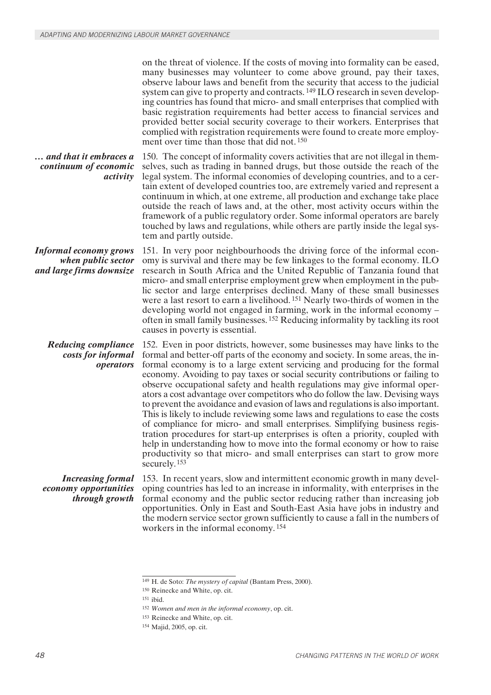on the threat of violence. If the costs of moving into formality can be eased, many businesses may volunteer to come above ground, pay their taxes, observe labour laws and benefit from the security that access to the judicial system can give to property and contracts.<sup>149</sup> ILO research in seven developing countries has found that micro- and small enterprises that complied with basic registration requirements had better access to financial services and provided better social security coverage to their workers. Enterprises that complied with registration requirements were found to create more employment over time than those that did not. <sup>150</sup>

*… and that it embraces a continuum of economic activity* 150. The concept of informality covers activities that are not illegal in themselves, such as trading in banned drugs, but those outside the reach of the legal system. The informal economies of developing countries, and to a certain extent of developed countries too, are extremely varied and represent a continuum in which, at one extreme, all production and exchange take place outside the reach of laws and, at the other, most activity occurs within the framework of a public regulatory order. Some informal operators are barely touched by laws and regulations, while others are partly inside the legal system and partly outside.

*Informal economy grows when public sector and large firms downsize* 151. In very poor neighbourhoods the driving force of the informal economy is survival and there may be few linkages to the formal economy. ILO research in South Africa and the United Republic of Tanzania found that micro- and small enterprise employment grew when employment in the public sector and large enterprises declined. Many of these small businesses were a last resort to earn a livelihood. 151 Nearly two-thirds of women in the developing world not engaged in farming, work in the informal economy – often in small family businesses. 152 Reducing informality by tackling its root causes in poverty is essential.

*Reducing compliance costs for informal operators* 152. Even in poor districts, however, some businesses may have links to the formal and better-off parts of the economy and society. In some areas, the informal economy is to a large extent servicing and producing for the formal economy. Avoiding to pay taxes or social security contributions or failing to observe occupational safety and health regulations may give informal operators a cost advantage over competitors who do follow the law. Devising ways to prevent the avoidance and evasion of laws and regulations is also important. This is likely to include reviewing some laws and regulations to ease the costs of compliance for micro- and small enterprises. Simplifying business registration procedures for start-up enterprises is often a priority, coupled with help in understanding how to move into the formal economy or how to raise productivity so that micro- and small enterprises can start to grow more securely.<sup>153</sup>

*Increasing formal economy opportunities through growth*

153. In recent years, slow and intermittent economic growth in many developing countries has led to an increase in informality, with enterprises in the formal economy and the public sector reducing rather than increasing job opportunities. Only in East and South-East Asia have jobs in industry and the modern service sector grown sufficiently to cause a fall in the numbers of workers in the informal economy. <sup>154</sup>

<sup>149</sup> H. de Soto: *The mystery of capital* (Bantam Press, 2000).

<sup>150</sup> Reinecke and White, op. cit.

<sup>151</sup> ibid.

<sup>152</sup> *Women and men in the informal economy*, op. cit.

<sup>153</sup> Reinecke and White, op. cit.

<sup>154</sup> Majid, 2005, op. cit.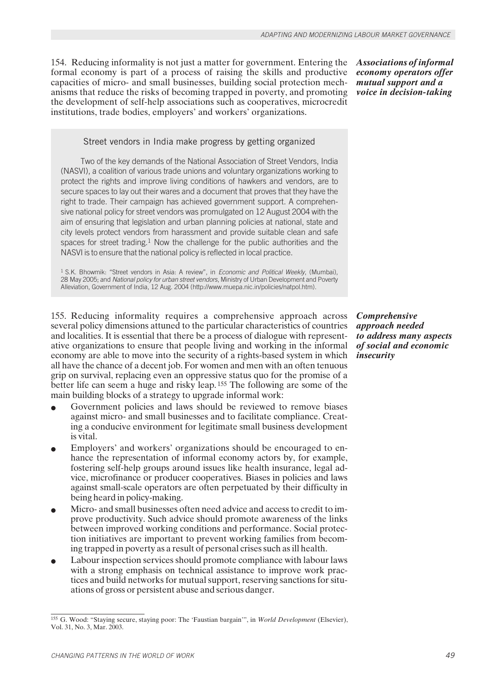154. Reducing informality is not just a matter for government. Entering the formal economy is part of a process of raising the skills and productive capacities of micro- and small businesses, building social protection mechanisms that reduce the risks of becoming trapped in poverty, and promoting the development of self-help associations such as cooperatives, microcredit institutions, trade bodies, employers' and workers' organizations.

*Associations of informal economy operators offer mutual support and a voice in decision-taking*

Street vendors in India make progress by getting organized

Two of the key demands of the National Association of Street Vendors, India (NASVI), a coalition of various trade unions and voluntary organizations working to protect the rights and improve living conditions of hawkers and vendors, are to secure spaces to lay out their wares and a document that proves that they have the right to trade. Their campaign has achieved government support. A comprehensive national policy for street vendors was promulgated on 12 August 2004 with the aim of ensuring that legislation and urban planning policies at national, state and city levels protect vendors from harassment and provide suitable clean and safe spaces for street trading.<sup>1</sup> Now the challenge for the public authorities and the NASVI is to ensure that the national policy is reflected in local practice.

1 S.K. Bhowmik: "Street vendors in Asia: A review", in *Economic and Political Weekly*, (Mumbai), 28 May 2005; and *National policy for urban street vendors*, Ministry of Urban Development and Poverty Alleviation, Government of India, 12 Aug. 2004 (http://www.muepa.nic.in/policies/natpol.htm).

155. Reducing informality requires a comprehensive approach across several policy dimensions attuned to the particular characteristics of countries and localities. It is essential that there be a process of dialogue with representative organizations to ensure that people living and working in the informal economy are able to move into the security of a rights-based system in which all have the chance of a decent job. For women and men with an often tenuous grip on survival, replacing even an oppressive status quo for the promise of a better life can seem a huge and risky leap.<sup>155</sup> The following are some of the main building blocks of a strategy to upgrade informal work:

- Government policies and laws should be reviewed to remove biases against micro- and small businesses and to facilitate compliance. Creating a conducive environment for legitimate small business development is vital.
- Employers' and workers' organizations should be encouraged to enhance the representation of informal economy actors by, for example, fostering self-help groups around issues like health insurance, legal advice, microfinance or producer cooperatives. Biases in policies and laws against small-scale operators are often perpetuated by their difficulty in being heard in policy-making.
- Micro- and small businesses often need advice and access to credit to improve productivity. Such advice should promote awareness of the links between improved working conditions and performance. Social protection initiatives are important to prevent working families from becoming trapped in poverty as a result of personal crises such as ill health.
- Labour inspection services should promote compliance with labour laws with a strong emphasis on technical assistance to improve work practices and build networks for mutual support, reserving sanctions for situations of gross or persistent abuse and serious danger.

*Comprehensive approach needed to address many aspects of social and economic insecurity*

<sup>155</sup> G. Wood: "Staying secure, staying poor: The 'Faustian bargain'", in *World Development* (Elsevier), Vol. 31, No. 3, Mar. 2003.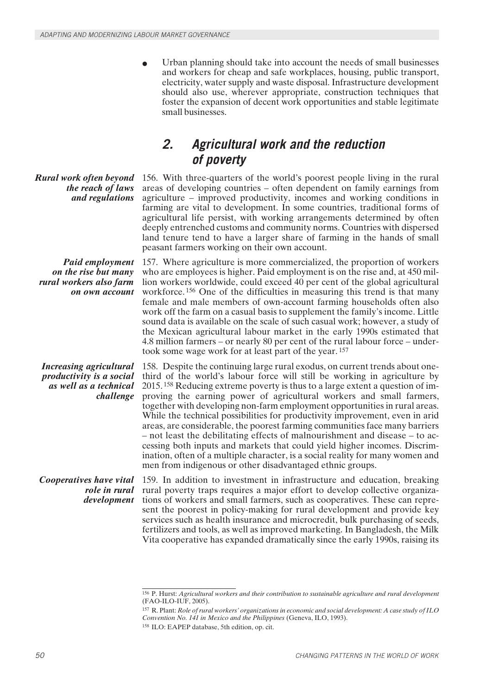Urban planning should take into account the needs of small businesses and workers for cheap and safe workplaces, housing, public transport, electricity, water supply and waste disposal. Infrastructure development should also use, wherever appropriate, construction techniques that foster the expansion of decent work opportunities and stable legitimate small businesses.

#### *2. Agricultural work and the reduction of poverty*

*Rural work often beyond the reach of laws and regulations* 156. With three-quarters of the world's poorest people living in the rural areas of developing countries – often dependent on family earnings from agriculture – improved productivity, incomes and working conditions in farming are vital to development. In some countries, traditional forms of agricultural life persist, with working arrangements determined by often deeply entrenched customs and community norms. Countries with dispersed land tenure tend to have a larger share of farming in the hands of small peasant farmers working on their own account. *Paid employment on the rise but many rural workers also farm on own account* 157. Where agriculture is more commercialized, the proportion of workers who are employees is higher. Paid employment is on the rise and, at 450 million workers worldwide, could exceed 40 per cent of the global agricultural workforce.<sup>156</sup> One of the difficulties in measuring this trend is that many female and male members of own-account farming households often also work off the farm on a casual basis to supplement the family's income. Little sound data is available on the scale of such casual work; however, a study of the Mexican agricultural labour market in the early 1990s estimated that 4.8 million farmers – or nearly 80 per cent of the rural labour force – undertook some wage work for at least part of the year. <sup>157</sup> *Increasing agricultural productivity is a social as well as a technical challenge* 158. Despite the continuing large rural exodus, on current trends about onethird of the world's labour force will still be working in agriculture by 2015. 158 Reducing extreme poverty is thus to a large extent a question of improving the earning power of agricultural workers and small farmers, together with developing non-farm employment opportunities in rural areas. While the technical possibilities for productivity improvement, even in arid areas, are considerable, the poorest farming communities face many barriers – not least the debilitating effects of malnourishment and disease – to accessing both inputs and markets that could yield higher incomes. Discrimination, often of a multiple character, is a social reality for many women and men from indigenous or other disadvantaged ethnic groups. *Cooperatives have vital role in rural development* 159. In addition to investment in infrastructure and education, breaking rural poverty traps requires a major effort to develop collective organizations of workers and small farmers, such as cooperatives. These can represent the poorest in policy-making for rural development and provide key services such as health insurance and microcredit, bulk purchasing of seeds,

fertilizers and tools, as well as improved marketing. In Bangladesh, the Milk Vita cooperative has expanded dramatically since the early 1990s, raising its

<sup>158</sup> ILO: EAPEP database, 5th edition, op. cit.

<sup>156</sup> P. Hurst: *Agricultural workers and their contribution to sustainable agriculture and rural development* (FAO-ILO-IUF, 2005).

<sup>157</sup> R. Plant: *Role of rural workers' organizations in economic and social development: A case study of ILO Convention No. 141 in Mexico and the Philippines* (Geneva, ILO, 1993).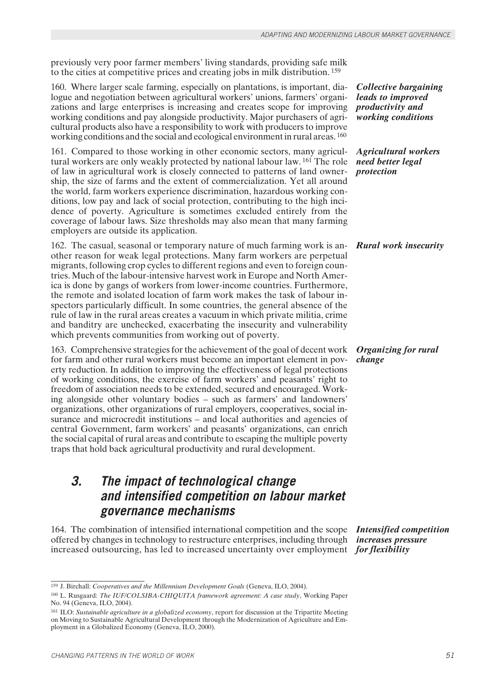previously very poor farmer members' living standards, providing safe milk to the cities at competitive prices and creating jobs in milk distribution. <sup>159</sup>

160. Where larger scale farming, especially on plantations, is important, dialogue and negotiation between agricultural workers' unions, farmers' organizations and large enterprises is increasing and creates scope for improving working conditions and pay alongside productivity. Major purchasers of agricultural products also have a responsibility to work with producers to improve working conditions and the social and ecological environment in rural areas. <sup>160</sup>

161. Compared to those working in other economic sectors, many agricultural workers are only weakly protected by national labour law. 161 The role of law in agricultural work is closely connected to patterns of land ownership, the size of farms and the extent of commercialization. Yet all around the world, farm workers experience discrimination, hazardous working conditions, low pay and lack of social protection, contributing to the high incidence of poverty. Agriculture is sometimes excluded entirely from the coverage of labour laws. Size thresholds may also mean that many farming employers are outside its application.

162. The casual, seasonal or temporary nature of much farming work is an- *Rural work insecurity* other reason for weak legal protections. Many farm workers are perpetual migrants, following crop cycles to different regions and even to foreign countries. Much of the labour-intensive harvest work in Europe and North America is done by gangs of workers from lower-income countries. Furthermore, the remote and isolated location of farm work makes the task of labour inspectors particularly difficult. In some countries, the general absence of the rule of law in the rural areas creates a vacuum in which private militia, crime and banditry are unchecked, exacerbating the insecurity and vulnerability which prevents communities from working out of poverty.

163. Comprehensive strategies for the achievement of the goal of decent work for farm and other rural workers must become an important element in poverty reduction. In addition to improving the effectiveness of legal protections of working conditions, the exercise of farm workers' and peasants' right to freedom of association needs to be extended, secured and encouraged. Working alongside other voluntary bodies – such as farmers' and landowners' organizations, other organizations of rural employers, cooperatives, social insurance and microcredit institutions – and local authorities and agencies of central Government, farm workers' and peasants' organizations, can enrich the social capital of rural areas and contribute to escaping the multiple poverty traps that hold back agricultural productivity and rural development.

#### *3. The impact of technological change and intensified competition on labour market governance mechanisms*

164. The combination of intensified international competition and the scope **Intensified competition** offered by changes in technology to restructure enterprises, including through *increases pressure* increased outsourcing, has led to increased uncertainty over employment for flexibility

*Collective bargaining leads to improved productivity and working conditions*

*Agricultural workers need better legal protection*

*Organizing for rural change*

<sup>159</sup> J. Birchall: *Cooperatives and the Millennium Development Goals* (Geneva, ILO, 2004).

<sup>160</sup> L. Rusgaard: *The IUF/COLSIBA-CHIQUITA framework agreement: A case study*, Working Paper No. 94 (Geneva, ILO, 2004).

<sup>161</sup> ILO: *Sustainable agriculture in a globalized economy*, report for discussion at the Tripartite Meeting on Moving to Sustainable Agricultural Development through the Modernization of Agriculture and Employment in a Globalized Economy (Geneva, ILO, 2000).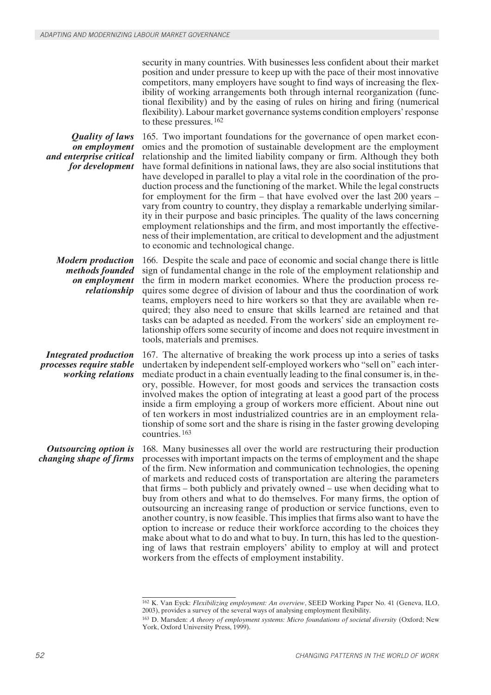security in many countries. With businesses less confident about their market position and under pressure to keep up with the pace of their most innovative competitors, many employers have sought to find ways of increasing the flexibility of working arrangements both through internal reorganization (functional flexibility) and by the easing of rules on hiring and firing (numerical flexibility). Labour market governance systems condition employers' response to these pressures. <sup>162</sup>

*Quality of laws on employment and enterprise critical for development* 165. Two important foundations for the governance of open market economies and the promotion of sustainable development are the employment relationship and the limited liability company or firm. Although they both have formal definitions in national laws, they are also social institutions that have developed in parallel to play a vital role in the coordination of the production process and the functioning of the market. While the legal constructs for employment for the firm – that have evolved over the last 200 years – vary from country to country, they display a remarkable underlying similarity in their purpose and basic principles. The quality of the laws concerning employment relationships and the firm, and most importantly the effectiveness of their implementation, are critical to development and the adjustment to economic and technological change.

*Modern production methods founded on employment relationship* 166. Despite the scale and pace of economic and social change there is little sign of fundamental change in the role of the employment relationship and the firm in modern market economies. Where the production process requires some degree of division of labour and thus the coordination of work teams, employers need to hire workers so that they are available when required; they also need to ensure that skills learned are retained and that tasks can be adapted as needed. From the workers' side an employment relationship offers some security of income and does not require investment in tools, materials and premises.

*Integrated production processes require stable working relations* 167. The alternative of breaking the work process up into a series of tasks undertaken by independent self-employed workers who "sell on" each intermediate product in a chain eventually leading to the final consumer is, in theory, possible. However, for most goods and services the transaction costs involved makes the option of integrating at least a good part of the process inside a firm employing a group of workers more efficient. About nine out of ten workers in most industrialized countries are in an employment relationship of some sort and the share is rising in the faster growing developing countries. <sup>163</sup>

*Outsourcing option is changing shape of firms* 168. Many businesses all over the world are restructuring their production processes with important impacts on the terms of employment and the shape of the firm. New information and communication technologies, the opening of markets and reduced costs of transportation are altering the parameters that firms – both publicly and privately owned – use when deciding what to buy from others and what to do themselves. For many firms, the option of outsourcing an increasing range of production or service functions, even to another country, is now feasible. This implies that firms also want to have the option to increase or reduce their workforce according to the choices they make about what to do and what to buy. In turn, this has led to the questioning of laws that restrain employers' ability to employ at will and protect workers from the effects of employment instability.

<sup>162</sup> K. Van Eyck: *Flexibilizing employment: An overview*, SEED Working Paper No. 41 (Geneva, ILO, 2003), provides a survey of the several ways of analysing employment flexibility.

<sup>&</sup>lt;sup>163</sup> D. Marsden: *A theory of employment systems: Micro foundations of societal diversity (Oxford; New* York, Oxford University Press, 1999).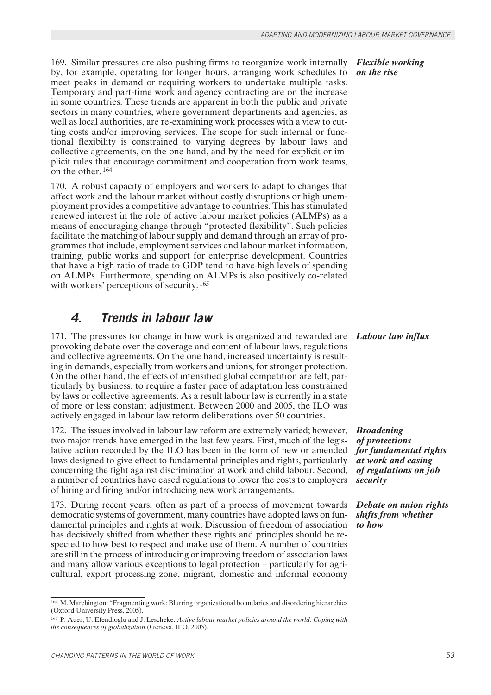169. Similar pressures are also pushing firms to reorganize work internally by, for example, operating for longer hours, arranging work schedules to meet peaks in demand or requiring workers to undertake multiple tasks. Temporary and part-time work and agency contracting are on the increase in some countries. These trends are apparent in both the public and private sectors in many countries, where government departments and agencies, as well as local authorities, are re-examining work processes with a view to cutting costs and/or improving services. The scope for such internal or functional flexibility is constrained to varying degrees by labour laws and collective agreements, on the one hand, and by the need for explicit or implicit rules that encourage commitment and cooperation from work teams, on the other. <sup>164</sup>

170. A robust capacity of employers and workers to adapt to changes that affect work and the labour market without costly disruptions or high unemployment provides a competitive advantage to countries. This has stimulated renewed interest in the role of active labour market policies (ALMPs) as a means of encouraging change through "protected flexibility". Such policies facilitate the matching of labour supply and demand through an array of programmes that include, employment services and labour market information, training, public works and support for enterprise development. Countries that have a high ratio of trade to GDP tend to have high levels of spending on ALMPs. Furthermore, spending on ALMPs is also positively co-related with workers' perceptions of security.<sup>165</sup>

# *4. Trends in labour law*

171. The pressures for change in how work is organized and rewarded are *Labour law influx* provoking debate over the coverage and content of labour laws, regulations and collective agreements. On the one hand, increased uncertainty is resulting in demands, especially from workers and unions, for stronger protection. On the other hand, the effects of intensified global competition are felt, particularly by business, to require a faster pace of adaptation less constrained by laws or collective agreements. As a result labour law is currently in a state of more or less constant adjustment. Between 2000 and 2005, the ILO was actively engaged in labour law reform deliberations over 50 countries.

172. The issues involved in labour law reform are extremely varied; however, two major trends have emerged in the last few years. First, much of the legislative action recorded by the ILO has been in the form of new or amended laws designed to give effect to fundamental principles and rights, particularly concerning the fight against discrimination at work and child labour. Second, a number of countries have eased regulations to lower the costs to employers of hiring and firing and/or introducing new work arrangements.

173. During recent years, often as part of a process of movement towards democratic systems of government, many countries have adopted laws on fundamental principles and rights at work. Discussion of freedom of association has decisively shifted from whether these rights and principles should be respected to how best to respect and make use of them. A number of countries are still in the process of introducing or improving freedom of association laws and many allow various exceptions to legal protection – particularly for agricultural, export processing zone, migrant, domestic and informal economy

*Flexible working on the rise*

*Broadening of protections for fundamental rights at work and easing of regulations on job security*

*Debate on union rights shifts from whether to how*

<sup>164</sup> M. Marchington: "Fragmenting work: Blurring organizational boundaries and disordering hierarchies (Oxford University Press, 2005).

<sup>165</sup> P. Auer, U. Efendioglu and J. Lescheke: *Active labour market policies around the world: Coping with the consequences of globalization* (Geneva, ILO, 2005).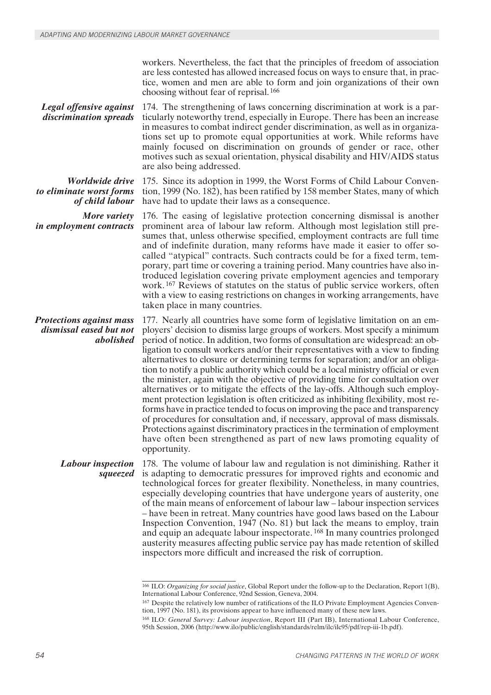workers. Nevertheless, the fact that the principles of freedom of association are less contested has allowed increased focus on ways to ensure that, in practice, women and men are able to form and join organizations of their own choosing without fear of reprisal. <sup>166</sup>

*Legal offensive against discrimination spreads* 174. The strengthening of laws concerning discrimination at work is a particularly noteworthy trend, especially in Europe. There has been an increase in measures to combat indirect gender discrimination, as well as in organizations set up to promote equal opportunities at work. While reforms have mainly focused on discrimination on grounds of gender or race, other motives such as sexual orientation, physical disability and HIV/AIDS status are also being addressed.

*Worldwide drive to eliminate worst forms of child labour*

*More variety in employment contracts* 175. Since its adoption in 1999, the Worst Forms of Child Labour Convention, 1999 (No. 182), has been ratified by 158 member States, many of which have had to update their laws as a consequence.

176. The easing of legislative protection concerning dismissal is another prominent area of labour law reform. Although most legislation still presumes that, unless otherwise specified, employment contracts are full time and of indefinite duration, many reforms have made it easier to offer socalled "atypical" contracts. Such contracts could be for a fixed term, temporary, part time or covering a training period. Many countries have also introduced legislation covering private employment agencies and temporary work. 167 Reviews of statutes on the status of public service workers, often with a view to easing restrictions on changes in working arrangements, have taken place in many countries.

*Protections against mass dismissal eased but not abolished* 177. Nearly all countries have some form of legislative limitation on an employers' decision to dismiss large groups of workers. Most specify a minimum period of notice. In addition, two forms of consultation are widespread: an obligation to consult workers and/or their representatives with a view to finding alternatives to closure or determining terms for separation; and/or an obligation to notify a public authority which could be a local ministry official or even the minister, again with the objective of providing time for consultation over alternatives or to mitigate the effects of the lay-offs. Although such employment protection legislation is often criticized as inhibiting flexibility, most reforms have in practice tended to focus on improving the pace and transparency of procedures for consultation and, if necessary, approval of mass dismissals. Protections against discriminatory practices in the termination of employment have often been strengthened as part of new laws promoting equality of opportunity.

*Labour inspection squeezed* 178. The volume of labour law and regulation is not diminishing. Rather it is adapting to democratic pressures for improved rights and economic and technological forces for greater flexibility. Nonetheless, in many countries, especially developing countries that have undergone years of austerity, one of the main means of enforcement of labour law – labour inspection services – have been in retreat. Many countries have good laws based on the Labour Inspection Convention, 1947 (No. 81) but lack the means to employ, train and equip an adequate labour inspectorate. 168 In many countries prolonged austerity measures affecting public service pay has made retention of skilled inspectors more difficult and increased the risk of corruption.

<sup>166</sup> ILO: *Organizing for social justice*, Global Report under the follow-up to the Declaration, Report 1(B), International Labour Conference, 92nd Session, Geneva, 2004.

<sup>167</sup> Despite the relatively low number of ratifications of the ILO Private Employment Agencies Convention, 1997 (No. 181), its provisions appear to have influenced many of these new laws.

<sup>168</sup> ILO: *General Survey: Labour inspection*, Report III (Part IB), International Labour Conference, 95th Session, 2006 (http://www.ilo/public/english/standards/relm/ilc/ilc95/pdf/rep-iii-1b.pdf).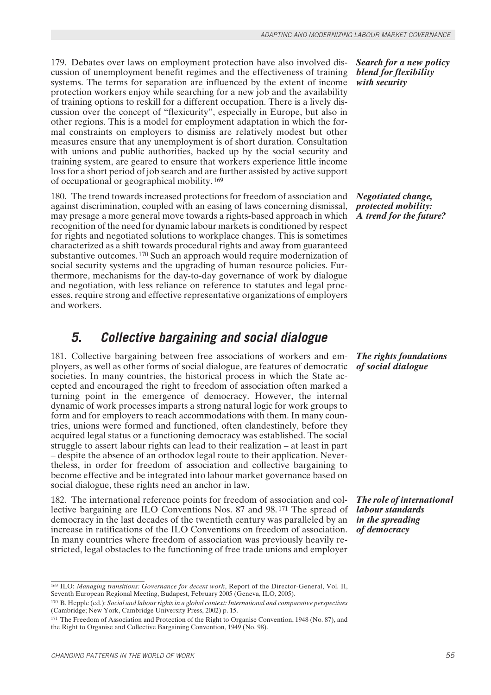179. Debates over laws on employment protection have also involved discussion of unemployment benefit regimes and the effectiveness of training systems. The terms for separation are influenced by the extent of income protection workers enjoy while searching for a new job and the availability of training options to reskill for a different occupation. There is a lively discussion over the concept of "flexicurity", especially in Europe, but also in other regions. This is a model for employment adaptation in which the formal constraints on employers to dismiss are relatively modest but other measures ensure that any unemployment is of short duration. Consultation with unions and public authorities, backed up by the social security and training system, are geared to ensure that workers experience little income loss for a short period of job search and are further assisted by active support of occupational or geographical mobility. <sup>169</sup>

180. The trend towards increased protections for freedom of association and against discrimination, coupled with an easing of laws concerning dismissal, may presage a more general move towards a rights-based approach in which recognition of the need for dynamic labour markets is conditioned by respect for rights and negotiated solutions to workplace changes. This is sometimes characterized as a shift towards procedural rights and away from guaranteed substantive outcomes. 170 Such an approach would require modernization of social security systems and the upgrading of human resource policies. Furthermore, mechanisms for the day-to-day governance of work by dialogue and negotiation, with less reliance on reference to statutes and legal processes, require strong and effective representative organizations of employers and workers.

# *5. Collective bargaining and social dialogue*

181. Collective bargaining between free associations of workers and employers, as well as other forms of social dialogue, are features of democratic societies. In many countries, the historical process in which the State accepted and encouraged the right to freedom of association often marked a turning point in the emergence of democracy. However, the internal dynamic of work processes imparts a strong natural logic for work groups to form and for employers to reach accommodations with them. In many countries, unions were formed and functioned, often clandestinely, before they acquired legal status or a functioning democracy was established. The social struggle to assert labour rights can lead to their realization – at least in part – despite the absence of an orthodox legal route to their application. Nevertheless, in order for freedom of association and collective bargaining to become effective and be integrated into labour market governance based on social dialogue, these rights need an anchor in law.

182. The international reference points for freedom of association and collective bargaining are ILO Conventions Nos. 87 and 98. 171 The spread of democracy in the last decades of the twentieth century was paralleled by an increase in ratifications of the ILO Conventions on freedom of association. In many countries where freedom of association was previously heavily restricted, legal obstacles to the functioning of free trade unions and employer

*Search for a new policy blend for flexibility with security*

*Negotiated change, protected mobility: A trend for the future?*

*The rights foundations of social dialogue*

*The role of international labour standards in the spreading of democracy*

<sup>169</sup> ILO: *Managing transitions: Governance for decent work*, Report of the Director-General, Vol. II, Seventh European Regional Meeting, Budapest, February 2005 (Geneva, ILO, 2005).

<sup>170</sup> B. Hepple (ed.): *Social and labour rights in a global context: International and comparative perspectives* (Cambridge; New York, Cambridge University Press, 2002) p. 15.

<sup>&</sup>lt;sup>171</sup> The Freedom of Association and Protection of the Right to Organise Convention, 1948 (No. 87), and the Right to Organise and Collective Bargaining Convention, 1949 (No. 98).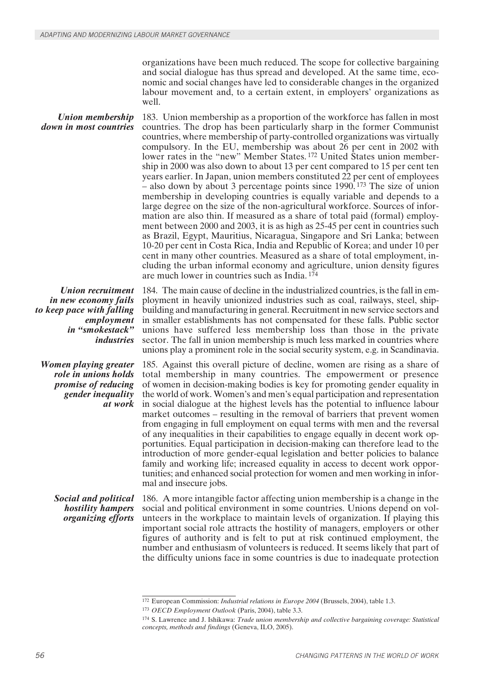organizations have been much reduced. The scope for collective bargaining and social dialogue has thus spread and developed. At the same time, economic and social changes have led to considerable changes in the organized labour movement and, to a certain extent, in employers' organizations as well.

*Union membership down in most countries* 183. Union membership as a proportion of the workforce has fallen in most countries. The drop has been particularly sharp in the former Communist countries, where membership of party-controlled organizations was virtually compulsory. In the EU, membership was about 26 per cent in 2002 with lower rates in the "new" Member States. 172 United States union membership in 2000 was also down to about 13 per cent compared to 15 per cent ten years earlier. In Japan, union members constituted 22 per cent of employees – also down by about 3 percentage points since 1990. 173 The size of union membership in developing countries is equally variable and depends to a large degree on the size of the non-agricultural workforce. Sources of information are also thin. If measured as a share of total paid (formal) employment between 2000 and 2003, it is as high as 25-45 per cent in countries such as Brazil, Egypt, Mauritius, Nicaragua, Singapore and Sri Lanka; between 10-20 per cent in Costa Rica, India and Republic of Korea; and under 10 per cent in many other countries. Measured as a share of total employment, including the urban informal economy and agriculture, union density figures are much lower in countries such as India. <sup>174</sup>

*Union recruitment in new economy fails to keep pace with falling employment in "smokestack" industries*

*Women playing greater role in unions holds promise of reducing gender inequality at work*

sector. The fall in union membership is much less marked in countries where unions play a prominent role in the social security system, e.g. in Scandinavia. 185. Against this overall picture of decline, women are rising as a share of total membership in many countries. The empowerment or presence of women in decision-making bodies is key for promoting gender equality in the world of work. Women's and men's equal participation and representation in social dialogue at the highest levels has the potential to influence labour market outcomes – resulting in the removal of barriers that prevent women from engaging in full employment on equal terms with men and the reversal of any inequalities in their capabilities to engage equally in decent work opportunities. Equal participation in decision-making can therefore lead to the introduction of more gender-equal legislation and better policies to balance family and working life; increased equality in access to decent work oppor-

184. The main cause of decline in the industrialized countries, is the fall in employment in heavily unionized industries such as coal, railways, steel, shipbuilding and manufacturing in general. Recruitment in new service sectors and in smaller establishments has not compensated for these falls. Public sector unions have suffered less membership loss than those in the private

*Social and political hostility hampers organizing efforts* 186. A more intangible factor affecting union membership is a change in the social and political environment in some countries. Unions depend on volunteers in the workplace to maintain levels of organization. If playing this important social role attracts the hostility of managers, employers or other figures of authority and is felt to put at risk continued employment, the number and enthusiasm of volunteers is reduced. It seems likely that part of the difficulty unions face in some countries is due to inadequate protection

tunities; and enhanced social protection for women and men working in infor-

mal and insecure jobs.

<sup>172</sup> European Commission: *Industrial relations in Europe 2004* (Brussels, 2004), table 1.3.

<sup>173</sup> *OECD Employment Outlook* (Paris, 2004), table 3.3.

<sup>174</sup> S. Lawrence and J. Ishikawa: *Trade union membership and collective bargaining coverage: Statistical concepts, methods and findings* (Geneva, ILO, 2005).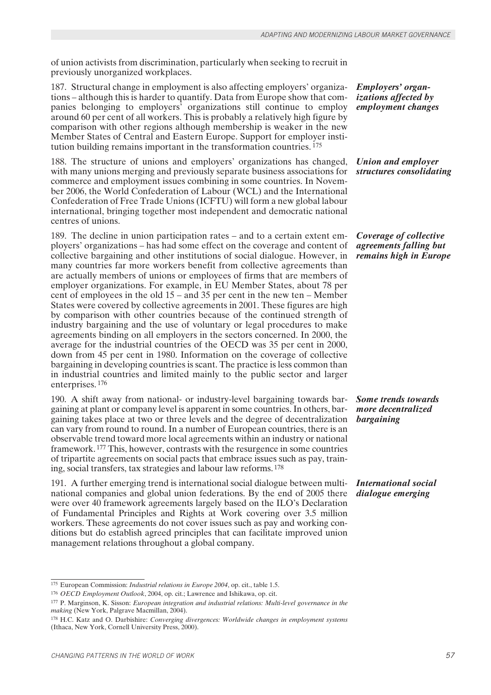of union activists from discrimination, particularly when seeking to recruit in previously unorganized workplaces.

187. Structural change in employment is also affecting employers' organizations – although this is harder to quantify. Data from Europe show that companies belonging to employers' organizations still continue to employ around 60 per cent of all workers. This is probably a relatively high figure by comparison with other regions although membership is weaker in the new Member States of Central and Eastern Europe. Support for employer institution building remains important in the transformation countries. <sup>175</sup>

188. The structure of unions and employers' organizations has changed, with many unions merging and previously separate business associations for commerce and employment issues combining in some countries. In November 2006, the World Confederation of Labour (WCL) and the International Confederation of Free Trade Unions (ICFTU) will form a new global labour international, bringing together most independent and democratic national centres of unions.

189. The decline in union participation rates – and to a certain extent employers' organizations – has had some effect on the coverage and content of collective bargaining and other institutions of social dialogue. However, in many countries far more workers benefit from collective agreements than are actually members of unions or employees of firms that are members of employer organizations. For example, in EU Member States, about 78 per cent of employees in the old 15 – and 35 per cent in the new ten – Member States were covered by collective agreements in 2001. These figures are high by comparison with other countries because of the continued strength of industry bargaining and the use of voluntary or legal procedures to make agreements binding on all employers in the sectors concerned. In 2000, the average for the industrial countries of the OECD was 35 per cent in 2000, down from 45 per cent in 1980. Information on the coverage of collective bargaining in developing countries is scant. The practice is less common than in industrial countries and limited mainly to the public sector and larger enterprises. <sup>176</sup>

190. A shift away from national- or industry-level bargaining towards bargaining at plant or company level is apparent in some countries. In others, bargaining takes place at two or three levels and the degree of decentralization can vary from round to round. In a number of European countries, there is an observable trend toward more local agreements within an industry or national framework. 177 This, however, contrasts with the resurgence in some countries of tripartite agreements on social pacts that embrace issues such as pay, training, social transfers, tax strategies and labour law reforms. <sup>178</sup>

191. A further emerging trend is international social dialogue between multinational companies and global union federations. By the end of 2005 there were over 40 framework agreements largely based on the ILO's Declaration of Fundamental Principles and Rights at Work covering over 3.5 million workers. These agreements do not cover issues such as pay and working conditions but do establish agreed principles that can facilitate improved union management relations throughout a global company.

*Employers' organizations affected by employment changes*

*Union and employer structures consolidating*

*Coverage of collective agreements falling but remains high in Europe*

*Some trends towards more decentralized bargaining*

*International social dialogue emerging*

<sup>175</sup> European Commission: *Industrial relations in Europe 2004*, op. cit., table 1.5.

<sup>176</sup> *OECD Employment Outlook*, 2004, op. cit.; Lawrence and Ishikawa, op. cit.

<sup>177</sup> P. Marginson, K. Sisson: *European integration and industrial relations: Multi-level governance in the making* (New York, Palgrave Macmillan, 2004).

<sup>178</sup> H.C. Katz and O. Darbishire: *Converging divergences: Worldwide changes in employment systems* (Ithaca, New York, Cornell University Press, 2000).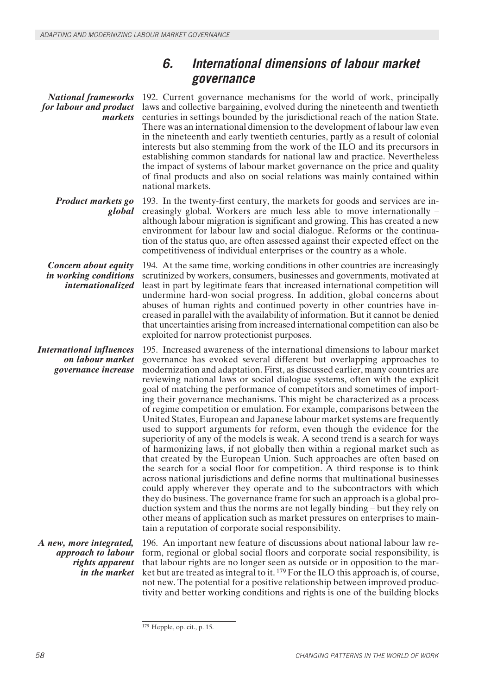#### *6. International dimensions of labour market governance*

*for labour and product markets*

*National frameworks* 192. Current governance mechanisms for the world of work, principally laws and collective bargaining, evolved during the nineteenth and twentieth centuries in settings bounded by the jurisdictional reach of the nation State. There was an international dimension to the development of labour law even in the nineteenth and early twentieth centuries, partly as a result of colonial interests but also stemming from the work of the ILO and its precursors in establishing common standards for national law and practice. Nevertheless the impact of systems of labour market governance on the price and quality of final products and also on social relations was mainly contained within national markets.

*Product markets go global* 193. In the twenty-first century, the markets for goods and services are increasingly global. Workers are much less able to move internationally – although labour migration is significant and growing. This has created a new environment for labour law and social dialogue. Reforms or the continuation of the status quo, are often assessed against their expected effect on the competitiveness of individual enterprises or the country as a whole.

*Concern about equity in working conditions internationalized* 194. At the same time, working conditions in other countries are increasingly scrutinized by workers, consumers, businesses and governments, motivated at least in part by legitimate fears that increased international competition will undermine hard-won social progress. In addition, global concerns about abuses of human rights and continued poverty in other countries have increased in parallel with the availability of information. But it cannot be denied that uncertainties arising from increased international competition can also be exploited for narrow protectionist purposes.

*International influences on labour market governance increase* 195. Increased awareness of the international dimensions to labour market governance has evoked several different but overlapping approaches to modernization and adaptation. First, as discussed earlier, many countries are reviewing national laws or social dialogue systems, often with the explicit goal of matching the performance of competitors and sometimes of importing their governance mechanisms. This might be characterized as a process of regime competition or emulation. For example, comparisons between the United States, European and Japanese labour market systems are frequently used to support arguments for reform, even though the evidence for the superiority of any of the models is weak. A second trend is a search for ways of harmonizing laws, if not globally then within a regional market such as that created by the European Union. Such approaches are often based on the search for a social floor for competition. A third response is to think across national jurisdictions and define norms that multinational businesses could apply wherever they operate and to the subcontractors with which they do business. The governance frame for such an approach is a global production system and thus the norms are not legally binding – but they rely on other means of application such as market pressures on enterprises to maintain a reputation of corporate social responsibility.

*A new, more integrated, approach to labour rights apparent in the market*

196. An important new feature of discussions about national labour law reform, regional or global social floors and corporate social responsibility, is that labour rights are no longer seen as outside or in opposition to the market but are treated as integral to it. 179 For the ILO this approach is, of course, not new. The potential for a positive relationship between improved productivity and better working conditions and rights is one of the building blocks

<sup>179</sup> Hepple, op. cit., p. 15.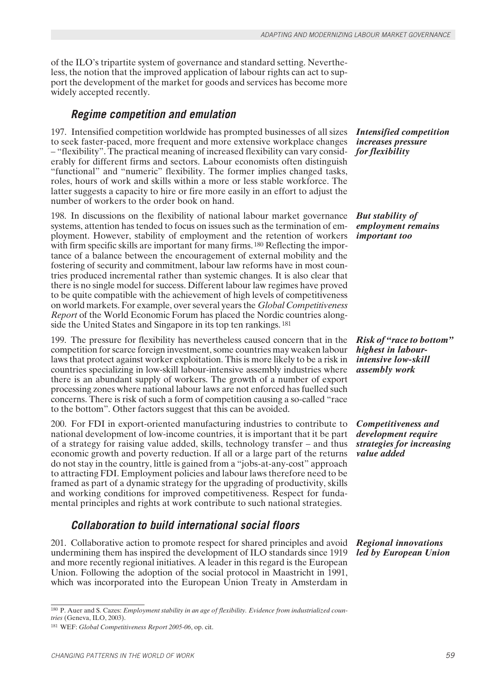of the ILO's tripartite system of governance and standard setting. Nevertheless, the notion that the improved application of labour rights can act to support the development of the market for goods and services has become more widely accepted recently.

#### *Regime competition and emulation*

197. Intensified competition worldwide has prompted businesses of all sizes to seek faster-paced, more frequent and more extensive workplace changes – "flexibility". The practical meaning of increased flexibility can vary considerably for different firms and sectors. Labour economists often distinguish "functional" and "numeric" flexibility. The former implies changed tasks, roles, hours of work and skills within a more or less stable workforce. The latter suggests a capacity to hire or fire more easily in an effort to adjust the number of workers to the order book on hand.

198. In discussions on the flexibility of national labour market governance systems, attention has tended to focus on issues such as the termination of employment. However, stability of employment and the retention of workers with firm specific skills are important for many firms. <sup>180</sup> Reflecting the importance of a balance between the encouragement of external mobility and the fostering of security and commitment, labour law reforms have in most countries produced incremental rather than systemic changes. It is also clear that there is no single model for success. Different labour law regimes have proved to be quite compatible with the achievement of high levels of competitiveness on world markets. For example, over several years the *Global Competitiveness Report* of the World Economic Forum has placed the Nordic countries alongside the United States and Singapore in its top ten rankings. <sup>181</sup>

199. The pressure for flexibility has nevertheless caused concern that in the competition for scarce foreign investment, some countries may weaken labour laws that protect against worker exploitation. This is more likely to be a risk in countries specializing in low-skill labour-intensive assembly industries where there is an abundant supply of workers. The growth of a number of export processing zones where national labour laws are not enforced has fuelled such concerns. There is risk of such a form of competition causing a so-called "race to the bottom". Other factors suggest that this can be avoided.

200. For FDI in export-oriented manufacturing industries to contribute to national development of low-income countries, it is important that it be part of a strategy for raising value added, skills, technology transfer – and thus economic growth and poverty reduction. If all or a large part of the returns do not stay in the country, little is gained from a "jobs-at-any-cost" approach to attracting FDI. Employment policies and labour laws therefore need to be framed as part of a dynamic strategy for the upgrading of productivity, skills and working conditions for improved competitiveness. Respect for fundamental principles and rights at work contribute to such national strategies.

#### *Collaboration to build international social floors*

201. Collaborative action to promote respect for shared principles and avoid undermining them has inspired the development of ILO standards since 1919 and more recently regional initiatives. A leader in this regard is the European Union. Following the adoption of the social protocol in Maastricht in 1991, which was incorporated into the European Union Treaty in Amsterdam in

<sup>180</sup> P. Auer and S. Cazes: *Employment stability in an age of flexibility. Evidence from industrialized countries* (Geneva, ILO, 2003).

*Intensified competition increases pressure for flexibility*

*But stability of employment remains important too*

*Risk of "race to bottom" highest in labourintensive low-skill assembly work*

*Competitiveness and development require strategies for increasing value added*

*Regional innovations led by European Union*

<sup>181</sup> WEF: *Global Competitiveness Report 2005-06*, op. cit.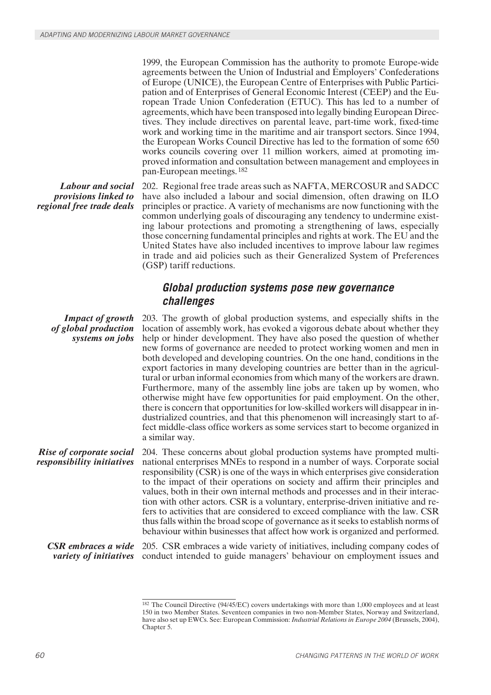1999, the European Commission has the authority to promote Europe-wide agreements between the Union of Industrial and Employers' Confederations of Europe (UNICE), the European Centre of Enterprises with Public Participation and of Enterprises of General Economic Interest (CEEP) and the European Trade Union Confederation (ETUC). This has led to a number of agreements, which have been transposed into legally binding European Directives. They include directives on parental leave, part-time work, fixed-time work and working time in the maritime and air transport sectors. Since 1994, the European Works Council Directive has led to the formation of some 650 works councils covering over 11 million workers, aimed at promoting improved information and consultation between management and employees in pan-European meetings. <sup>182</sup>

*Labour and social provisions linked to regional free trade deals* 202. Regional free trade areas such as NAFTA, MERCOSUR and SADCC have also included a labour and social dimension, often drawing on ILO principles or practice. A variety of mechanisms are now functioning with the common underlying goals of discouraging any tendency to undermine existing labour protections and promoting a strengthening of laws, especially those concerning fundamental principles and rights at work. The EU and the United States have also included incentives to improve labour law regimes in trade and aid policies such as their Generalized System of Preferences (GSP) tariff reductions.

#### *Global production systems pose new governance challenges*

*Impact of growth of global production systems on jobs* 203. The growth of global production systems, and especially shifts in the location of assembly work, has evoked a vigorous debate about whether they help or hinder development. They have also posed the question of whether new forms of governance are needed to protect working women and men in both developed and developing countries. On the one hand, conditions in the export factories in many developing countries are better than in the agricultural or urban informal economies from which many of the workers are drawn. Furthermore, many of the assembly line jobs are taken up by women, who otherwise might have few opportunities for paid employment. On the other, there is concern that opportunities for low-skilled workers will disappear in industrialized countries, and that this phenomenon will increasingly start to affect middle-class office workers as some services start to become organized in a similar way.

*Rise of corporate social responsibility initiatives* 204. These concerns about global production systems have prompted multinational enterprises MNEs to respond in a number of ways. Corporate social responsibility (CSR) is one of the ways in which enterprises give consideration to the impact of their operations on society and affirm their principles and values, both in their own internal methods and processes and in their interaction with other actors. CSR is a voluntary, enterprise-driven initiative and refers to activities that are considered to exceed compliance with the law. CSR thus falls within the broad scope of governance as it seeks to establish norms of behaviour within businesses that affect how work is organized and performed.

*CSR embraces a wide variety of initiatives* conduct intended to guide managers' behaviour on employment issues and 205. CSR embraces a wide variety of initiatives, including company codes of

<sup>&</sup>lt;sup>182</sup> The Council Directive (94/45/EC) covers undertakings with more than 1,000 employees and at least 150 in two Member States. Seventeen companies in two non-Member States, Norway and Switzerland, have also set up EWCs. See: European Commission: *Industrial Relations in Europe 2004* (Brussels, 2004), Chapter 5.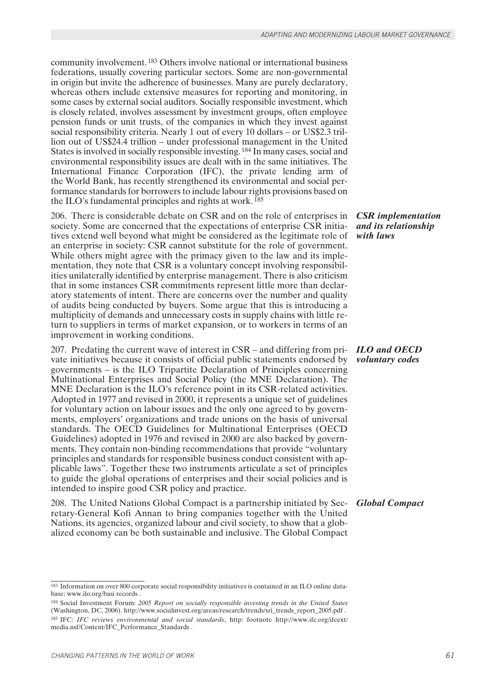community involvement. 183 Others involve national or international business federations, usually covering particular sectors. Some are non-governmental in origin but invite the adherence of businesses. Many are purely declaratory, whereas others include extensive measures for reporting and monitoring, in some cases by external social auditors. Socially responsible investment, which is closely related, involves assessment by investment groups, often employee pension funds or unit trusts, of the companies in which they invest against social responsibility criteria. Nearly 1 out of every 10 dollars – or US\$2.3 trillion out of US\$24.4 trillion – under professional management in the United States is involved in socially responsible investing. 184 In many cases, social and environmental responsibility issues are dealt with in the same initiatives. The International Finance Corporation (IFC), the private lending arm of the World Bank, has recently strengthened its environmental and social performance standards for borrowers to include labour rights provisions based on the ILO's fundamental principles and rights at work. <sup>185</sup>

206. There is considerable debate on CSR and on the role of enterprises in society. Some are concerned that the expectations of enterprise CSR initiatives extend well beyond what might be considered as the legitimate role of an enterprise in society: CSR cannot substitute for the role of government. While others might agree with the primacy given to the law and its implementation, they note that CSR is a voluntary concept involving responsibilities unilaterally identified by enterprise management. There is also criticism that in some instances CSR commitments represent little more than declaratory statements of intent. There are concerns over the number and quality of audits being conducted by buyers. Some argue that this is introducing a multiplicity of demands and unnecessary costs in supply chains with little return to suppliers in terms of market expansion, or to workers in terms of an improvement in working conditions.

207. Predating the current wave of interest in CSR – and differing from private initiatives because it consists of official public statements endorsed by governments – is the ILO Tripartite Declaration of Principles concerning Multinational Enterprises and Social Policy (the MNE Declaration). The MNE Declaration is the ILO's reference point in its CSR-related activities. Adopted in 1977 and revised in 2000, it represents a unique set of guidelines for voluntary action on labour issues and the only one agreed to by governments, employers' organizations and trade unions on the basis of universal standards. The OECD Guidelines for Multinational Enterprises (OECD Guidelines) adopted in 1976 and revised in 2000 are also backed by governments. They contain non-binding recommendations that provide "voluntary principles and standards for responsible business conduct consistent with applicable laws". Together these two instruments articulate a set of principles to guide the global operations of enterprises and their social policies and is intended to inspire good CSR policy and practice.

208. The United Nations Global Compact is a partnership initiated by Sec- *Global Compact* retary-General Kofi Annan to bring companies together with the United Nations, its agencies, organized labour and civil society, to show that a globalized economy can be both sustainable and inclusive. The Global Compact

*CSR implementation and its relationship with laws*

*ILO and OECD voluntary codes*

<sup>183</sup> Information on over 800 corporate social responsibility initiatives is contained in an ILO online database: www.ilo.org/basi records .

<sup>184</sup> Social Investment Forum: *2005 Report on socially responsible investing trends in the United States* (Washington, DC, 2006). http://www.socialinvest.org/areas/research/trends/sri\_trends\_report\_2005.pdf . <sup>185</sup> IFC: *IFC reviews environmental and social standards*, http: footnote http://www.ifc.org/ifcext/ media.nsf/Content/IFC\_Performance\_Standards .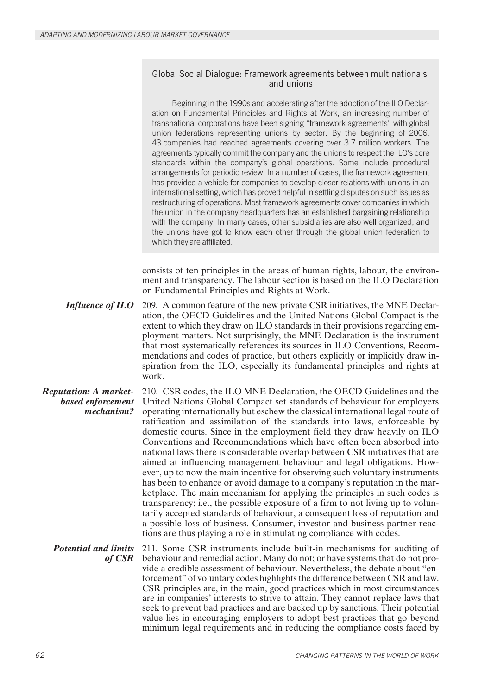### Global Social Dialogue: Framework agreements between multinationals and unions

consists of ten principles in the areas of human rights, labour, the environment and transparency. The labour section is based on the ILO Declaration on Fundamental Principles and Rights at Work. **Influence of ILO** 209. A common feature of the new private CSR initiatives, the MNE Declaration, the OECD Guidelines and the United Nations Global Compact is the extent to which they draw on ILO standards in their provisions regarding employment matters. Not surprisingly, the MNE Declaration is the instrument that most systematically references its sources in ILO Conventions, Recommendations and codes of practice, but others explicitly or implicitly draw inspiration from the ILO, especially its fundamental principles and rights at work. *Reputation: A marketbased enforcement mechanism?* 210. CSR codes, the ILO MNE Declaration, the OECD Guidelines and the United Nations Global Compact set standards of behaviour for employers operating internationally but eschew the classical international legal route of ratification and assimilation of the standards into laws, enforceable by domestic courts. Since in the employment field they draw heavily on ILO Conventions and Recommendations which have often been absorbed into national laws there is considerable overlap between CSR initiatives that are aimed at influencing management behaviour and legal obligations. However, up to now the main incentive for observing such voluntary instruments has been to enhance or avoid damage to a company's reputation in the marketplace. The main mechanism for applying the principles in such codes is Beginning in the 1990s and accelerating after the adoption of the ILO Declaration on Fundamental Principles and Rights at Work, an increasing number of transnational corporations have been signing "framework agreements" with global union federations representing unions by sector. By the beginning of 2006, 43 companies had reached agreements covering over 3.7 million workers. The agreements typically commit the company and the unions to respect the ILO's core standards within the company's global operations. Some include procedural arrangements for periodic review. In a number of cases, the framework agreement has provided a vehicle for companies to develop closer relations with unions in an international setting, which has proved helpful in settling disputes on such issues as restructuring of operations. Most framework agreements cover companies in which the union in the company headquarters has an established bargaining relationship with the company. In many cases, other subsidiaries are also well organized, and the unions have got to know each other through the global union federation to which they are affiliated.

transparency; i.e., the possible exposure of a firm to not living up to voluntarily accepted standards of behaviour, a consequent loss of reputation and a possible loss of business. Consumer, investor and business partner reactions are thus playing a role in stimulating compliance with codes.

*Potential and limits of CSR* 211. Some CSR instruments include built-in mechanisms for auditing of behaviour and remedial action. Many do not; or have systems that do not provide a credible assessment of behaviour. Nevertheless, the debate about "enforcement" of voluntary codes highlights the difference between CSR and law. CSR principles are, in the main, good practices which in most circumstances are in companies' interests to strive to attain. They cannot replace laws that seek to prevent bad practices and are backed up by sanctions. Their potential value lies in encouraging employers to adopt best practices that go beyond minimum legal requirements and in reducing the compliance costs faced by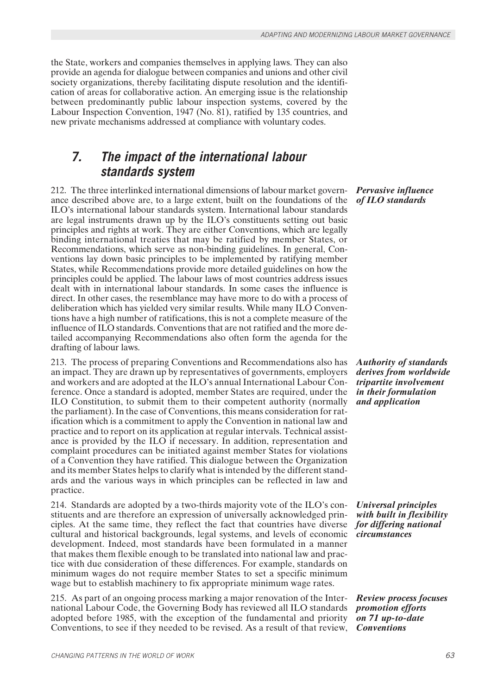the State, workers and companies themselves in applying laws. They can also provide an agenda for dialogue between companies and unions and other civil society organizations, thereby facilitating dispute resolution and the identification of areas for collaborative action. An emerging issue is the relationship between predominantly public labour inspection systems, covered by the Labour Inspection Convention, 1947 (No. 81), ratified by 135 countries, and new private mechanisms addressed at compliance with voluntary codes.

## *7. The impact of the international labour standards system*

212. The three interlinked international dimensions of labour market governance described above are, to a large extent, built on the foundations of the ILO's international labour standards system. International labour standards are legal instruments drawn up by the ILO's constituents setting out basic principles and rights at work. They are either Conventions, which are legally binding international treaties that may be ratified by member States, or Recommendations, which serve as non-binding guidelines. In general, Conventions lay down basic principles to be implemented by ratifying member States, while Recommendations provide more detailed guidelines on how the principles could be applied. The labour laws of most countries address issues dealt with in international labour standards. In some cases the influence is direct. In other cases, the resemblance may have more to do with a process of deliberation which has yielded very similar results. While many ILO Conventions have a high number of ratifications, this is not a complete measure of the influence of ILO standards. Conventions that are not ratified and the more detailed accompanying Recommendations also often form the agenda for the drafting of labour laws.

213. The process of preparing Conventions and Recommendations also has an impact. They are drawn up by representatives of governments, employers and workers and are adopted at the ILO's annual International Labour Conference. Once a standard is adopted, member States are required, under the ILO Constitution, to submit them to their competent authority (normally the parliament). In the case of Conventions, this means consideration for ratification which is a commitment to apply the Convention in national law and practice and to report on its application at regular intervals. Technical assistance is provided by the ILO if necessary. In addition, representation and complaint procedures can be initiated against member States for violations of a Convention they have ratified. This dialogue between the Organization and its member States helps to clarify what is intended by the different standards and the various ways in which principles can be reflected in law and practice.

214. Standards are adopted by a two-thirds majority vote of the ILO's constituents and are therefore an expression of universally acknowledged principles. At the same time, they reflect the fact that countries have diverse cultural and historical backgrounds, legal systems, and levels of economic development. Indeed, most standards have been formulated in a manner that makes them flexible enough to be translated into national law and practice with due consideration of these differences. For example, standards on minimum wages do not require member States to set a specific minimum wage but to establish machinery to fix appropriate minimum wage rates.

215. As part of an ongoing process marking a major renovation of the International Labour Code, the Governing Body has reviewed all ILO standards adopted before 1985, with the exception of the fundamental and priority Conventions, to see if they needed to be revised. As a result of that review,

*Pervasive influence of ILO standards*

*Authority of standards derives from worldwide tripartite involvement in their formulation and application*

*Universal principles with built in flexibility for differing national circumstances*

*Review process focuses promotion efforts on 71 up-to-date Conventions*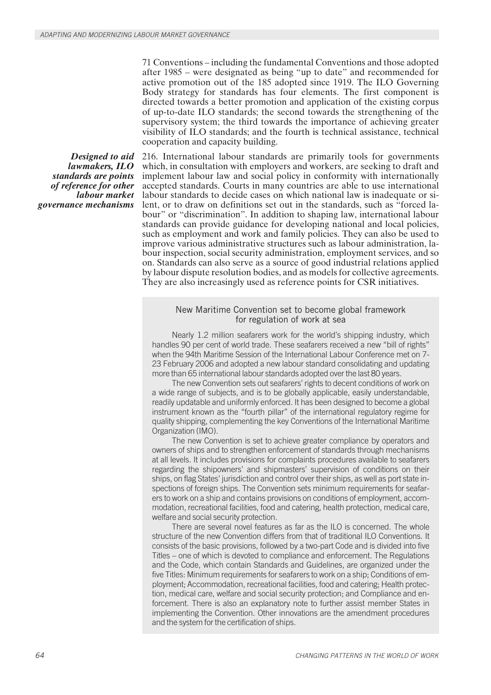71 Conventions – including the fundamental Conventions and those adopted after 1985 – were designated as being "up to date" and recommended for active promotion out of the 185 adopted since 1919. The ILO Governing Body strategy for standards has four elements. The first component is directed towards a better promotion and application of the existing corpus of up-to-date ILO standards; the second towards the strengthening of the supervisory system; the third towards the importance of achieving greater visibility of ILO standards; and the fourth is technical assistance, technical cooperation and capacity building.

*Designed to aid lawmakers, ILO standards are points of reference for other labour market governance mechanisms*

216. International labour standards are primarily tools for governments which, in consultation with employers and workers, are seeking to draft and implement labour law and social policy in conformity with internationally accepted standards. Courts in many countries are able to use international labour standards to decide cases on which national law is inadequate or silent, or to draw on definitions set out in the standards, such as "forced labour" or "discrimination". In addition to shaping law, international labour standards can provide guidance for developing national and local policies, such as employment and work and family policies. They can also be used to improve various administrative structures such as labour administration, labour inspection, social security administration, employment services, and so on. Standards can also serve as a source of good industrial relations applied by labour dispute resolution bodies, and as models for collective agreements. They are also increasingly used as reference points for CSR initiatives.

### New Maritime Convention set to become global framework for regulation of work at sea

Nearly 1.2 million seafarers work for the world's shipping industry, which handles 90 per cent of world trade. These seafarers received a new "bill of rights" when the 94th Maritime Session of the International Labour Conference met on 7- 23 February 2006 and adopted a new labour standard consolidating and updating more than 65 international labour standards adopted over the last 80 years.

The new Convention sets out seafarers' rights to decent conditions of work on a wide range of subjects, and is to be globally applicable, easily understandable, readily updatable and uniformly enforced. It has been designed to become a global instrument known as the "fourth pillar" of the international regulatory regime for quality shipping, complementing the key Conventions of the International Maritime Organization (IMO).

The new Convention is set to achieve greater compliance by operators and owners of ships and to strengthen enforcement of standards through mechanisms at all levels. It includes provisions for complaints procedures available to seafarers regarding the shipowners' and shipmasters' supervision of conditions on their ships, on flag States' jurisdiction and control over their ships, as well as port state inspections of foreign ships. The Convention sets minimum requirements for seafarers to work on a ship and contains provisions on conditions of employment, accommodation, recreational facilities, food and catering, health protection, medical care, welfare and social security protection.

There are several novel features as far as the ILO is concerned. The whole structure of the new Convention differs from that of traditional ILO Conventions. It consists of the basic provisions, followed by a two-part Code and is divided into five Titles – one of which is devoted to compliance and enforcement. The Regulations and the Code, which contain Standards and Guidelines, are organized under the five Titles: Minimum requirements for seafarers to work on a ship; Conditions of employment; Accommodation, recreational facilities, food and catering; Health protection, medical care, welfare and social security protection; and Compliance and enforcement. There is also an explanatory note to further assist member States in implementing the Convention. Other innovations are the amendment procedures and the system for the certification of ships.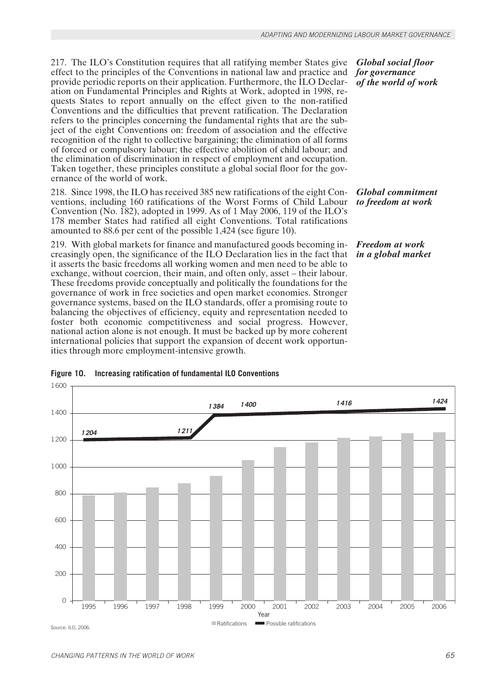217. The ILO's Constitution requires that all ratifying member States give effect to the principles of the Conventions in national law and practice and provide periodic reports on their application. Furthermore, the ILO Declaration on Fundamental Principles and Rights at Work, adopted in 1998, requests States to report annually on the effect given to the non-ratified Conventions and the difficulties that prevent ratification. The Declaration refers to the principles concerning the fundamental rights that are the subject of the eight Conventions on: freedom of association and the effective recognition of the right to collective bargaining; the elimination of all forms of forced or compulsory labour; the effective abolition of child labour; and the elimination of discrimination in respect of employment and occupation. Taken together, these principles constitute a global social floor for the governance of the world of work.

218. Since 1998, the ILO has received 385 new ratifications of the eight Conventions, including 160 ratifications of the Worst Forms of Child Labour Convention (No. 182), adopted in 1999. As of 1 May 2006, 119 of the ILO's 178 member States had ratified all eight Conventions. Total ratifications amounted to 88.6 per cent of the possible 1,424 (see figure 10).

219. With global markets for finance and manufactured goods becoming increasingly open, the significance of the ILO Declaration lies in the fact that it asserts the basic freedoms all working women and men need to be able to exchange, without coercion, their main, and often only, asset – their labour. These freedoms provide conceptually and politically the foundations for the governance of work in free societies and open market economies. Stronger governance systems, based on the ILO standards, offer a promising route to balancing the objectives of efficiency, equity and representation needed to foster both economic competitiveness and social progress. However, national action alone is not enough. It must be backed up by more coherent international policies that support the expansion of decent work opportunities through more employment-intensive growth.

*Global social floor for governance of the world of work*

*Global commitment to freedom at work*

*Freedom at work in a global market*



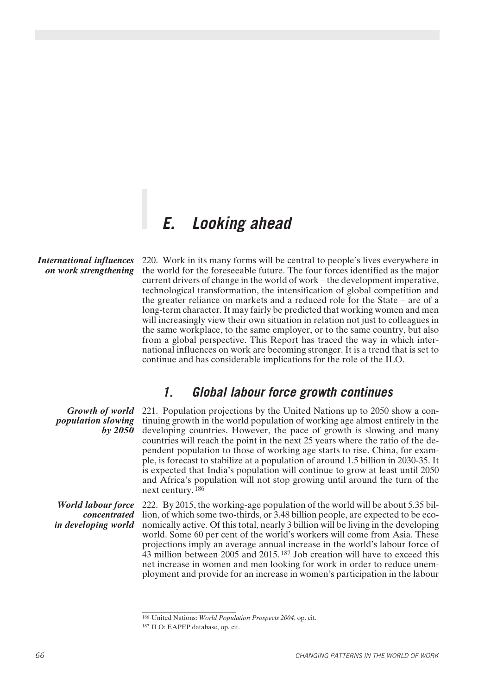# *E. Looking ahead*

*on work strengthening*

*International influences* 220. Work in its many forms will be central to people's lives everywhere in the world for the foreseeable future. The four forces identified as the major current drivers of change in the world of work – the development imperative, technological transformation, the intensification of global competition and the greater reliance on markets and a reduced role for the State – are of a long-term character. It may fairly be predicted that working women and men will increasingly view their own situation in relation not just to colleagues in the same workplace, to the same employer, or to the same country, but also from a global perspective. This Report has traced the way in which international influences on work are becoming stronger. It is a trend that is set to continue and has considerable implications for the role of the ILO.

## *1. Global labour force growth continues*

*population slowing by 2050*

*World labour force concentrated in developing world*

*Growth of world* 221. Population projections by the United Nations up to 2050 show a continuing growth in the world population of working age almost entirely in the developing countries. However, the pace of growth is slowing and many countries will reach the point in the next 25 years where the ratio of the dependent population to those of working age starts to rise. China, for example, is forecast to stabilize at a population of around 1.5 billion in 2030-35. It is expected that India's population will continue to grow at least until 2050 and Africa's population will not stop growing until around the turn of the next century. <sup>186</sup>

> 222. By 2015, the working-age population of the world will be about 5.35 billion, of which some two-thirds, or 3.48 billion people, are expected to be economically active. Of this total, nearly 3 billion will be living in the developing world. Some 60 per cent of the world's workers will come from Asia. These projections imply an average annual increase in the world's labour force of 43 million between 2005 and 2015. 187 Job creation will have to exceed this net increase in women and men looking for work in order to reduce unemployment and provide for an increase in women's participation in the labour

<sup>186</sup> United Nations: *World Population Prospects 2004*, op. cit.

<sup>187</sup> ILO: EAPEP database, op. cit.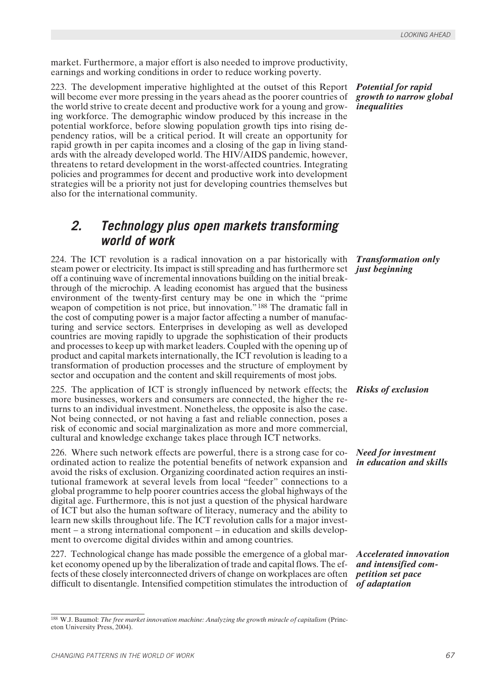market. Furthermore, a major effort is also needed to improve productivity, earnings and working conditions in order to reduce working poverty.

223. The development imperative highlighted at the outset of this Report will become ever more pressing in the years ahead as the poorer countries of the world strive to create decent and productive work for a young and growing workforce. The demographic window produced by this increase in the potential workforce, before slowing population growth tips into rising dependency ratios, will be a critical period. It will create an opportunity for rapid growth in per capita incomes and a closing of the gap in living standards with the already developed world. The HIV/AIDS pandemic, however, threatens to retard development in the worst-affected countries. Integrating policies and programmes for decent and productive work into development strategies will be a priority not just for developing countries themselves but also for the international community.

## *2. Technology plus open markets transforming world of work*

224. The ICT revolution is a radical innovation on a par historically with steam power or electricity. Its impact is still spreading and has furthermore set off a continuing wave of incremental innovations building on the initial breakthrough of the microchip. A leading economist has argued that the business environment of the twenty-first century may be one in which the "prime weapon of competition is not price, but innovation."188 The dramatic fall in the cost of computing power is a major factor affecting a number of manufacturing and service sectors. Enterprises in developing as well as developed countries are moving rapidly to upgrade the sophistication of their products and processes to keep up with market leaders. Coupled with the opening up of product and capital markets internationally, the ICT revolution is leading to a transformation of production processes and the structure of employment by sector and occupation and the content and skill requirements of most jobs.

225. The application of ICT is strongly influenced by network effects; the *Risks of exclusion* more businesses, workers and consumers are connected, the higher the returns to an individual investment. Nonetheless, the opposite is also the case. Not being connected, or not having a fast and reliable connection, poses a risk of economic and social marginalization as more and more commercial, cultural and knowledge exchange takes place through ICT networks.

226. Where such network effects are powerful, there is a strong case for coordinated action to realize the potential benefits of network expansion and avoid the risks of exclusion. Organizing coordinated action requires an institutional framework at several levels from local "feeder" connections to a global programme to help poorer countries access the global highways of the digital age. Furthermore, this is not just a question of the physical hardware of ICT but also the human software of literacy, numeracy and the ability to learn new skills throughout life. The ICT revolution calls for a major investment – a strong international component – in education and skills development to overcome digital divides within and among countries.

227. Technological change has made possible the emergence of a global market economy opened up by the liberalization of trade and capital flows. The effects of these closely interconnected drivers of change on workplaces are often difficult to disentangle. Intensified competition stimulates the introduction of

*Potential for rapid growth to narrow global inequalities*

### *Transformation only just beginning*

*Need for investment in education and skills*

*Accelerated innovation and intensified competition set pace of adaptation*

<sup>188</sup> W.J. Baumol: *The free market innovation machine: Analyzing the growth miracle of capitalism* (Princeton University Press, 2004).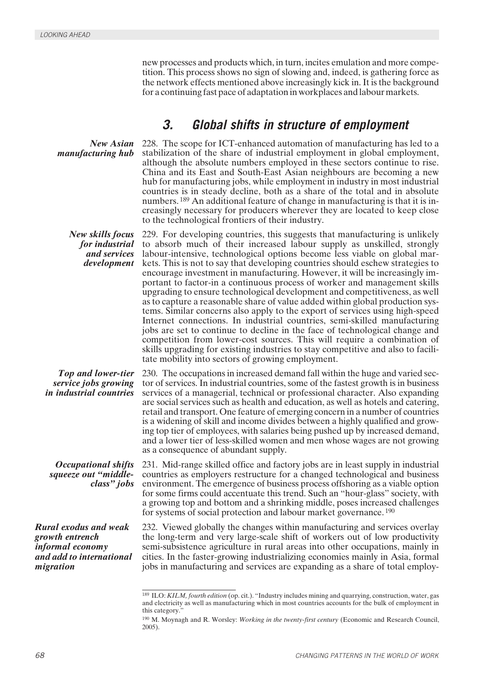new processes and products which, in turn, incites emulation and more competition. This process shows no sign of slowing and, indeed, is gathering force as the network effects mentioned above increasingly kick in. It is the background for a continuing fast pace of adaptation in workplaces and labour markets.

## *3. Global shifts in structure of employment*

*New Asian manufacturing hub* 228. The scope for ICT-enhanced automation of manufacturing has led to a stabilization of the share of industrial employment in global employment, although the absolute numbers employed in these sectors continue to rise. China and its East and South-East Asian neighbours are becoming a new hub for manufacturing jobs, while employment in industry in most industrial countries is in steady decline, both as a share of the total and in absolute numbers. <sup>189</sup> An additional feature of change in manufacturing is that it is increasingly necessary for producers wherever they are located to keep close to the technological frontiers of their industry.

*New skills focus for industrial and services development* 229. For developing countries, this suggests that manufacturing is unlikely to absorb much of their increased labour supply as unskilled, strongly labour-intensive, technological options become less viable on global markets. This is not to say that developing countries should eschew strategies to encourage investment in manufacturing. However, it will be increasingly important to factor-in a continuous process of worker and management skills upgrading to ensure technological development and competitiveness, as well as to capture a reasonable share of value added within global production systems. Similar concerns also apply to the export of services using high-speed Internet connections. In industrial countries, semi-skilled manufacturing jobs are set to continue to decline in the face of technological change and competition from lower-cost sources. This will require a combination of skills upgrading for existing industries to stay competitive and also to facilitate mobility into sectors of growing employment.

*Top and lower-tier service jobs growing in industrial countries* 230. The occupations in increased demand fall within the huge and varied sector of services. In industrial countries, some of the fastest growth is in business services of a managerial, technical or professional character. Also expanding are social services such as health and education, as well as hotels and catering, retail and transport. One feature of emerging concern in a number of countries is a widening of skill and income divides between a highly qualified and growing top tier of employees, with salaries being pushed up by increased demand, and a lower tier of less-skilled women and men whose wages are not growing as a consequence of abundant supply.

*Occupational shifts squeeze out "middleclass" jobs* 231. Mid-range skilled office and factory jobs are in least supply in industrial countries as employers restructure for a changed technological and business environment. The emergence of business process offshoring as a viable option for some firms could accentuate this trend. Such an "hour-glass" society, with a growing top and bottom and a shrinking middle, poses increased challenges for systems of social protection and labour market governance. <sup>190</sup>

*Rural exodus and weak and add to international*  232. Viewed globally the changes within manufacturing and services overlay the long-term and very large-scale shift of workers out of low productivity semi-subsistence agriculture in rural areas into other occupations, mainly in cities. In the faster-growing industrializing economies mainly in Asia, formal jobs in manufacturing and services are expanding as a share of total employ-

*growth entrench informal economy*

*migration*

<sup>189</sup> ILO: *KILM, fourth edition* (op. cit.). "Industry includes mining and quarrying, construction, water, gas and electricity as well as manufacturing which in most countries accounts for the bulk of employment in this category.

<sup>190</sup> M. Moynagh and R. Worsley: *Working in the twenty-first century* (Economic and Research Council, 2005).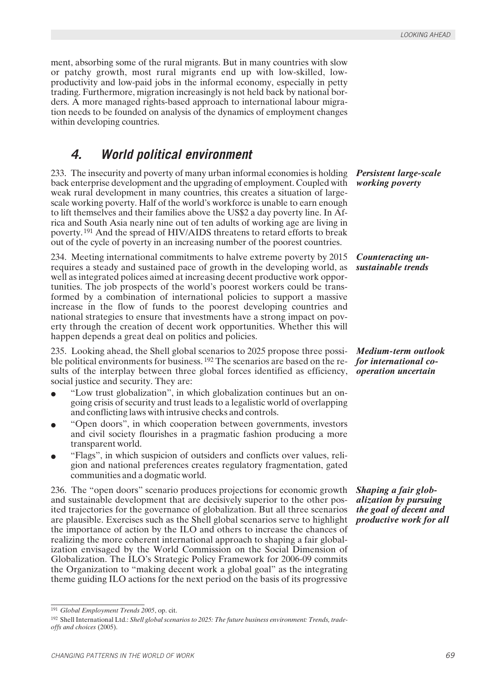ment, absorbing some of the rural migrants. But in many countries with slow or patchy growth, most rural migrants end up with low-skilled, lowproductivity and low-paid jobs in the informal economy, especially in petty trading. Furthermore, migration increasingly is not held back by national borders. A more managed rights-based approach to international labour migration needs to be founded on analysis of the dynamics of employment changes within developing countries.

## *4. World political environment*

233. The insecurity and poverty of many urban informal economies is holding back enterprise development and the upgrading of employment. Coupled with weak rural development in many countries, this creates a situation of largescale working poverty. Half of the world's workforce is unable to earn enough to lift themselves and their families above the US\$2 a day poverty line. In Africa and South Asia nearly nine out of ten adults of working age are living in poverty. 191 And the spread of HIV/AIDS threatens to retard efforts to break out of the cycle of poverty in an increasing number of the poorest countries.

234. Meeting international commitments to halve extreme poverty by 2015 requires a steady and sustained pace of growth in the developing world, as well as integrated polices aimed at increasing decent productive work opportunities. The job prospects of the world's poorest workers could be transformed by a combination of international policies to support a massive increase in the flow of funds to the poorest developing countries and national strategies to ensure that investments have a strong impact on poverty through the creation of decent work opportunities. Whether this will happen depends a great deal on politics and policies.

sults of the interplay between three global forces identified as efficiency, *operation uncertain* 235. Looking ahead, the Shell global scenarios to 2025 propose three possible political environments for business. 192 The scenarios are based on the resocial justice and security. They are:

- "Low trust globalization", in which globalization continues but an ongoing crisis of security and trust leads to a legalistic world of overlapping and conflicting laws with intrusive checks and controls.
- "Open doors", in which cooperation between governments, investors and civil society flourishes in a pragmatic fashion producing a more transparent world.
- "Flags", in which suspicion of outsiders and conflicts over values, religion and national preferences creates regulatory fragmentation, gated communities and a dogmatic world.

236. The "open doors" scenario produces projections for economic growth and sustainable development that are decisively superior to the other posited trajectories for the governance of globalization. But all three scenarios are plausible. Exercises such as the Shell global scenarios serve to highlight the importance of action by the ILO and others to increase the chances of realizing the more coherent international approach to shaping a fair globalization envisaged by the World Commission on the Social Dimension of Globalization. The ILO's Strategic Policy Framework for 2006-09 commits the Organization to "making decent work a global goal" as the integrating theme guiding ILO actions for the next period on the basis of its progressive

*Persistent large-scale working poverty*

*Counteracting unsustainable trends*

*Medium-term outlook for international co-*

*Shaping a fair globalization by pursuing the goal of decent and productive work for all*

<sup>191</sup> *Global Employment Trends 2005*, op. cit.

<sup>192</sup> Shell International Ltd.: *Shell global scenarios to 2025: The future business environment: Trends, tradeoffs and choices* (2005).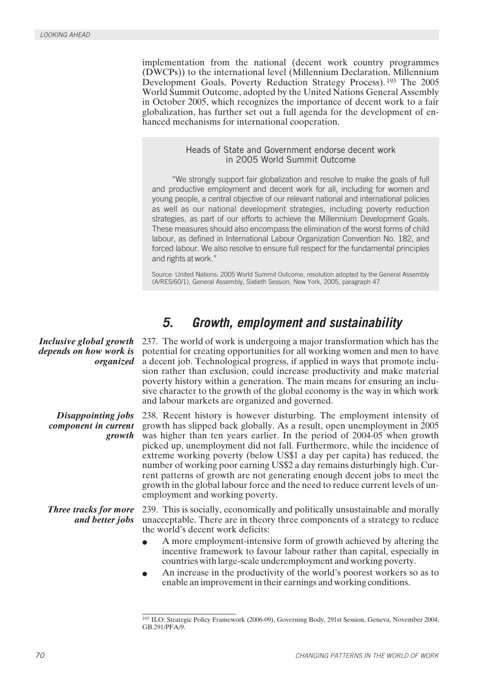implementation from the national (decent work country programmes (DWCPs)) to the international level (Millennium Declaration, Millennium Development Goals, Poverty Reduction Strategy Process). 193 The 2005 World Summit Outcome, adopted by the United Nations General Assembly in October 2005, which recognizes the importance of decent work to a fair globalization, has further set out a full agenda for the development of enhanced mechanisms for international cooperation.

### Heads of State and Government endorse decent work in 2005 World Summit Outcome

"We strongly support fair globalization and resolve to make the goals of full and productive employment and decent work for all, including for women and young people, a central objective of our relevant national and international policies as well as our national development strategies, including poverty reduction strategies, as part of our efforts to achieve the Millennium Development Goals. These measures should also encompass the elimination of the worst forms of child labour, as defined in International Labour Organization Convention No. 182, and forced labour. We also resolve to ensure full respect for the fundamental principles and rights at work."

Source: United Nations: 2005 World Summit Outcome, resolution adopted by the General Assembly (A/RES/60/1), General Assembly, Sixtieth Session, New York, 2005, paragraph 47.

*Inclusive global growth depends on how work is organized*

> *Disappointing jobs component in current growth*

*Three tracks for more and better jobs* *5. Growth, employment and sustainability*

237. The world of work is undergoing a major transformation which has the potential for creating opportunities for all working women and men to have a decent job. Technological progress, if applied in ways that promote inclusion rather than exclusion, could increase productivity and make material poverty history within a generation. The main means for ensuring an inclusive character to the growth of the global economy is the way in which work and labour markets are organized and governed.

238. Recent history is however disturbing. The employment intensity of growth has slipped back globally. As a result, open unemployment in 2005 was higher than ten years earlier. In the period of 2004-05 when growth picked up, unemployment did not fall. Furthermore, while the incidence of extreme working poverty (below US\$1 a day per capita) has reduced, the number of working poor earning US\$2 a day remains disturbingly high. Current patterns of growth are not generating enough decent jobs to meet the growth in the global labour force and the need to reduce current levels of unemployment and working poverty.

239. This is socially, economically and politically unsustainable and morally unacceptable. There are in theory three components of a strategy to reduce the world's decent work deficits:

- A more employment-intensive form of growth achieved by altering the incentive framework to favour labour rather than capital, especially in countries with large-scale underemployment and working poverty.
- An increase in the productivity of the world's poorest workers so as to enable an improvement in their earnings and working conditions.

<sup>193</sup> ILO: Strategic Policy Framework (2006-09), Governing Body, 291st Session, Geneva, November 2004, GB.291/PFA/9.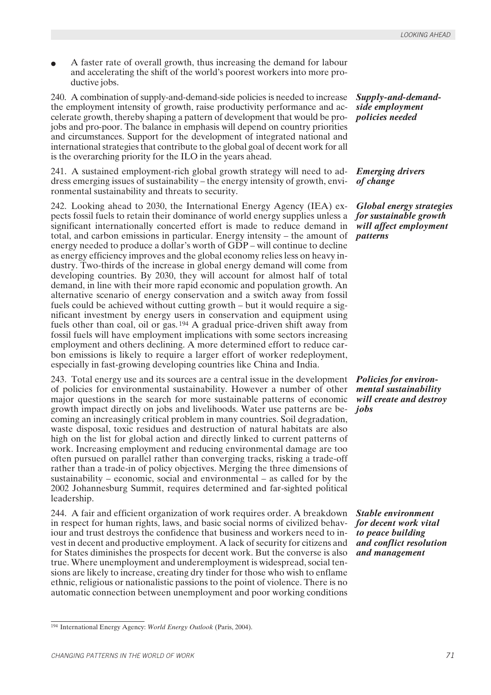A faster rate of overall growth, thus increasing the demand for labour and accelerating the shift of the world's poorest workers into more productive jobs.

240. A combination of supply-and-demand-side policies is needed to increase the employment intensity of growth, raise productivity performance and accelerate growth, thereby shaping a pattern of development that would be projobs and pro-poor. The balance in emphasis will depend on country priorities and circumstances. Support for the development of integrated national and international strategies that contribute to the global goal of decent work for all is the overarching priority for the ILO in the years ahead.

241. A sustained employment-rich global growth strategy will need to address emerging issues of sustainability – the energy intensity of growth, environmental sustainability and threats to security.

242. Looking ahead to 2030, the International Energy Agency (IEA) expects fossil fuels to retain their dominance of world energy supplies unless a significant internationally concerted effort is made to reduce demand in total, and carbon emissions in particular. Energy intensity – the amount of energy needed to produce a dollar's worth of GDP – will continue to decline as energy efficiency improves and the global economy relies less on heavy industry. Two-thirds of the increase in global energy demand will come from developing countries. By 2030, they will account for almost half of total demand, in line with their more rapid economic and population growth. An alternative scenario of energy conservation and a switch away from fossil fuels could be achieved without cutting growth – but it would require a significant investment by energy users in conservation and equipment using fuels other than coal, oil or gas. 194 A gradual price-driven shift away from fossil fuels will have employment implications with some sectors increasing employment and others declining. A more determined effort to reduce carbon emissions is likely to require a larger effort of worker redeployment, especially in fast-growing developing countries like China and India.

243. Total energy use and its sources are a central issue in the development of policies for environmental sustainability. However a number of other major questions in the search for more sustainable patterns of economic growth impact directly on jobs and livelihoods. Water use patterns are becoming an increasingly critical problem in many countries. Soil degradation, waste disposal, toxic residues and destruction of natural habitats are also high on the list for global action and directly linked to current patterns of work. Increasing employment and reducing environmental damage are too often pursued on parallel rather than converging tracks, risking a trade-off rather than a trade-in of policy objectives. Merging the three dimensions of sustainability – economic, social and environmental – as called for by the 2002 Johannesburg Summit, requires determined and far-sighted political leadership.

244. A fair and efficient organization of work requires order. A breakdown in respect for human rights, laws, and basic social norms of civilized behaviour and trust destroys the confidence that business and workers need to invest in decent and productive employment. A lack of security for citizens and for States diminishes the prospects for decent work. But the converse is also true. Where unemployment and underemployment is widespread, social tensions are likely to increase, creating dry tinder for those who wish to enflame ethnic, religious or nationalistic passions to the point of violence. There is no automatic connection between unemployment and poor working conditions

*Supply-and-demandside employment policies needed*

*Emerging drivers of change*

*Global energy strategies for sustainable growth will affect employment patterns*

*Policies for environmental sustainability will create and destroy jobs*

*Stable environment for decent work vital to peace building and conflict resolution and management*

<sup>194</sup> International Energy Agency: *World Energy Outlook* (Paris, 2004).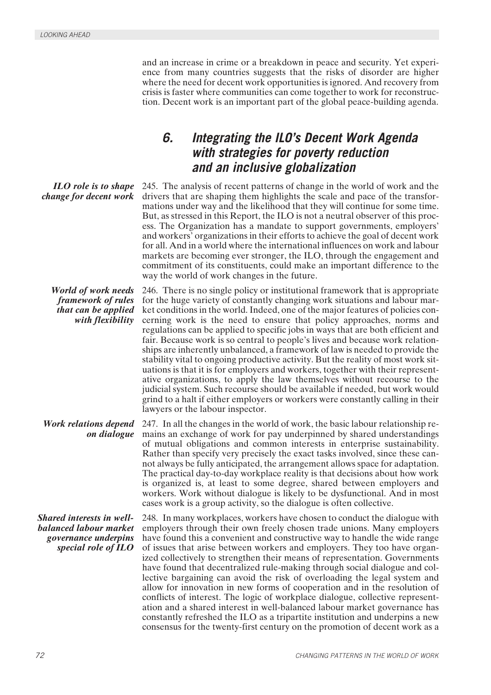and an increase in crime or a breakdown in peace and security. Yet experience from many countries suggests that the risks of disorder are higher where the need for decent work opportunities is ignored. And recovery from crisis is faster where communities can come together to work for reconstruction. Decent work is an important part of the global peace-building agenda.

## *6. Integrating the ILO's Decent Work Agenda with strategies for poverty reduction and an inclusive globalization*

*ILO role is to shape change for decent work*

245. The analysis of recent patterns of change in the world of work and the drivers that are shaping them highlights the scale and pace of the transformations under way and the likelihood that they will continue for some time. But, as stressed in this Report, the ILO is not a neutral observer of this process. The Organization has a mandate to support governments, employers' and workers' organizations in their efforts to achieve the goal of decent work for all. And in a world where the international influences on work and labour markets are becoming ever stronger, the ILO, through the engagement and commitment of its constituents, could make an important difference to the way the world of work changes in the future.

*World of work needs framework of rules that can be applied with flexibility*

246. There is no single policy or institutional framework that is appropriate for the huge variety of constantly changing work situations and labour market conditions in the world. Indeed, one of the major features of policies concerning work is the need to ensure that policy approaches, norms and regulations can be applied to specific jobs in ways that are both efficient and fair. Because work is so central to people's lives and because work relationships are inherently unbalanced, a framework of law is needed to provide the stability vital to ongoing productive activity. But the reality of most work situations is that it is for employers and workers, together with their representative organizations, to apply the law themselves without recourse to the judicial system. Such recourse should be available if needed, but work would grind to a halt if either employers or workers were constantly calling in their lawyers or the labour inspector.

*Work relations depend on dialogue* 247. In all the changes in the world of work, the basic labour relationship remains an exchange of work for pay underpinned by shared understandings of mutual obligations and common interests in enterprise sustainability. Rather than specify very precisely the exact tasks involved, since these cannot always be fully anticipated, the arrangement allows space for adaptation. The practical day-to-day workplace reality is that decisions about how work is organized is, at least to some degree, shared between employers and workers. Work without dialogue is likely to be dysfunctional. And in most cases work is a group activity, so the dialogue is often collective.

*Shared interests in wellbalanced labour market governance underpins special role of ILO*

248. In many workplaces, workers have chosen to conduct the dialogue with employers through their own freely chosen trade unions. Many employers have found this a convenient and constructive way to handle the wide range of issues that arise between workers and employers. They too have organized collectively to strengthen their means of representation. Governments have found that decentralized rule-making through social dialogue and collective bargaining can avoid the risk of overloading the legal system and allow for innovation in new forms of cooperation and in the resolution of conflicts of interest. The logic of workplace dialogue, collective representation and a shared interest in well-balanced labour market governance has constantly refreshed the ILO as a tripartite institution and underpins a new consensus for the twenty-first century on the promotion of decent work as a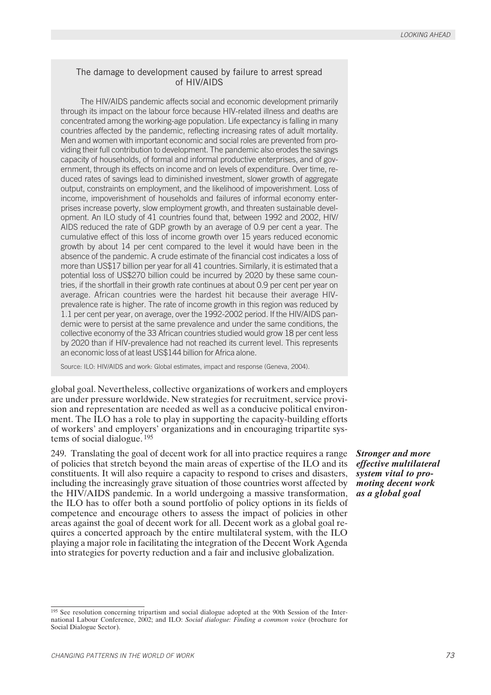### The damage to development caused by failure to arrest spread of HIV/AIDS

The HIV/AIDS pandemic affects social and economic development primarily through its impact on the labour force because HIV-related illness and deaths are concentrated among the working-age population. Life expectancy is falling in many countries affected by the pandemic, reflecting increasing rates of adult mortality. Men and women with important economic and social roles are prevented from providing their full contribution to development. The pandemic also erodes the savings capacity of households, of formal and informal productive enterprises, and of government, through its effects on income and on levels of expenditure. Over time, reduced rates of savings lead to diminished investment, slower growth of aggregate output, constraints on employment, and the likelihood of impoverishment. Loss of income, impoverishment of households and failures of informal economy enterprises increase poverty, slow employment growth, and threaten sustainable development. An ILO study of 41 countries found that, between 1992 and 2002, HIV/ AIDS reduced the rate of GDP growth by an average of 0.9 per cent a year. The cumulative effect of this loss of income growth over 15 years reduced economic growth by about 14 per cent compared to the level it would have been in the absence of the pandemic. A crude estimate of the financial cost indicates a loss of more than US\$17 billion per year for all 41 countries. Similarly, it is estimated that a potential loss of US\$270 billion could be incurred by 2020 by these same countries, if the shortfall in their growth rate continues at about 0.9 per cent per year on average. African countries were the hardest hit because their average HIVprevalence rate is higher. The rate of income growth in this region was reduced by 1.1 per cent per year, on average, over the 1992-2002 period. If the HIV/AIDS pandemic were to persist at the same prevalence and under the same conditions, the collective economy of the 33 African countries studied would grow 18 per cent less by 2020 than if HIV-prevalence had not reached its current level. This represents an economic loss of at least US\$144 billion for Africa alone.

Source: ILO: HIV/AIDS and work: Global estimates, impact and response (Geneva, 2004).

global goal. Nevertheless, collective organizations of workers and employers are under pressure worldwide. New strategies for recruitment, service provision and representation are needed as well as a conducive political environment. The ILO has a role to play in supporting the capacity-building efforts of workers' and employers' organizations and in encouraging tripartite systems of social dialogue. <sup>195</sup>

249. Translating the goal of decent work for all into practice requires a range of policies that stretch beyond the main areas of expertise of the ILO and its constituents. It will also require a capacity to respond to crises and disasters, including the increasingly grave situation of those countries worst affected by the HIV/AIDS pandemic. In a world undergoing a massive transformation, the ILO has to offer both a sound portfolio of policy options in its fields of competence and encourage others to assess the impact of policies in other areas against the goal of decent work for all. Decent work as a global goal requires a concerted approach by the entire multilateral system, with the ILO playing a major role in facilitating the integration of the Decent Work Agenda into strategies for poverty reduction and a fair and inclusive globalization.

*Stronger and more effective multilateral system vital to promoting decent work as a global goal*

<sup>&</sup>lt;sup>195</sup> See resolution concerning tripartism and social dialogue adopted at the 90th Session of the International Labour Conference, 2002; and ILO: *Social dialogue: Finding a common voice* (brochure for Social Dialogue Sector).